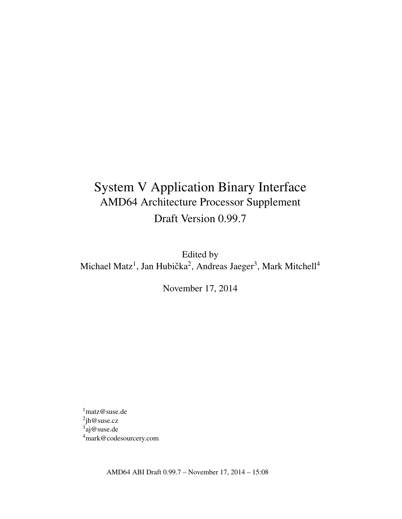## System V Application Binary Interface AMD64 Architecture Processor Supplement Draft Version 0.99.7

Edited by Michael Matz<sup>1</sup>, Jan Hubička<sup>2</sup>, Andreas Jaeger<sup>3</sup>, Mark Mitchell<sup>4</sup>

November 17, 2014

matz@suse.de jh@suse.cz <sup>3</sup>aj@suse.de mark@codesourcery.com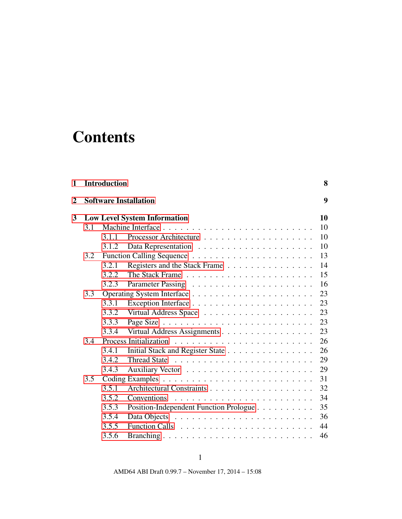# **Contents**

| 1              | <b>Introduction</b>                 |                                   |                                        | 8  |
|----------------|-------------------------------------|-----------------------------------|----------------------------------------|----|
| $\overline{2}$ |                                     | 9<br><b>Software Installation</b> |                                        |    |
| 3              | <b>Low Level System Information</b> |                                   |                                        | 10 |
|                | 3.1                                 |                                   |                                        | 10 |
|                |                                     | 3.1.1                             |                                        | 10 |
|                |                                     | 3.1.2                             |                                        | 10 |
|                | 3.2                                 |                                   |                                        | 13 |
|                |                                     | 3.2.1                             | Registers and the Stack Frame          | 14 |
|                |                                     | 3.2.2                             |                                        | 15 |
|                |                                     | 3.2.3                             |                                        | 16 |
|                | 3.3                                 |                                   |                                        | 23 |
|                |                                     | 3.3.1                             |                                        | 23 |
|                |                                     | 3.3.2                             |                                        | 23 |
|                |                                     | 3.3.3                             |                                        | 23 |
|                |                                     | 3.3.4                             | Virtual Address Assignments            | 23 |
|                | 3.4                                 |                                   |                                        | 26 |
|                |                                     | 3.4.1                             | Initial Stack and Register State       | 26 |
|                |                                     | 3.4.2                             |                                        | 29 |
|                |                                     | 3.4.3                             |                                        | 29 |
|                | 3.5                                 |                                   |                                        | 31 |
|                |                                     | 3.5.1                             |                                        | 32 |
|                |                                     | 3.5.2                             | Conventions                            | 34 |
|                |                                     | 3.5.3                             | Position-Independent Function Prologue | 35 |
|                |                                     | 3.5.4                             |                                        | 36 |
|                |                                     | 3.5.5                             |                                        | 44 |
|                |                                     | 3.5.6                             |                                        | 46 |
|                |                                     |                                   |                                        |    |

1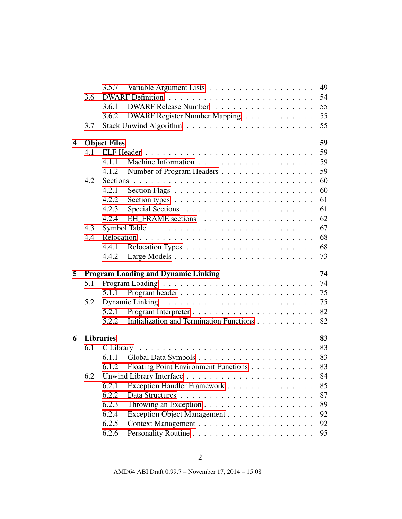|                         |     | 3.5.7               | 49                                                                            |
|-------------------------|-----|---------------------|-------------------------------------------------------------------------------|
|                         | 3.6 |                     | 54                                                                            |
|                         |     | 3.6.1               | 55<br>DWARF Release Number                                                    |
|                         |     | 3.6.2               | 55<br>DWARF Register Number Mapping                                           |
|                         | 3.7 |                     | 55                                                                            |
| $\overline{\mathbf{4}}$ |     | <b>Object Files</b> | 59                                                                            |
|                         | 4.1 |                     | 59                                                                            |
|                         |     | 4.1.1               | 59                                                                            |
|                         |     | 4.1.2               | 59<br>Number of Program Headers                                               |
|                         | 4.2 |                     | 60                                                                            |
|                         |     | 4.2.1               | 60<br>Section Flags $\ldots \ldots \ldots \ldots \ldots \ldots \ldots \ldots$ |
|                         |     | 4.2.2               | 61<br>Section types $\ldots \ldots \ldots \ldots \ldots \ldots \ldots \ldots$ |
|                         |     | 4.2.3               | 61                                                                            |
|                         |     | 4.2.4               | 62                                                                            |
|                         | 4.3 |                     | 67                                                                            |
|                         | 4.4 |                     | 68                                                                            |
|                         |     | 4.4.1               | 68                                                                            |
|                         |     | 4.4.2               | 73                                                                            |
| 5                       |     |                     | 74<br><b>Program Loading and Dynamic Linking</b>                              |
|                         | 5.1 |                     | 74                                                                            |
|                         |     | 5.1.1               | 75                                                                            |
|                         | 5.2 |                     | 75                                                                            |
|                         |     | 5.2.1               | 82                                                                            |
|                         |     | 5.2.2               | 82<br>Initialization and Termination Functions                                |
| 6                       |     | <b>Libraries</b>    | 83                                                                            |
|                         | 6.1 | C Library           | 83                                                                            |
|                         |     | 6.1.1               | 83                                                                            |
|                         |     | 6.1.2               | 83<br>Floating Point Environment Functions                                    |
|                         | 6.2 |                     | 84                                                                            |
|                         |     | 6.2.1               | Exception Handler Framework<br>85                                             |
|                         |     | 6.2.2               | 87                                                                            |
|                         |     | 6.2.3               | Throwing an Exception $\ldots \ldots \ldots \ldots \ldots \ldots$<br>89       |
|                         |     | 6.2.4               | 92                                                                            |
|                         |     | 6.2.5               | Exception Object Management<br>92                                             |
|                         |     | 6.2.6               | 95                                                                            |
|                         |     |                     |                                                                               |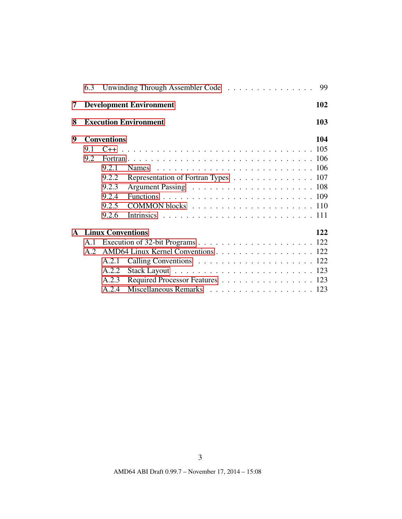|              |     |                    |                                                                               | 99  |
|--------------|-----|--------------------|-------------------------------------------------------------------------------|-----|
| 7            |     |                    | <b>Development Environment</b>                                                | 102 |
| 8            |     |                    | <b>Execution Environment</b>                                                  | 103 |
| 9            |     | <b>Conventions</b> |                                                                               | 104 |
|              | 9.1 |                    |                                                                               |     |
|              | 9.2 |                    |                                                                               |     |
|              |     | 9.2.1              |                                                                               |     |
|              |     | 9.2.2              | Representation of Fortran Types 107                                           |     |
|              |     | 9.2.3              |                                                                               |     |
|              |     | 9.2.4              |                                                                               |     |
|              |     | 9.2.5              | $COMMON$ blocks $\ldots \ldots \ldots \ldots \ldots \ldots \ldots \ldots 110$ |     |
|              |     | 9.2.6              |                                                                               |     |
| $\mathbf{A}$ |     |                    | <b>Linux Conventions</b>                                                      | 122 |
|              | A.1 |                    |                                                                               |     |
|              | A.2 |                    | AMD64 Linux Kernel Conventions 122                                            |     |
|              |     | A.2.1              |                                                                               |     |
|              |     | A.2.2              |                                                                               |     |
|              |     | A.2.3              | Required Processor Features 123                                               |     |
|              |     | A.2.4              | Miscellaneous Remarks 123                                                     |     |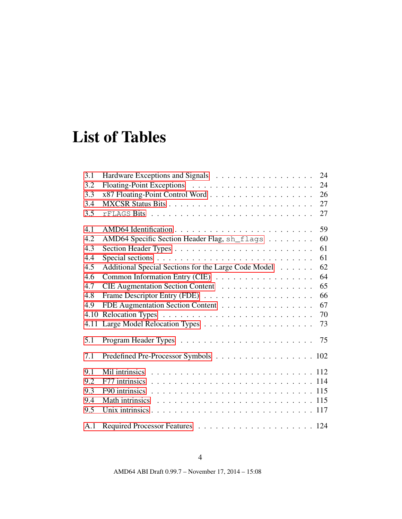# List of Tables

| 3.1  | 24                                                                                     |
|------|----------------------------------------------------------------------------------------|
| 3.2  | 24                                                                                     |
| 3.3  | 26                                                                                     |
| 3.4  | 27                                                                                     |
| 3.5  | 27                                                                                     |
| 4.1  | 59                                                                                     |
| 4.2  | 60<br>AMD64 Specific Section Header Flag, sh_flags                                     |
| 4.3  | 61                                                                                     |
| 4.4  | 61                                                                                     |
| 4.5  | 62<br>Additional Special Sections for the Large Code Model                             |
| 4.6  | Common Information Entry (CIE)<br>64                                                   |
| 4.7  | CIE Augmentation Section Content<br>65                                                 |
| 4.8  | 66                                                                                     |
| 4.9  | FDE Augmentation Section Content<br>67                                                 |
| 4.10 | 70                                                                                     |
| 4.11 | 73                                                                                     |
| 5.1  | 75                                                                                     |
| 7.1  | Predefined Pre-Processor Symbols 102                                                   |
| 9.1  |                                                                                        |
| 9.2  | F77 intrinsics $\ldots \ldots \ldots \ldots \ldots \ldots \ldots \ldots \ldots \ldots$ |
| 9.3  |                                                                                        |
| 9.4  |                                                                                        |
| 9.5  |                                                                                        |
| A.1  |                                                                                        |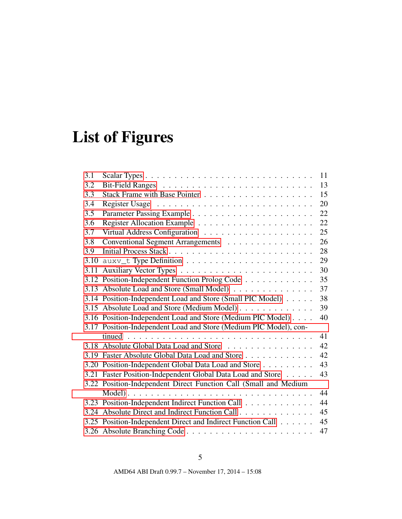# List of Figures

| 3.1  |                                                                   | 11 |
|------|-------------------------------------------------------------------|----|
| 3.2  |                                                                   | 13 |
| 3.3  |                                                                   | 15 |
| 3.4  |                                                                   | 20 |
| 3.5  |                                                                   | 22 |
| 3.6  |                                                                   | 22 |
| 3.7  |                                                                   | 25 |
| 3.8  | Conventional Segment Arrangements                                 | 26 |
| 3.9  |                                                                   | 28 |
| 3.10 |                                                                   | 29 |
| 3.11 |                                                                   | 30 |
|      | 3.12 Position-Independent Function Prolog Code                    | 35 |
|      | 3.13 Absolute Load and Store (Small Model)                        | 37 |
|      | 3.14 Position-Independent Load and Store (Small PIC Model)        | 38 |
|      | 3.15 Absolute Load and Store (Medium Model)                       | 39 |
|      | 3.16 Position-Independent Load and Store (Medium PIC Model)       | 40 |
|      | 3.17 Position-Independent Load and Store (Medium PIC Model), con- |    |
|      |                                                                   | 41 |
| 3.18 | Absolute Global Data Load and Store                               | 42 |
|      | 3.19 Faster Absolute Global Data Load and Store                   | 42 |
|      | 3.20 Position-Independent Global Data Load and Store              | 43 |
|      | 3.21 Faster Position-Independent Global Data Load and Store       | 43 |
|      | 3.22 Position-Independent Direct Function Call (Small and Medium  |    |
|      |                                                                   | 44 |
|      | 3.23 Position-Independent Indirect Function Call                  | 44 |
|      | 3.24 Absolute Direct and Indirect Function Call                   | 45 |
|      | 3.25 Position-Independent Direct and Indirect Function Call       | 45 |
|      |                                                                   | 47 |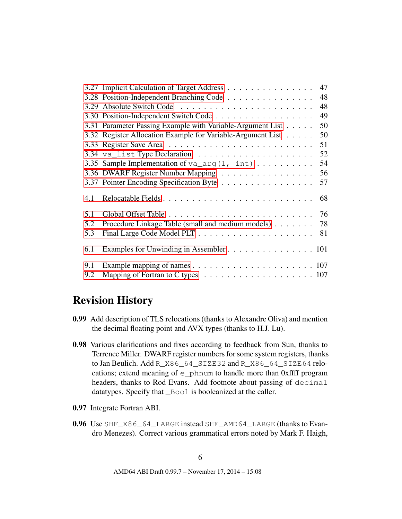|     | 3.27 Implicit Calculation of Target Address                 | 47 |
|-----|-------------------------------------------------------------|----|
|     | 3.28 Position-Independent Branching Code                    | 48 |
|     |                                                             | 48 |
|     | 3.30 Position-Independent Switch Code                       | 49 |
|     | 3.31 Parameter Passing Example with Variable-Argument List  | 50 |
|     | 3.32 Register Allocation Example for Variable-Argument List | 50 |
|     |                                                             | 51 |
|     |                                                             | 52 |
|     | 3.35 Sample Implementation of va_arg(1, int)                | 54 |
|     | 3.36 DWARF Register Number Mapping                          | 56 |
|     | 3.37 Pointer Encoding Specification Byte                    | 57 |
| 4.1 |                                                             | 68 |
| 5.1 |                                                             |    |
| 5.2 | Procedure Linkage Table (small and medium models)           | 78 |
| 5.3 |                                                             | 81 |
| 6.1 | Examples for Unwinding in Assembler 101                     |    |
| 9.1 |                                                             |    |
| 9.2 |                                                             |    |

## Revision History

- 0.99 Add description of TLS relocations (thanks to Alexandre Oliva) and mention the decimal floating point and AVX types (thanks to H.J. Lu).
- 0.98 Various clarifications and fixes according to feedback from Sun, thanks to Terrence Miller. DWARF register numbers for some system registers, thanks to Jan Beulich. Add R\_X86\_64\_SIZE32 and R\_X86\_64\_SIZE64 relocations; extend meaning of e\_phnum to handle more than 0xffff program headers, thanks to Rod Evans. Add footnote about passing of decimal datatypes. Specify that \_Bool is booleanized at the caller.
- 0.97 Integrate Fortran ABI.
- 0.96 Use SHF\_X86\_64\_LARGE instead SHF\_AMD64\_LARGE (thanks to Evandro Menezes). Correct various grammatical errors noted by Mark F. Haigh,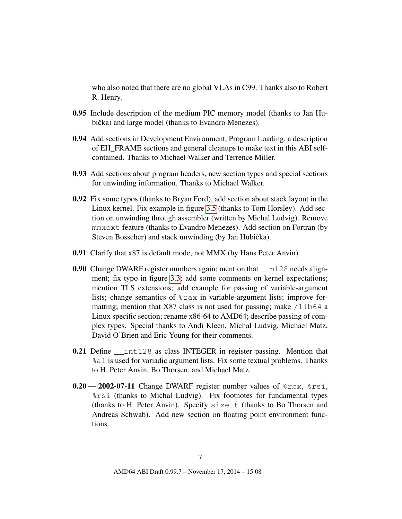who also noted that there are no global VLAs in C99. Thanks also to Robert R. Henry.

- 0.95 Include description of the medium PIC memory model (thanks to Jan Hubička) and large model (thanks to Evandro Menezes).
- 0.94 Add sections in Development Environment, Program Loading, a description of EH\_FRAME sections and general cleanups to make text in this ABI selfcontained. Thanks to Michael Walker and Terrence Miller.
- 0.93 Add sections about program headers, new section types and special sections for unwinding information. Thanks to Michael Walker.
- 0.92 Fix some typos (thanks to Bryan Ford), add section about stack layout in the Linux kernel. Fix example in figure [3.5](#page-23-0) (thanks to Tom Horsley). Add section on unwinding through assembler (written by Michal Ludvig). Remove mmxext feature (thanks to Evandro Menezes). Add section on Fortran (by Steven Bosscher) and stack unwinding (by Jan Hubička).
- 0.91 Clarify that x87 is default mode, not MMX (by Hans Peter Anvin).
- 0.90 Change DWARF register numbers again; mention that \_\_m128 needs alignment; fix typo in figure [3.3;](#page-16-1) add some comments on kernel expectations; mention TLS extensions; add example for passing of variable-argument lists; change semantics of %rax in variable-argument lists; improve formatting; mention that X87 class is not used for passing; make  $/1$ ib64 a Linux specific section; rename x86-64 to AMD64; describe passing of complex types. Special thanks to Andi Kleen, Michal Ludvig, Michael Matz, David O'Brien and Eric Young for their comments.
- 0.21 Define \_\_int128 as class INTEGER in register passing. Mention that %al is used for variadic argument lists. Fix some textual problems. Thanks to H. Peter Anvin, Bo Thorsen, and Michael Matz.
- $0.20 2002 07 11$  Change DWARF register number values of  $\epsilon$  rbx,  $\epsilon$  rsi, %rsi (thanks to Michal Ludvig). Fix footnotes for fundamental types (thanks to H. Peter Anvin). Specify size\_t (thanks to Bo Thorsen and Andreas Schwab). Add new section on floating point environment functions.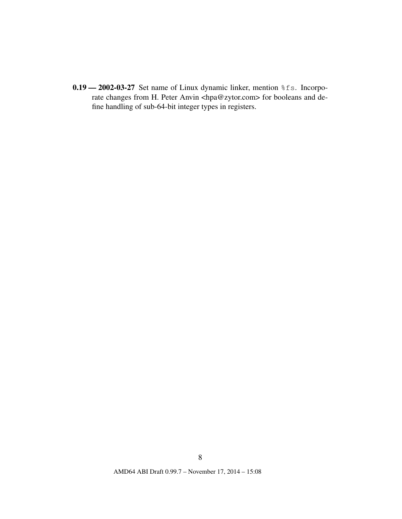0.19 — 2002-03-27 Set name of Linux dynamic linker, mention %fs. Incorporate changes from H. Peter Anvin <hpa@zytor.com> for booleans and define handling of sub-64-bit integer types in registers.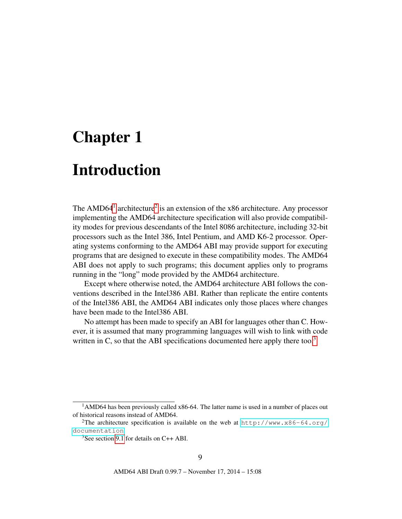# <span id="page-9-0"></span>Chapter 1

# Introduction

The AMD64<sup>[1](#page-9-1)</sup> architecture<sup>[2](#page-9-2)</sup> is an extension of the x86 architecture. Any processor implementing the AMD64 architecture specification will also provide compatibility modes for previous descendants of the Intel 8086 architecture, including 32-bit processors such as the Intel 386, Intel Pentium, and AMD K6-2 processor. Operating systems conforming to the AMD64 ABI may provide support for executing programs that are designed to execute in these compatibility modes. The AMD64 ABI does not apply to such programs; this document applies only to programs running in the "long" mode provided by the AMD64 architecture.

Except where otherwise noted, the AMD64 architecture ABI follows the conventions described in the Intel386 ABI. Rather than replicate the entire contents of the Intel386 ABI, the AMD64 ABI indicates only those places where changes have been made to the Intel386 ABI.

No attempt has been made to specify an ABI for languages other than C. However, it is assumed that many programming languages will wish to link with code written in C, so that the ABI specifications documented here apply there too.<sup>[3](#page-9-3)</sup>

<span id="page-9-1"></span><sup>&</sup>lt;sup>1</sup>AMD64 has been previously called x86-64. The latter name is used in a number of places out of historical reasons instead of AMD64.

<span id="page-9-2"></span><sup>&</sup>lt;sup>2</sup>The architecture specification is available on the web at [http://www.x86-64.org/](http://www.x86-64.org/documentation) [documentation](http://www.x86-64.org/documentation).

<span id="page-9-3"></span><sup>&</sup>lt;sup>3</sup>See section [9.1](#page-106-0) for details on  $C_{++}$  ABI.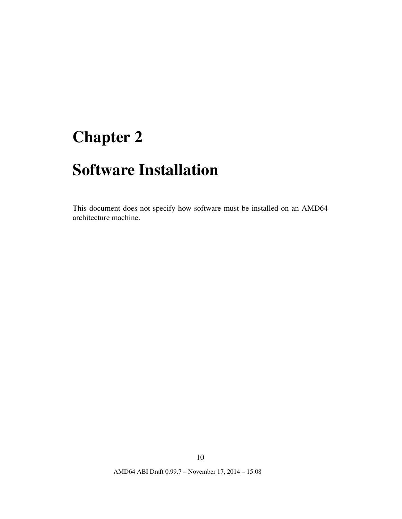# <span id="page-10-0"></span>Chapter 2

# Software Installation

This document does not specify how software must be installed on an AMD64 architecture machine.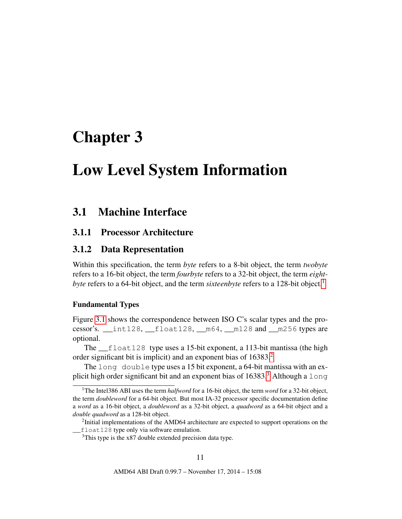## <span id="page-11-0"></span>Chapter 3

## Low Level System Information

## <span id="page-11-1"></span>3.1 Machine Interface

### <span id="page-11-2"></span>3.1.1 Processor Architecture

#### <span id="page-11-3"></span>3.1.2 Data Representation

Within this specification, the term *byte* refers to a 8-bit object, the term *twobyte* refers to a 16-bit object, the term *fourbyte* refers to a 32-bit object, the term *eightbyte* refers to a 64-bit object, and the term *sixteenbyte* refers to a [1](#page-11-4)28-bit object.<sup>1</sup>

#### Fundamental Types

Figure [3.1](#page-12-0) shows the correspondence between ISO C's scalar types and the processor's. \_\_int128, \_\_float128, \_\_m64, \_\_m128 and \_\_m256 types are optional.

The \_\_float128 type uses a 15-bit exponent, a 113-bit mantissa (the high order significant bit is implicit) and an exponent bias of 16383.<sup>[2](#page-11-5)</sup>

The long double type uses a 15 bit exponent, a 64-bit mantissa with an explicit high order significant bit and an exponent bias of  $16383$  $16383$  $16383$ .<sup>3</sup> Although a long

<span id="page-11-4"></span><sup>1</sup>The Intel386 ABI uses the term *halfword* for a 16-bit object, the term *word* for a 32-bit object, the term *doubleword* for a 64-bit object. But most IA-32 processor specific documentation define a *word* as a 16-bit object, a *doubleword* as a 32-bit object, a *quadword* as a 64-bit object and a *double quadword* as a 128-bit object.

<span id="page-11-5"></span><sup>&</sup>lt;sup>2</sup>Initial implementations of the AMD64 architecture are expected to support operations on the float128 type only via software emulation.

<span id="page-11-6"></span><sup>&</sup>lt;sup>3</sup>This type is the x87 double extended precision data type.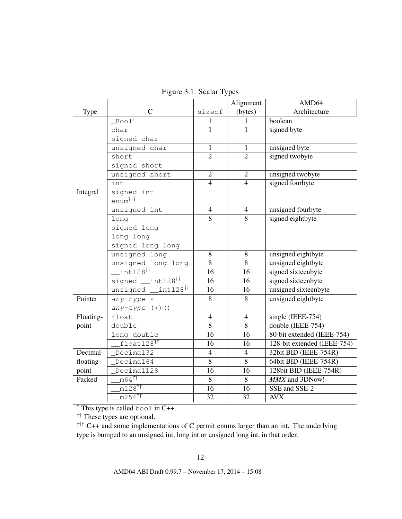|           |                                 |                 | Alignment       | AMD64                       |
|-----------|---------------------------------|-----------------|-----------------|-----------------------------|
| Type      | $\mathsf{C}$                    | sizeof          | (bytes)         | Architecture                |
|           | $Boo1^{\dagger}$                | 1               | 1               | boolean                     |
|           | char                            | 1               | $\mathbf{1}$    | signed byte                 |
|           | signed char                     |                 |                 |                             |
|           | unsigned char                   | $\mathbf{1}$    | $\mathbf{1}$    | unsigned byte               |
|           | short.                          | $\overline{2}$  | $\overline{2}$  | signed twobyte              |
|           | signed short                    |                 |                 |                             |
|           | unsigned short                  | $\overline{2}$  | $\overline{2}$  | unsigned twobyte            |
|           | int                             | $\overline{4}$  | $\overline{4}$  | signed fourbyte             |
| Integral  | signed int                      |                 |                 |                             |
|           | enum <sup>ttt</sup>             |                 |                 |                             |
|           | unsigned int                    | $\overline{4}$  | $\overline{4}$  | unsigned fourbyte           |
|           | long                            | $\overline{8}$  | $\overline{8}$  | signed eightbyte            |
|           | signed long                     |                 |                 |                             |
|           | long long                       |                 |                 |                             |
|           | signed long long                |                 |                 |                             |
|           | unsigned long                   | $\overline{8}$  | $\overline{8}$  | unsigned eightbyte          |
|           | unsigned long long              | 8               | 8               | unsigned eightbyte          |
|           |                                 | 16              | 16              | signed sixteenbyte          |
|           | signed __int128 <sup>ff</sup>   | 16              | 16              | signed sixteenbyte          |
|           | unsigned __int128 <sup>11</sup> | $\overline{16}$ | $\overline{16}$ | unsigned sixteenbyte        |
| Pointer   | $any-type *$                    | $\overline{8}$  | $\overline{8}$  | unsigned eightbyte          |
|           | $any-type (+) ()$               |                 |                 |                             |
| Floating- | float                           | $\overline{4}$  | $\overline{4}$  | single (IEEE-754)           |
| point     | double                          | $\overline{8}$  | $\overline{8}$  | double (IEEE-754)           |
|           | long double                     | $\overline{16}$ | 16              | 80-bit extended (IEEE-754)  |
|           | $f$ loat $128$ <sup>††</sup>    | 16              | 16              | 128-bit extended (IEEE-754) |
| Decimal-  | Decimal32                       | $\overline{4}$  | $\overline{4}$  | 32bit BID (IEEE-754R)       |
| floating- | Decimal64                       | $\overline{8}$  | $\overline{8}$  | 64bit BID (IEEE-754R)       |
| point     | Decimal128                      | $\overline{16}$ | $\overline{16}$ | 128bit BID (IEEE-754R)      |
| Packed    | $\overline{m64}$                | 8               | 8               | <b>MMX</b> and 3DNow!       |
|           | $\overline{m128}$               | $\overline{16}$ | $\overline{16}$ | SSE and SSE-2               |
|           | m256                            | $\overline{32}$ | $\overline{32}$ | <b>AVX</b>                  |

<span id="page-12-0"></span>Figure 3.1: Scalar Types

† This type is called bool in C++.

†† These types are optional.

††† C++ and some implementations of C permit enums larger than an int. The underlying type is bumped to an unsigned int, long int or unsigned long int, in that order.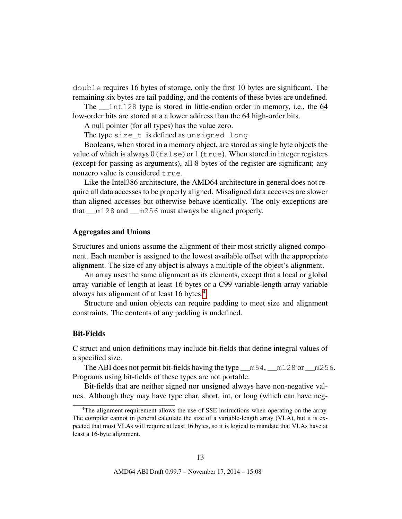double requires 16 bytes of storage, only the first 10 bytes are significant. The remaining six bytes are tail padding, and the contents of these bytes are undefined.

The \_\_int128 type is stored in little-endian order in memory, i.e., the 64 low-order bits are stored at a a lower address than the 64 high-order bits.

A null pointer (for all types) has the value zero.

The type size\_t is defined as unsigned long.

Booleans, when stored in a memory object, are stored as single byte objects the value of which is always  $0$  (false) or  $1$  (true). When stored in integer registers (except for passing as arguments), all 8 bytes of the register are significant; any nonzero value is considered true.

Like the Intel386 architecture, the AMD64 architecture in general does not require all data accesses to be properly aligned. Misaligned data accesses are slower than aligned accesses but otherwise behave identically. The only exceptions are that \_\_m128 and \_\_m256 must always be aligned properly.

#### Aggregates and Unions

Structures and unions assume the alignment of their most strictly aligned component. Each member is assigned to the lowest available offset with the appropriate alignment. The size of any object is always a multiple of the object's alignment.

An array uses the same alignment as its elements, except that a local or global array variable of length at least 16 bytes or a C99 variable-length array variable always has alignment of at least 16 bytes.<sup>[4](#page-13-0)</sup>

Structure and union objects can require padding to meet size and alignment constraints. The contents of any padding is undefined.

#### Bit-Fields

C struct and union definitions may include bit-fields that define integral values of a specified size.

The ABI does not permit bit-fields having the type  $\_\text{m64}, \_\text{m128 or } \_\text{m256}.$ Programs using bit-fields of these types are not portable.

Bit-fields that are neither signed nor unsigned always have non-negative values. Although they may have type char, short, int, or long (which can have neg-

<span id="page-13-0"></span><sup>4</sup>The alignment requirement allows the use of SSE instructions when operating on the array. The compiler cannot in general calculate the size of a variable-length array (VLA), but it is expected that most VLAs will require at least 16 bytes, so it is logical to mandate that VLAs have at least a 16-byte alignment.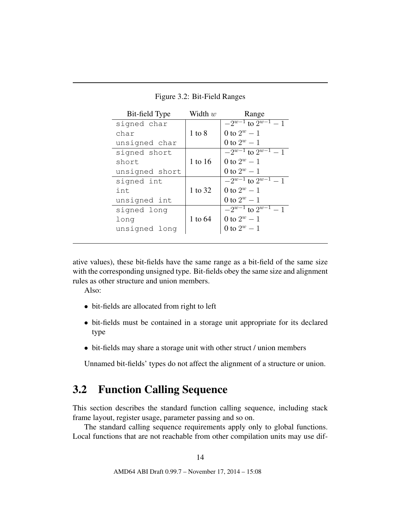| Bit-field Type | Width $w$ | Range                       |
|----------------|-----------|-----------------------------|
| signed char    |           | $-2^{w-1}$ to $2^{w-1}$ - 1 |
| char           | 1 to 8    | 0 to $2^w - 1$              |
| unsigned char  |           | 0 to $2^w - 1$              |
| signed short   |           | $-2^{w-1}$ to $2^{w-1} - 1$ |
| short          | 1 to 16   | 0 to $2^w - 1$              |
| unsigned short |           | 0 to $2^w - 1$              |
| signed int     |           | $-2^{w-1}$ to $2^{w-1} - 1$ |
| int            | 1 to 32   | 0 to $2^w - 1$              |
| unsigned int   |           | 0 to $2^w - 1$              |
| signed long    |           | $-2^{w-1}$ to $2^{w-1}-1$   |
| long           | 1 to 64   | 0 to $2^w - 1$              |
| unsigned long  |           | 0 to $2^w - 1$              |
|                |           |                             |

<span id="page-14-1"></span>Figure 3.2: Bit-Field Ranges

ative values), these bit-fields have the same range as a bit-field of the same size with the corresponding unsigned type. Bit-fields obey the same size and alignment rules as other structure and union members.

Also:

- bit-fields are allocated from right to left
- bit-fields must be contained in a storage unit appropriate for its declared type
- bit-fields may share a storage unit with other struct / union members

Unnamed bit-fields' types do not affect the alignment of a structure or union.

### <span id="page-14-0"></span>3.2 Function Calling Sequence

This section describes the standard function calling sequence, including stack frame layout, register usage, parameter passing and so on.

The standard calling sequence requirements apply only to global functions. Local functions that are not reachable from other compilation units may use dif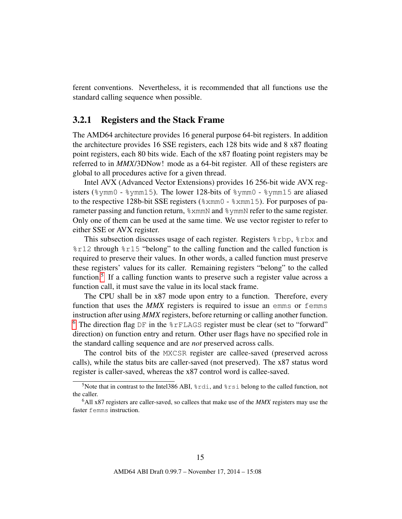ferent conventions. Nevertheless, it is recommended that all functions use the standard calling sequence when possible.

#### <span id="page-15-0"></span>3.2.1 Registers and the Stack Frame

The AMD64 architecture provides 16 general purpose 64-bit registers. In addition the architecture provides 16 SSE registers, each 128 bits wide and 8 x87 floating point registers, each 80 bits wide. Each of the x87 floating point registers may be referred to in *MMX*/3DNow! mode as a 64-bit register. All of these registers are global to all procedures active for a given thread.

Intel AVX (Advanced Vector Extensions) provides 16 256-bit wide AVX registers ( $\gamma$ ymm0 -  $\gamma$ ymm15). The lower 128-bits of  $\gamma$ mm0 -  $\gamma$ ymm15 are aliased to the respective 128b-bit SSE registers (%xmm0 - %xmm15). For purposes of parameter passing and function return, %xmmN and %ymmN refer to the same register. Only one of them can be used at the same time. We use vector register to refer to either SSE or AVX register.

This subsection discusses usage of each register. Registers %rbp, %rbx and %r12 through %r15 "belong" to the calling function and the called function is required to preserve their values. In other words, a called function must preserve these registers' values for its caller. Remaining registers "belong" to the called function.<sup>[5](#page-15-1)</sup> If a calling function wants to preserve such a register value across a function call, it must save the value in its local stack frame.

The CPU shall be in x87 mode upon entry to a function. Therefore, every function that uses the *MMX* registers is required to issue an emms or femms instruction after using *MMX* registers, before returning or calling another function. <sup>[6](#page-15-2)</sup> The direction flag DF in the  $\epsilon$ rFLAGS register must be clear (set to "forward" direction) on function entry and return. Other user flags have no specified role in the standard calling sequence and are *not* preserved across calls.

The control bits of the MXCSR register are callee-saved (preserved across calls), while the status bits are caller-saved (not preserved). The x87 status word register is caller-saved, whereas the x87 control word is callee-saved.

<span id="page-15-1"></span><sup>&</sup>lt;sup>5</sup>Note that in contrast to the Intel386 ABI,  $\text{\textdegree}$ rdi, and  $\text{\textdegree}$ rsi belong to the called function, not the caller.

<span id="page-15-2"></span><sup>6</sup>All x87 registers are caller-saved, so callees that make use of the *MMX* registers may use the faster femms instruction.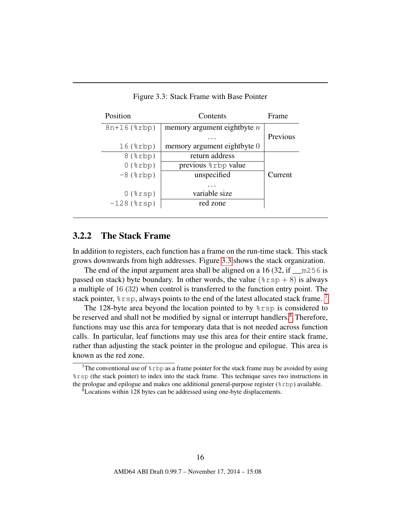| Position               | Contents                      | Frame    |
|------------------------|-------------------------------|----------|
| $8n+16$ ( $8rb$ p)     | memory argument eightbyte $n$ |          |
|                        |                               | Previous |
| $16$ $(\text{krbp})$   | memory argument eightbyte 0   |          |
| $8$ ( $%$ rbp)         | return address                |          |
| $0$ ( $\text{trbp}$ )  | previous $\epsilon$ rbp value |          |
| $-8$ ( $\text{trbp}$ ) | unspecified                   | Current  |
|                        |                               |          |
| $0$ $(*rsp)$           | variable size                 |          |
| $-128$ ( $srsp$ )      | red zone                      |          |

<span id="page-16-1"></span>Figure 3.3: Stack Frame with Base Pointer

#### <span id="page-16-0"></span>3.2.2 The Stack Frame

In addition to registers, each function has a frame on the run-time stack. This stack grows downwards from high addresses. Figure [3.3](#page-16-1) shows the stack organization.

The end of the input argument area shall be aligned on a 16 (32, if  $\text{m256 is}$ passed on stack) byte boundary. In other words, the value  $(*rsp + 8)$  is always a multiple of 16 (32) when control is transferred to the function entry point. The stack pointer,  $\epsilon$  rsp, always points to the end of the latest allocated stack frame. <sup>[7](#page-16-2)</sup>

The 128-byte area beyond the location pointed to by %rsp is considered to be reserved and shall not be modified by signal or interrupt handlers.<sup>[8](#page-16-3)</sup> Therefore, functions may use this area for temporary data that is not needed across function calls. In particular, leaf functions may use this area for their entire stack frame, rather than adjusting the stack pointer in the prologue and epilogue. This area is known as the red zone.

16

<span id="page-16-2"></span><sup>&</sup>lt;sup>7</sup>The conventional use of  $\epsilon$  rbp as a frame pointer for the stack frame may be avoided by using %rsp (the stack pointer) to index into the stack frame. This technique saves two instructions in the prologue and epilogue and makes one additional general-purpose register (%rbp) available.

<span id="page-16-3"></span><sup>8</sup>Locations within 128 bytes can be addressed using one-byte displacements.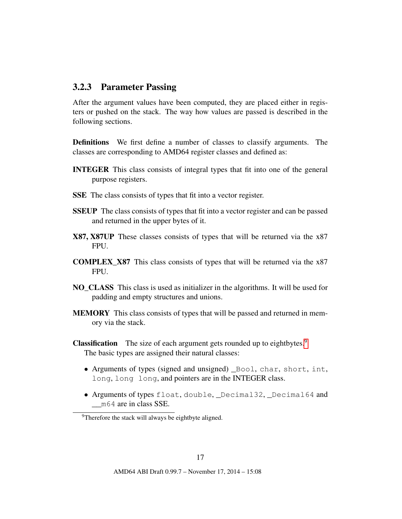### <span id="page-17-0"></span>3.2.3 Parameter Passing

After the argument values have been computed, they are placed either in registers or pushed on the stack. The way how values are passed is described in the following sections.

Definitions We first define a number of classes to classify arguments. The classes are corresponding to AMD64 register classes and defined as:

- INTEGER This class consists of integral types that fit into one of the general purpose registers.
- SSE The class consists of types that fit into a vector register.
- SSEUP The class consists of types that fit into a vector register and can be passed and returned in the upper bytes of it.
- X87, X87UP These classes consists of types that will be returned via the x87 FPU.
- COMPLEX\_X87 This class consists of types that will be returned via the x87 FPU.
- NO\_CLASS This class is used as initializer in the algorithms. It will be used for padding and empty structures and unions.
- MEMORY This class consists of types that will be passed and returned in memory via the stack.
- **Classification** The size of each argument gets rounded up to eightbytes.<sup>[9](#page-17-1)</sup> The basic types are assigned their natural classes:
	- Arguments of types (signed and unsigned) \_Bool, char, short, int, long, long long, and pointers are in the INTEGER class.
	- Arguments of types float, double, \_Decimal32, \_Decimal64 and \_\_m64 are in class SSE.

<span id="page-17-1"></span><sup>&</sup>lt;sup>9</sup>Therefore the stack will always be eightbyte aligned.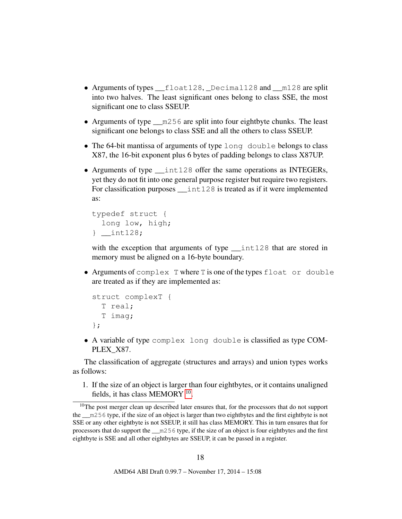- Arguments of types \_\_float128, \_Decimal128 and \_\_m128 are split into two halves. The least significant ones belong to class SSE, the most significant one to class SSEUP.
- Arguments of type  $\text{m256}$  are split into four eightbyte chunks. The least significant one belongs to class SSE and all the others to class SSEUP.
- The 64-bit mantissa of arguments of type long double belongs to class X87, the 16-bit exponent plus 6 bytes of padding belongs to class X87UP.
- Arguments of type int128 offer the same operations as INTEGERs, yet they do not fit into one general purpose register but require two registers. For classification purposes \_\_int128 is treated as if it were implemented as:

```
typedef struct {
  long low, high;
} __int128;
```
with the exception that arguments of type \_\_int128 that are stored in memory must be aligned on a 16-byte boundary.

• Arguments of complex T where T is one of the types float or double are treated as if they are implemented as:

```
struct complexT {
  T real;
  T imag;
};
```
• A variable of type complex long double is classified as type COM-PLEX\_X87.

The classification of aggregate (structures and arrays) and union types works as follows:

1. If the size of an object is larger than four eightbytes, or it contains unaligned fields, it has class MEMORY <sup>[10](#page-18-0)</sup>.

<span id="page-18-0"></span><sup>&</sup>lt;sup>10</sup>The post merger clean up described later ensures that, for the processors that do not support the \_\_m256 type, if the size of an object is larger than two eightbytes and the first eightbyte is not SSE or any other eightbyte is not SSEUP, it still has class MEMORY. This in turn ensures that for processors that do support the \_\_m256 type, if the size of an object is four eightbytes and the first eightbyte is SSE and all other eightbytes are SSEUP, it can be passed in a register.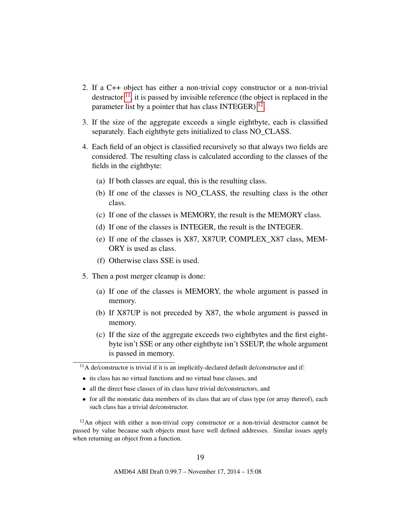- 2. If a C++ object has either a non-trivial copy constructor or a non-trivial destructor  $\frac{11}{1}$  $\frac{11}{1}$  $\frac{11}{1}$ , it is passed by invisible reference (the object is replaced in the parameter list by a pointer that has class INTEGER)<sup>[12](#page-19-1)</sup>.
- 3. If the size of the aggregate exceeds a single eightbyte, each is classified separately. Each eightbyte gets initialized to class NO\_CLASS.
- 4. Each field of an object is classified recursively so that always two fields are considered. The resulting class is calculated according to the classes of the fields in the eightbyte:
	- (a) If both classes are equal, this is the resulting class.
	- (b) If one of the classes is NO\_CLASS, the resulting class is the other class.
	- (c) If one of the classes is MEMORY, the result is the MEMORY class.
	- (d) If one of the classes is INTEGER, the result is the INTEGER.
	- (e) If one of the classes is X87, X87UP, COMPLEX\_X87 class, MEM-ORY is used as class.
	- (f) Otherwise class SSE is used.
- 5. Then a post merger cleanup is done:
	- (a) If one of the classes is MEMORY, the whole argument is passed in memory.
	- (b) If X87UP is not preceded by X87, the whole argument is passed in memory.
	- (c) If the size of the aggregate exceeds two eightbytes and the first eightbyte isn't SSE or any other eightbyte isn't SSEUP, the whole argument is passed in memory.

- its class has no virtual functions and no virtual base classes, and
- all the direct base classes of its class have trivial de/constructors, and
- for all the nonstatic data members of its class that are of class type (or array thereof), each such class has a trivial de/constructor.

<span id="page-19-1"></span> $12$ An object with either a non-trivial copy constructor or a non-trivial destructor cannot be passed by value because such objects must have well defined addresses. Similar issues apply when returning an object from a function.

<span id="page-19-0"></span> $\frac{11}{11}$ A de/constructor is trivial if it is an implicitly-declared default de/constructor and if: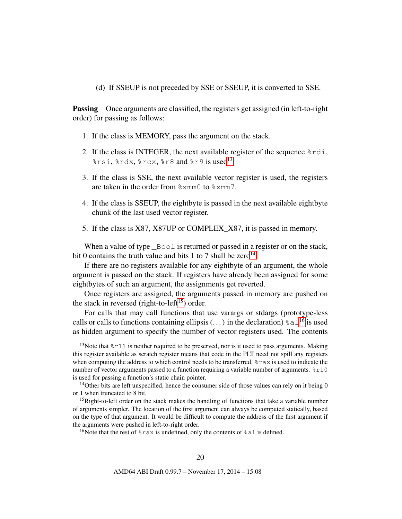(d) If SSEUP is not preceded by SSE or SSEUP, it is converted to SSE.

Passing Once arguments are classified, the registers get assigned (in left-to-right order) for passing as follows:

- 1. If the class is MEMORY, pass the argument on the stack.
- 2. If the class is INTEGER, the next available register of the sequence  $\text{\textdegree}$  rdi, %rsi, %rdx, %rcx, %r8 and %r9 is used[13](#page-20-0) .
- 3. If the class is SSE, the next available vector register is used, the registers are taken in the order from %xmm0 to %xmm7.
- 4. If the class is SSEUP, the eightbyte is passed in the next available eightbyte chunk of the last used vector register.
- 5. If the class is X87, X87UP or COMPLEX\_X87, it is passed in memory.

When a value of type Bool is returned or passed in a register or on the stack, bit 0 contains the truth value and bits 1 to 7 shall be  $zero^{14}$  $zero^{14}$  $zero^{14}$ .

If there are no registers available for any eightbyte of an argument, the whole argument is passed on the stack. If registers have already been assigned for some eightbytes of such an argument, the assignments get reverted.

Once registers are assigned, the arguments passed in memory are pushed on the stack in reversed (right-to-left<sup>[15](#page-20-2)</sup>) order.

For calls that may call functions that use varargs or stdargs (prototype-less calls or calls to functions containing ellipsis  $(\dots)$  in the declaration)  $\delta a \perp^{16}$  $\delta a \perp^{16}$  $\delta a \perp^{16}$  is used as hidden argument to specify the number of vector registers used. The contents

<span id="page-20-0"></span><sup>&</sup>lt;sup>13</sup>Note that  $\epsilon$  r11 is neither required to be preserved, nor is it used to pass arguments. Making this register available as scratch register means that code in the PLT need not spill any registers when computing the address to which control needs to be transferred. %rax is used to indicate the number of vector arguments passed to a function requiring a variable number of arguments.  $\epsilon$ r10 is used for passing a function's static chain pointer.

<span id="page-20-1"></span><sup>&</sup>lt;sup>14</sup>Other bits are left unspecified, hence the consumer side of those values can rely on it being  $0$ or 1 when truncated to 8 bit.

<span id="page-20-2"></span> $15$ Right-to-left order on the stack makes the handling of functions that take a variable number of arguments simpler. The location of the first argument can always be computed statically, based on the type of that argument. It would be difficult to compute the address of the first argument if the arguments were pushed in left-to-right order.

<span id="page-20-3"></span><sup>&</sup>lt;sup>16</sup>Note that the rest of  $z$ rax is undefined, only the contents of  $z$ al is defined.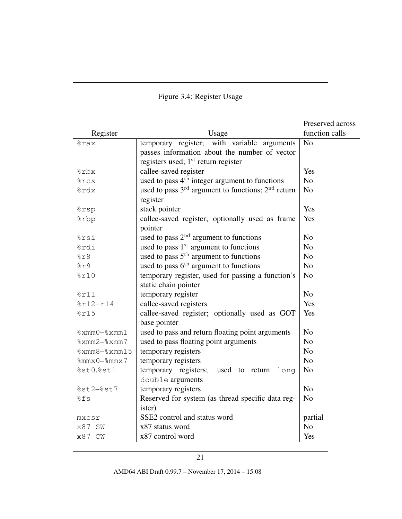### <span id="page-21-0"></span>Figure 3.4: Register Usage

|                                  |                                                            | Preserved across |
|----------------------------------|------------------------------------------------------------|------------------|
| Register                         | Usage                                                      | function calls   |
| %rax                             | temporary register; with variable arguments                | N <sub>o</sub>   |
|                                  | passes information about the number of vector              |                  |
|                                  | registers used; $1st$ return register                      |                  |
| $s$ rbx                          | callee-saved register                                      | Yes              |
| 8rcx                             | used to pass 4 <sup>th</sup> integer argument to functions | N <sub>o</sub>   |
| %rdx                             | used to pass $3rd$ argument to functions; $2nd$ return     | N <sub>o</sub>   |
|                                  | register                                                   |                  |
| %rsp                             | stack pointer                                              | Yes              |
| %rbp                             | callee-saved register; optionally used as frame            | Yes              |
|                                  | pointer                                                    |                  |
| %rsi                             | used to pass $2nd$ argument to functions                   | N <sub>o</sub>   |
| %rdi                             | used to pass 1 <sup>st</sup> argument to functions         | N <sub>o</sub>   |
| 8r8                              | used to pass $5th$ argument to functions                   | N <sub>o</sub>   |
| 8r9                              | used to pass 6 <sup>th</sup> argument to functions         | N <sub>0</sub>   |
| 8r10                             | temporary register, used for passing a function's          | N <sub>o</sub>   |
|                                  | static chain pointer                                       |                  |
| 8r11                             | temporary register                                         | N <sub>o</sub>   |
| $8r12-r14$                       | callee-saved registers                                     | Yes              |
| 8r15                             | callee-saved register; optionally used as GOT              | Yes              |
|                                  | base pointer                                               |                  |
| %xmm0-%xmm1                      | used to pass and return floating point arguments           | N <sub>o</sub>   |
| $% xmm2 xmm7$                    | used to pass floating point arguments                      | N <sub>o</sub>   |
| $s$ xmm $8 - s$ xmm $15$         | temporary registers                                        | N <sub>o</sub>   |
| $\text{Emmx}$ 0- $\text{Emmx}$ 7 | temporary registers                                        | N <sub>o</sub>   |
| %st0,%st1                        | temporary registers; used to return long                   | N <sub>o</sub>   |
|                                  | double arguments                                           |                  |
| $%st2-%st7$                      | temporary registers                                        | N <sub>o</sub>   |
| %fs                              | Reserved for system (as thread specific data reg-          | N <sub>o</sub>   |
|                                  | ister)                                                     |                  |
| mxcsr                            | SSE2 control and status word                               | partial          |
| x87 SW                           | x87 status word                                            | N <sub>o</sub>   |
| x87 CW                           | x87 control word                                           | Yes              |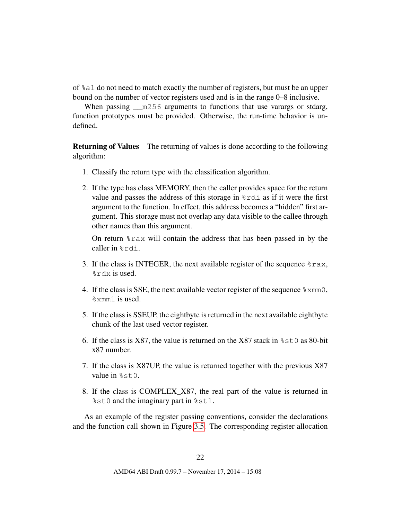of %al do not need to match exactly the number of registers, but must be an upper bound on the number of vector registers used and is in the range 0–8 inclusive.

When passing  $m256$  arguments to functions that use varargs or stdarg, function prototypes must be provided. Otherwise, the run-time behavior is undefined.

Returning of Values The returning of values is done according to the following algorithm:

- 1. Classify the return type with the classification algorithm.
- 2. If the type has class MEMORY, then the caller provides space for the return value and passes the address of this storage in %rdi as if it were the first argument to the function. In effect, this address becomes a "hidden" first argument. This storage must not overlap any data visible to the callee through other names than this argument.

On return %rax will contain the address that has been passed in by the caller in %rdi.

- 3. If the class is INTEGER, the next available register of the sequence  $\epsilon_{\text{max}}$ , %rdx is used.
- 4. If the class is SSE, the next available vector register of the sequence %xmm0, %xmm1 is used.
- 5. If the class is SSEUP, the eightbyte is returned in the next available eightbyte chunk of the last used vector register.
- 6. If the class is X87, the value is returned on the X87 stack in  $\text{\$st0}$  as 80-bit x87 number.
- 7. If the class is X87UP, the value is returned together with the previous X87 value in %st0.
- 8. If the class is COMPLEX\_X87, the real part of the value is returned in %st0 and the imaginary part in %st1.

As an example of the register passing conventions, consider the declarations and the function call shown in Figure [3.5.](#page-23-0) The corresponding register allocation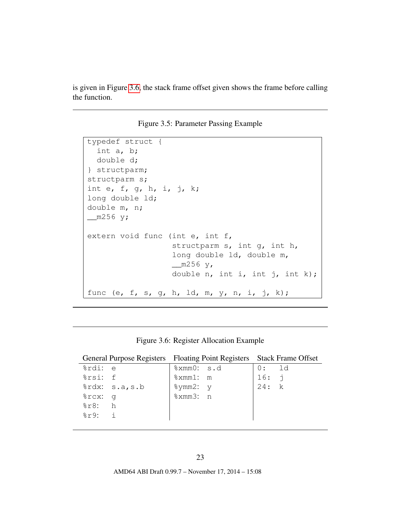is given in Figure [3.6,](#page-23-1) the stack frame offset given shows the frame before calling the function.

<span id="page-23-0"></span>Figure 3.5: Parameter Passing Example

```
typedef struct {
  int a, b;
  double d;
} structparm;
structparm s;
int e, f, g, h, i, j, k;
long double ld;
double m, n;
m256 \text{ y};
extern void func (int e, int f,
                   structparm s, int g, int h,
                   long double ld, double m,
                   \_m256 y,
                   double n, int i, int j, int k);
func (e, f, s, g, h, ld, m, y, n, i, j, k);
```
<span id="page-23-1"></span>Figure 3.6: Register Allocation Example

| General Purpose Registers Floating Point Registers Stack Frame Offset |                         |       |  |
|-----------------------------------------------------------------------|-------------------------|-------|--|
| %rdi: e                                                               | %xmm0: s.d              | 0: 1d |  |
| %rsi: f                                                               | $\text{\%}x$ mm $1$ : m | 16:1  |  |
| %rdx: s.a, s.b                                                        | %ymm2: y                | 24: k |  |
| $\text{srcx: } q$                                                     | %xmm3: n                |       |  |
| $\frac{8r}{3}$ : h                                                    |                         |       |  |
| $\text{\$r9:}$ i                                                      |                         |       |  |
|                                                                       |                         |       |  |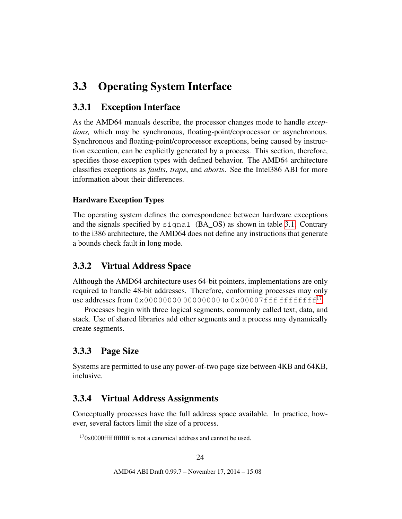## <span id="page-24-0"></span>3.3 Operating System Interface

### <span id="page-24-1"></span>3.3.1 Exception Interface

As the AMD64 manuals describe, the processor changes mode to handle *exceptions,* which may be synchronous, floating-point/coprocessor or asynchronous. Synchronous and floating-point/coprocessor exceptions, being caused by instruction execution, can be explicitly generated by a process. This section, therefore, specifies those exception types with defined behavior. The AMD64 architecture classifies exceptions as *faults*, *traps*, and *aborts*. See the Intel386 ABI for more information about their differences.

#### Hardware Exception Types

The operating system defines the correspondence between hardware exceptions and the signals specified by signal (BA\_OS) as shown in table [3.1.](#page-25-0) Contrary to the i386 architecture, the AMD64 does not define any instructions that generate a bounds check fault in long mode.

### <span id="page-24-2"></span>3.3.2 Virtual Address Space

Although the AMD64 architecture uses 64-bit pointers, implementations are only required to handle 48-bit addresses. Therefore, conforming processes may only use addresses from  $0x0000000000000000$  to  $0x00007$ fffffffffff<sup>[17](#page-24-5)</sup>.

Processes begin with three logical segments, commonly called text, data, and stack. Use of shared libraries add other segments and a process may dynamically create segments.

### <span id="page-24-3"></span>3.3.3 Page Size

Systems are permitted to use any power-of-two page size between 4KB and 64KB, inclusive.

### <span id="page-24-4"></span>3.3.4 Virtual Address Assignments

Conceptually processes have the full address space available. In practice, however, several factors limit the size of a process.

<span id="page-24-5"></span> $170x0000$  ffff ffffffff is not a canonical address and cannot be used.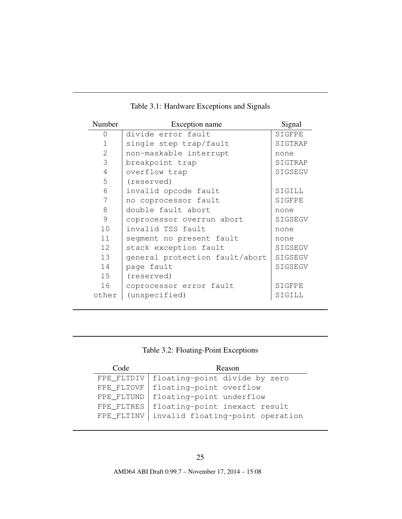| Number          | Exception name                 | Signal  |
|-----------------|--------------------------------|---------|
| $\Omega$        | divide error fault             | SIGFPE  |
| $\mathbf{1}$    | single step trap/fault         | SIGTRAP |
| 2               | non-maskable interrupt         | none    |
| 3               | breakpoint trap                | SIGTRAP |
| 4               | overflow trap                  | SIGSEGV |
| 5               | (reserved)                     |         |
| 6               | invalid opcode fault           | SIGILL  |
| 7               | no coprocessor fault           | SIGFPE  |
| 8               | double fault abort             | none    |
| 9               | coprocessor overrun abort      | SIGSEGV |
| 10              | invalid TSS fault              | none    |
| 11              | segment no present fault       | none    |
| 12 <sup>°</sup> | stack exception fault          | SIGSEGV |
| 13              | general protection fault/abort | SIGSEGV |
| 14              | page fault                     | SIGSEGV |
| 15              | (reserved)                     |         |
| 16              | coprocessor error fault        | SIGFPE  |
| other           | (unspecified)                  | SIGILL  |

<span id="page-25-0"></span>Table 3.1: Hardware Exceptions and Signals

<span id="page-25-1"></span>Table 3.2: Floating-Point Exceptions

| Code       | Reason                           |  |
|------------|----------------------------------|--|
| FPE FLTDIV | floating-point divide by zero    |  |
| FPE FLTOVF | floating-point overflow          |  |
| FPE FLTUND | floating-point underflow         |  |
| FPE FLTRES | floating-point inexact result    |  |
| FPE_FLTINV | invalid floating-point operation |  |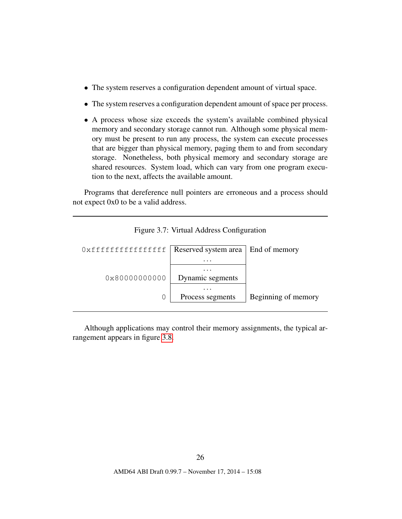- The system reserves a configuration dependent amount of virtual space.
- The system reserves a configuration dependent amount of space per process.
- A process whose size exceeds the system's available combined physical memory and secondary storage cannot run. Although some physical memory must be present to run any process, the system can execute processes that are bigger than physical memory, paging them to and from secondary storage. Nonetheless, both physical memory and secondary storage are shared resources. System load, which can vary from one program execution to the next, affects the available amount.

Programs that dereference null pointers are erroneous and a process should not expect 0x0 to be a valid address.

| Oxfffffffffffffffff | Reserved system area | End of memory       |
|---------------------|----------------------|---------------------|
|                     | $\cdots$             |                     |
|                     |                      |                     |
| 0x80000000000       | Dynamic segments     |                     |
|                     |                      |                     |
|                     | Process segments     | Beginning of memory |
|                     |                      |                     |

<span id="page-26-0"></span>Figure 3.7: Virtual Address Configuration

Although applications may control their memory assignments, the typical arrangement appears in figure [3.8.](#page-27-3)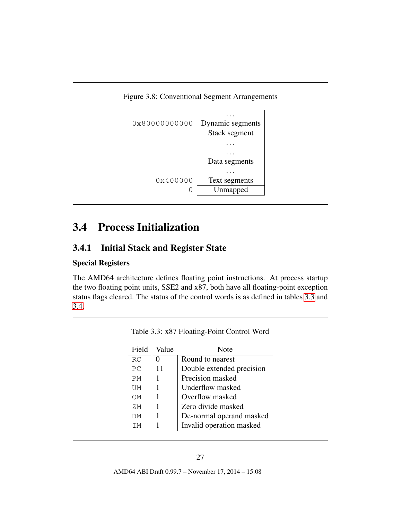<span id="page-27-3"></span>Figure 3.8: Conventional Segment Arrangements



## <span id="page-27-0"></span>3.4 Process Initialization

### <span id="page-27-1"></span>3.4.1 Initial Stack and Register State

#### Special Registers

The AMD64 architecture defines floating point instructions. At process startup the two floating point units, SSE2 and x87, both have all floating-point exception status flags cleared. The status of the control words is as defined in tables [3.3](#page-27-2) and [3.4.](#page-28-0)

| Field | Value | Note                      |
|-------|-------|---------------------------|
| RC    |       | Round to nearest          |
| PC    | 11    | Double extended precision |
| РM    |       | Precision masked          |
| UМ    |       | Underflow masked          |
| OM    | 1     | Overflow masked           |
| ZM.   |       | Zero divide masked        |
| DМ    |       | De-normal operand masked  |
| TМ    |       | Invalid operation masked  |

<span id="page-27-2"></span>Table 3.3: x87 Floating-Point Control Word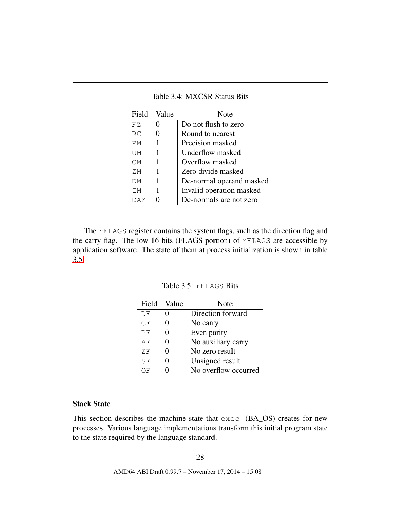| Field     | Value | Note                     |
|-----------|-------|--------------------------|
| F 7.      |       | Do not flush to zero     |
| RC        |       | Round to nearest         |
| <b>PM</b> |       | Precision masked         |
| UМ        | 1     | Underflow masked         |
| OМ        |       | Overflow masked          |
| ΖM.       |       | Zero divide masked       |
| DМ        | 1     | De-normal operand masked |
| TM.       |       | Invalid operation masked |
| DAZ       |       | De-normals are not zero  |
|           |       |                          |

<span id="page-28-0"></span>Table 3.4: MXCSR Status Bits

The rFLAGS register contains the system flags, such as the direction flag and the carry flag. The low 16 bits (FLAGS portion) of rFLAGS are accessible by application software. The state of them at process initialization is shown in table [3.5.](#page-28-1)

<span id="page-28-1"></span>Table 3.5: rFLAGS Bits

| Field | Value | Note                 |
|-------|-------|----------------------|
| DF    |       | Direction forward    |
| СF    |       | No carry             |
| ΡF    |       | Even parity          |
| ΑF    |       | No auxiliary carry   |
| 7.F   |       | No zero result       |
| SF    |       | Unsigned result      |
| )F    |       | No overflow occurred |
|       |       |                      |

#### Stack State

This section describes the machine state that exec (BA\_OS) creates for new processes. Various language implementations transform this initial program state to the state required by the language standard.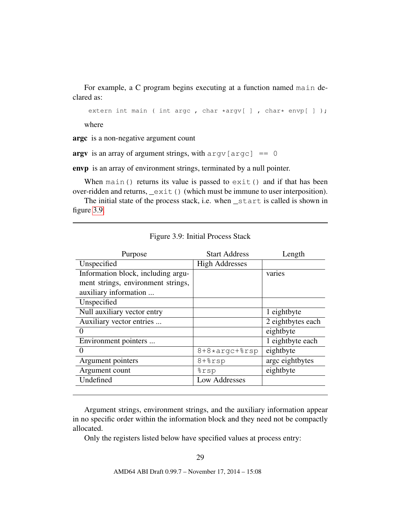For example, a C program begins executing at a function named main declared as:

extern int main ( int argc, char \*argv[ ], char\* envp[ ]);

where

argc is a non-negative argument count

argy is an array of argument strings, with  $\arg v$  [argc] == 0

envp is an array of environment strings, terminated by a null pointer.

When main() returns its value is passed to  $ext{exit}$  and if that has been over-ridden and returns, \_exit() (which must be immune to user interposition).

The initial state of the process stack, i.e. when \_start is called is shown in figure [3.9.](#page-29-0)

| Purpose                            | <b>Start Address</b>  | Length            |
|------------------------------------|-----------------------|-------------------|
| Unspecified                        | <b>High Addresses</b> |                   |
| Information block, including argu- |                       | varies            |
| ment strings, environment strings, |                       |                   |
| auxiliary information              |                       |                   |
| Unspecified                        |                       |                   |
| Null auxiliary vector entry        |                       | 1 eightbyte       |
| Auxiliary vector entries           |                       | 2 eightbytes each |
|                                    |                       | eightbyte         |
| Environment pointers               |                       | 1 eightbyte each  |
| $\theta$                           | $8+8*argc+8rsp$       | eightbyte         |
| Argument pointers                  | $8+8$ rsp             | arge eightbytes   |
| Argument count                     | %rsp                  | eightbyte         |
| Undefined                          | Low Addresses         |                   |
|                                    |                       |                   |

<span id="page-29-0"></span>Figure 3.9: Initial Process Stack

Argument strings, environment strings, and the auxiliary information appear in no specific order within the information block and they need not be compactly allocated.

Only the registers listed below have specified values at process entry: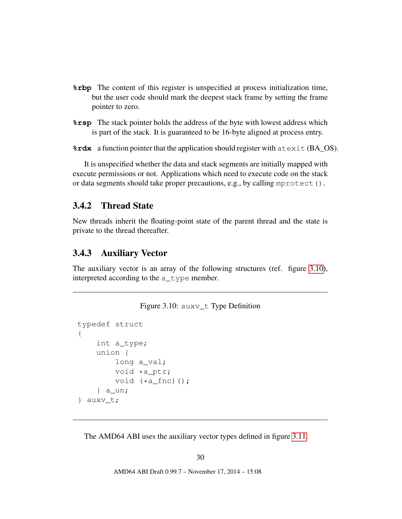- **%rbp** The content of this register is unspecified at process initialization time, but the user code should mark the deepest stack frame by setting the frame pointer to zero.
- **%rsp** The stack pointer holds the address of the byte with lowest address which is part of the stack. It is guaranteed to be 16-byte aligned at process entry.

**%rdx** a function pointer that the application should register with atexit (BA\_OS).

It is unspecified whether the data and stack segments are initially mapped with execute permissions or not. Applications which need to execute code on the stack or data segments should take proper precautions, e.g., by calling mprotect().

#### <span id="page-30-0"></span>3.4.2 Thread State

New threads inherit the floating-point state of the parent thread and the state is private to the thread thereafter.

#### <span id="page-30-1"></span>3.4.3 Auxiliary Vector

The auxiliary vector is an array of the following structures (ref. figure [3.10\)](#page-30-2), interpreted according to the a\_type member.

#### <span id="page-30-2"></span>Figure 3.10: auxv\_t Type Definition

```
typedef struct
{
    int a_type;
    union {
        long a_val;
        void *a_ptr;
        void (*a_fnc)();} a_un;
} auxv_t;
```
The AMD64 ABI uses the auxiliary vector types defined in figure [3.11.](#page-31-0)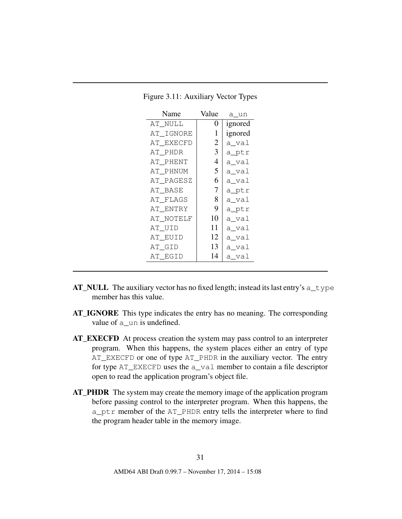<span id="page-31-0"></span>

| Name      | Value          | a un    |
|-----------|----------------|---------|
| AT NULL   | 0              | ignored |
| AT IGNORE | 1              | ignored |
| AT EXECFD | $\overline{2}$ | a_val   |
| AT PHDR   | 3              | a_ptr   |
| AT PHENT  | $\overline{4}$ | a_val   |
| AT PHNUM  | 5              | a_val   |
| AT_PAGESZ | 6              | a_val   |
| AT_BASE   | 7              | a_ptr   |
| AT FLAGS  | 8              | a_val   |
| AT ENTRY  | 9              | a_ptr   |
| AT NOTELF | 10             | a_val   |
| AT UID    | 11             | a_val   |
| AT EUID   | 12             | a_val   |
| AT GID    | 13             | a_val   |
| AT EGID   | 14             | a_val   |

Figure 3.11: Auxiliary Vector Types

- $AT\_NULL$  The auxiliary vector has no fixed length; instead its last entry's  $a_t$ member has this value.
- AT\_IGNORE This type indicates the entry has no meaning. The corresponding value of  $a$ <sub>un</sub> is undefined.
- AT\_EXECFD At process creation the system may pass control to an interpreter program. When this happens, the system places either an entry of type AT\_EXECFD or one of type AT\_PHDR in the auxiliary vector. The entry for type AT\_EXECFD uses the a\_val member to contain a file descriptor open to read the application program's object file.
- AT\_PHDR The system may create the memory image of the application program before passing control to the interpreter program. When this happens, the a\_ptr member of the AT\_PHDR entry tells the interpreter where to find the program header table in the memory image.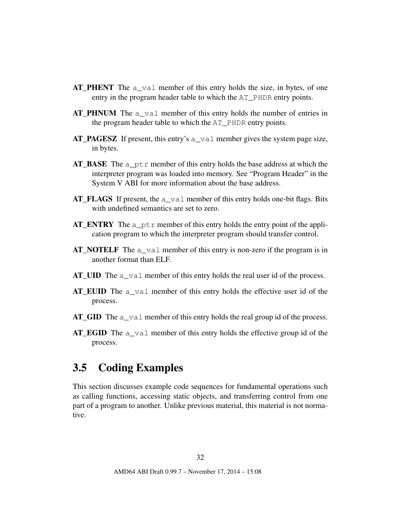- **AT\_PHENT** The  $a$ <sub>\_val</sub> member of this entry holds the size, in bytes, of one entry in the program header table to which the AT\_PHDR entry points.
- AT PHNUM The a val member of this entry holds the number of entries in the program header table to which the AT\_PHDR entry points.
- AT\_PAGESZ If present, this entry's  $a$ \_val member gives the system page size, in bytes.
- AT BASE The a  $ptr$  member of this entry holds the base address at which the interpreter program was loaded into memory. See "Program Header" in the System V ABI for more information about the base address.
- $AT\_FLAGS$  If present, the a\_val member of this entry holds one-bit flags. Bits with undefined semantics are set to zero.
- AT ENTRY The a  $ptr$  member of this entry holds the entry point of the application program to which the interpreter program should transfer control.
- AT\_NOTELF The a\_val member of this entry is non-zero if the program is in another format than ELF.
- AT\_UID The a\_val member of this entry holds the real user id of the process.
- AT\_EUID The a\_val member of this entry holds the effective user id of the process.
- AT\_GID The a\_val member of this entry holds the real group id of the process.
- AT\_EGID The a\_val member of this entry holds the effective group id of the process.

## <span id="page-32-0"></span>3.5 Coding Examples

This section discusses example code sequences for fundamental operations such as calling functions, accessing static objects, and transferring control from one part of a program to another. Unlike previous material, this material is not normative.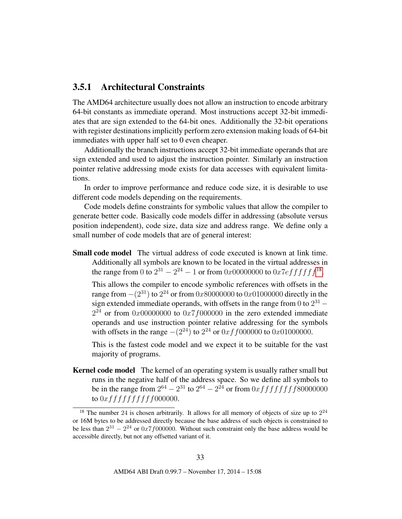### <span id="page-33-0"></span>3.5.1 Architectural Constraints

The AMD64 architecture usually does not allow an instruction to encode arbitrary 64-bit constants as immediate operand. Most instructions accept 32-bit immediates that are sign extended to the 64-bit ones. Additionally the 32-bit operations with register destinations implicitly perform zero extension making loads of 64-bit immediates with upper half set to 0 even cheaper.

Additionally the branch instructions accept 32-bit immediate operands that are sign extended and used to adjust the instruction pointer. Similarly an instruction pointer relative addressing mode exists for data accesses with equivalent limitations.

In order to improve performance and reduce code size, it is desirable to use different code models depending on the requirements.

Code models define constraints for symbolic values that allow the compiler to generate better code. Basically code models differ in addressing (absolute versus position independent), code size, data size and address range. We define only a small number of code models that are of general interest:

Small code model The virtual address of code executed is known at link time. Additionally all symbols are known to be located in the virtual addresses in the range from 0 to  $2^{31} - 2^{24} - 1$  or from 0x00000000 to 0x7effffff<sup>[18](#page-33-1)</sup>.

This allows the compiler to encode symbolic references with offsets in the range from  $-(2^{31})$  to  $2^{24}$  or from  $0x80000000$  to  $0x01000000$  directly in the sign extended immediate operands, with offsets in the range from 0 to  $2^{31}$  –  $2^{24}$  or from 0x00000000 to 0x7f000000 in the zero extended immediate operands and use instruction pointer relative addressing for the symbols with offsets in the range  $-(2^{24})$  to  $2^{24}$  or  $0xff000000$  to  $0x01000000$ .

This is the fastest code model and we expect it to be suitable for the vast majority of programs.

Kernel code model The kernel of an operating system is usually rather small but runs in the negative half of the address space. So we define all symbols to be in the range from  $2^{64} - 2^{31}$  to  $2^{64} - 2^{24}$  or from  $0xffffffff80000000$ to  $0xffffffffffff0000000$ .

<span id="page-33-1"></span><sup>&</sup>lt;sup>18</sup> The number 24 is chosen arbitrarily. It allows for all memory of objects of size up to  $2^{24}$ or 16M bytes to be addressed directly because the base address of such objects is constrained to be less than  $2^{31} - 2^{24}$  or  $0x7f000000$ . Without such constraint only the base address would be accessible directly, but not any offsetted variant of it.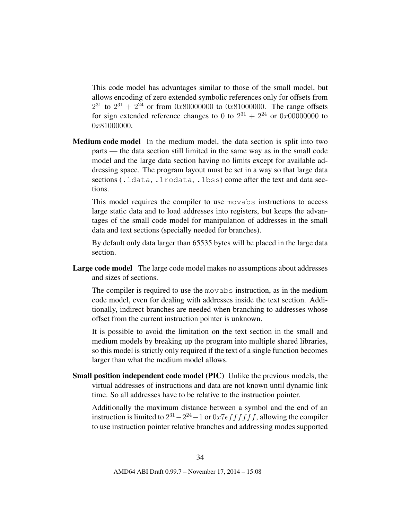This code model has advantages similar to those of the small model, but allows encoding of zero extended symbolic references only for offsets from  $2^{31}$  to  $2^{31} + 2^{24}$  or from 0x80000000 to 0x81000000. The range offsets for sign extended reference changes to 0 to  $2^{31} + 2^{24}$  or 0x00000000 to  $0x81000000$ .

Medium code model In the medium model, the data section is split into two parts — the data section still limited in the same way as in the small code model and the large data section having no limits except for available addressing space. The program layout must be set in a way so that large data sections (. 1 data, . 1 rodata, . 1 bss) come after the text and data sections.

This model requires the compiler to use movabs instructions to access large static data and to load addresses into registers, but keeps the advantages of the small code model for manipulation of addresses in the small data and text sections (specially needed for branches).

By default only data larger than 65535 bytes will be placed in the large data section.

Large code model The large code model makes no assumptions about addresses and sizes of sections.

The compiler is required to use the movabs instruction, as in the medium code model, even for dealing with addresses inside the text section. Additionally, indirect branches are needed when branching to addresses whose offset from the current instruction pointer is unknown.

It is possible to avoid the limitation on the text section in the small and medium models by breaking up the program into multiple shared libraries, so this model is strictly only required if the text of a single function becomes larger than what the medium model allows.

Small position independent code model (PIC) Unlike the previous models, the virtual addresses of instructions and data are not known until dynamic link time. So all addresses have to be relative to the instruction pointer.

Additionally the maximum distance between a symbol and the end of an instruction is limited to  $2^{31} - 2^{24} - 1$  or  $0x7effffff$ , allowing the compiler to use instruction pointer relative branches and addressing modes supported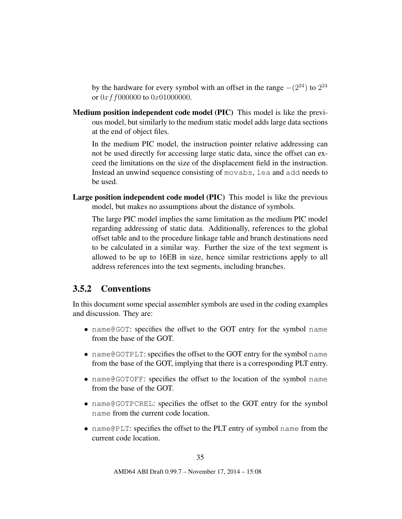by the hardware for every symbol with an offset in the range  $-(2^{24})$  to  $2^{24}$ or  $0xff000000$  to  $0x01000000$ .

Medium position independent code model (PIC) This model is like the previous model, but similarly to the medium static model adds large data sections at the end of object files.

In the medium PIC model, the instruction pointer relative addressing can not be used directly for accessing large static data, since the offset can exceed the limitations on the size of the displacement field in the instruction. Instead an unwind sequence consisting of movabs, lea and add needs to be used.

Large position independent code model (PIC) This model is like the previous model, but makes no assumptions about the distance of symbols.

The large PIC model implies the same limitation as the medium PIC model regarding addressing of static data. Additionally, references to the global offset table and to the procedure linkage table and branch destinations need to be calculated in a similar way. Further the size of the text segment is allowed to be up to 16EB in size, hence similar restrictions apply to all address references into the text segments, including branches.

#### <span id="page-35-0"></span>3.5.2 Conventions

In this document some special assembler symbols are used in the coding examples and discussion. They are:

- name@GOT: specifies the offset to the GOT entry for the symbol name from the base of the GOT.
- name@GOTPLT: specifies the offset to the GOT entry for the symbol name from the base of the GOT, implying that there is a corresponding PLT entry.
- name@GOTOFF: specifies the offset to the location of the symbol name from the base of the GOT.
- name@GOTPCREL: specifies the offset to the GOT entry for the symbol name from the current code location.
- name@PLT: specifies the offset to the PLT entry of symbol name from the current code location.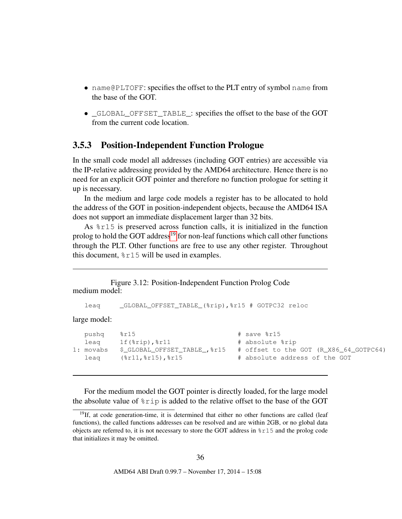- name@PLTOFF: specifies the offset to the PLT entry of symbol name from the base of the GOT.
- \_GLOBAL\_OFFSET\_TABLE\_: specifies the offset to the base of the GOT from the current code location.

### 3.5.3 Position-Independent Function Prologue

In the small code model all addresses (including GOT entries) are accessible via the IP-relative addressing provided by the AMD64 architecture. Hence there is no need for an explicit GOT pointer and therefore no function prologue for setting it up is necessary.

In the medium and large code models a register has to be allocated to hold the address of the GOT in position-independent objects, because the AMD64 ISA does not support an immediate displacement larger than 32 bits.

As %r15 is preserved across function calls, it is initialized in the function prolog to hold the GOT address<sup>[19](#page-36-0)</sup> for non-leaf functions which call other functions through the PLT. Other functions are free to use any other register. Throughout this document,  $\epsilon r15$  will be used in examples.

Figure 3.12: Position-Independent Function Prolog Code medium model:

<span id="page-36-1"></span>leaq \_GLOBAL\_OFFSET\_TABLE\_(%rip),%r15 # GOTPC32 reloc

large model:

```
pushq \text{8r15} \text{# save } \text{8r15}leaq 1f(%rip),%r11   # absolute %rip
1: movabs $_GLOBAL_OFFSET_TABLE_,%r15 # offset to the GOT (R_X86_64_GOTPC64)
  leaq (%r11,%r15),%r15 # absolute address of the GOT
```
For the medium model the GOT pointer is directly loaded, for the large model the absolute value of  $\epsilon$  rip is added to the relative offset to the base of the GOT

<span id="page-36-0"></span> $19$ If, at code generation-time, it is determined that either no other functions are called (leaf functions), the called functions addresses can be resolved and are within 2GB, or no global data objects are referred to, it is not necessary to store the GOT address in %r15 and the prolog code that initializes it may be omitted.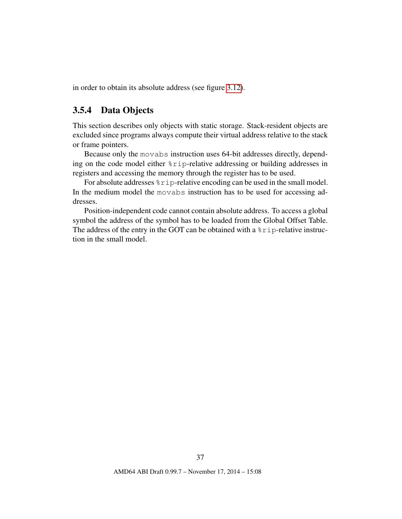in order to obtain its absolute address (see figure [3.12\)](#page-36-1).

### 3.5.4 Data Objects

This section describes only objects with static storage. Stack-resident objects are excluded since programs always compute their virtual address relative to the stack or frame pointers.

Because only the movabs instruction uses 64-bit addresses directly, depending on the code model either %rip-relative addressing or building addresses in registers and accessing the memory through the register has to be used.

For absolute addresses  $r$  ip-relative encoding can be used in the small model. In the medium model the movabs instruction has to be used for accessing addresses.

Position-independent code cannot contain absolute address. To access a global symbol the address of the symbol has to be loaded from the Global Offset Table. The address of the entry in the GOT can be obtained with a  $\epsilon$  rip-relative instruction in the small model.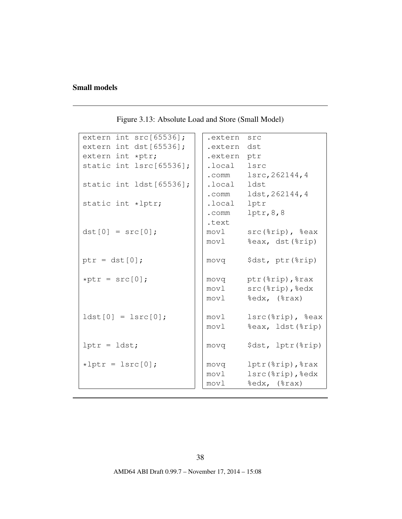### Small models

Figure 3.13: Absolute Load and Store (Small Model)

```
extern int src[65536]; \vert \cdot \vert .extern src
extern int dst[65536]; \vert \cdot \vert .extern dst
extern int *ptr; \vert \cdot \vert .extern ptr
static int lsrc[65536]; | .local lsrc
                           .comm lsrc,262144,4
static int ldst[65536]; | .local ldst
                           .comm ldst,262144,4
static int *lptr; | | .local lptr
                           .comm lptr, 8,8
                           .text
dst[0] = \text{src}[0]; \vert \vert movl src(\text{circ}), \text{seax}movl %eax, dst(%rip)
ptr = dst[0]; \vert \vert movq stat, ptr(%rip)
*ptr = src[0]; |nowq =ptr(*rip),*raxmovl src(%rip),%edx
                           movl %edx, (%rax)
ldst[0] = lsrc[0]; \vert \vert movl lsrc({\text{kip}}), \text{seax}movl %eax, ldst(%rip)
lptr = ldst; \vert \vert movq $dst, lptr(%rip)
*lptr = lsrc[0]; \vert \vert movq lptr(*rip), *rasmovl lsrc(%rip), %edx
                           movl %edx, (%rax)
```
38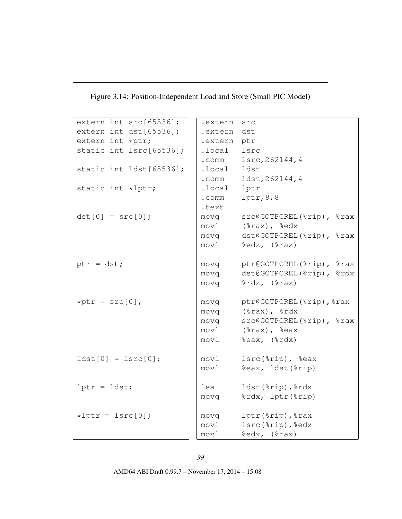Figure 3.14: Position-Independent Load and Store (Small PIC Model)

```
extern int src[65536]; \vert \cdot \vert .extern src
extern int dst[65536]; \vert \cdot \vert .extern dst
extern int *ptr; \vert \cdot \vert .extern ptr
static int lsrc[65536]; | .local lsrc
                          .comm lsrc,262144,4
static int ldst[65536]; | .local ldst
                          .comm ldst,262144,4
static int *lptr; | | .local lptr
                          .comm lptr, 8,8
                          .text
dst[0] = src[0]; \vert \vert movq src[\text{GOTPCREL}(\text{srip}), \text{fsrax}movl (%rax), %edx
                         movq dst@GOTPCREL(%rip), %rax
                         movl %edx, (%rax)
ptr = dst; \vert movq ptr@GOTPCREL(%rip), %rax
                         movq dst@GOTPCREL(%rip), %rdx
                         movq %rdx, (%rax)
*ptr = src[0]; |move|movq ptr@GOTPCREL(%rip), %rax
                         movq (%rax), %rdx
                         movq src@GOTPCREL(%rip), %rax
                         movl (%rax), %eax
                         movl %eax, (%rdx)
ldst[0] = lsrc[0]; \vert \vert movl lsrc({\text{kip}}), \text{seax}movl %eax, ldst(%rip)
lptr = ldst; | | lea ldst (i>rip), rbracerdx
                         movq %rdx, lptr(%rip)
*lptr = lsrc[0]; \vert movq lptr(*rip), *raxmovl lsrc(%rip),%edx
                         movl %edx, (%rax)
```
AMD64 ABI Draft 0.99.7 – November 17, 2014 – 15:08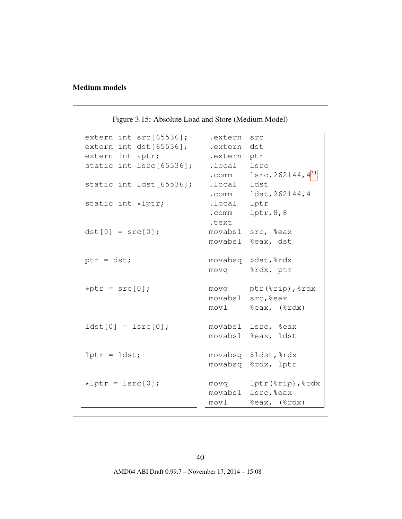### Medium models

extern int src[65536];  $\vert \vert$  .extern src extern int dst[65536];  $\vert \cdot \vert$  .extern dst extern int \*ptr;  $\vert \cdot \vert$  .extern ptr static int  $lsrc[65536]$ ;  $|$  .local lsrc .comm  $lsrc, 262144, 4^{20}$  $lsrc, 262144, 4^{20}$  $lsrc, 262144, 4^{20}$ static int ldst[65536];  $\vert \cdot \vert$  .local ldst .comm ldst,262144,4 static int \*lptr; | | .local lptr .comm lptr, 8,8 .text dst[0] =  $src[0]$ ;  $\vert$  movabsl src, %eax movabsl %eax, dst ptr = dst;  $\vert$  movabsq \$dst,  $\text{grad }$ movq %rdx, ptr  $*ptr = src[0];$   $|nowq =ptr(*rip), *rdx$ movabsl src,%eax movl %eax, (%rdx)  $ldst[0] = lsrc[0];$  | | movabsl lsrc,  $seax$ movabsl %eax, ldst lptr = ldst;  $\vert$  movabsq \$ldst, %rdx movabsq %rdx, lptr  $*lptr = lsrc[0];$   $\vert$   $\vert$  movq  $lptr$  ( $*rip$ ),  $*rdx$ movabsl lsrc,%eax movl %eax, (%rdx)

Figure 3.15: Absolute Load and Store (Medium Model)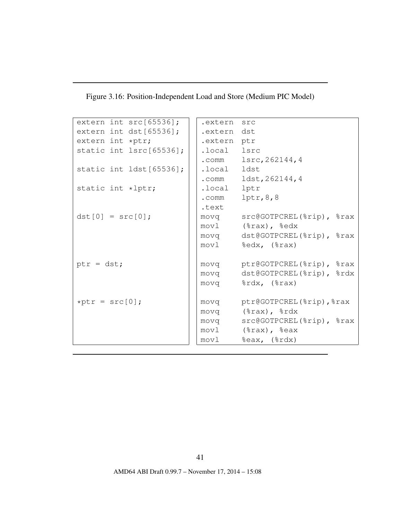Figure 3.16: Position-Independent Load and Store (Medium PIC Model)

```
extern int src[65536]; | .extern src
extern int dst[65536]; \vert \cdot \vert .extern dst
extern int *ptr; \|\cdot\| .extern ptr
static int lsrc[65536]; | .local lsrc
                        .comm lsrc,262144,4
static int ldst[65536]; | .local ldst
                        .comm ldst,262144,4
static int *lptr; | | .local lptr
                        .comm lptr,8,8
                        .text
dst[0] = src[0]; \vert \vert movq src@GOTPCREL(%rip), %rax
                        movl (%rax), %edx
                        movq dst@GOTPCREL(%rip), %rax
                        movl %edx, (%rax)
ptr = dst; \vert movq ptr@GOTPCREL(%rip), %rax
                        movq dst@GOTPCREL(%rip), %rdx
                        movq %rdx, (%rax)
*ptr = src[0]; |move|movq ptr@GOTPCREL(%rip), %rax
                        movq (%rax), %rdx
                        movq src@GOTPCREL(%rip), %rax
                        movl (%rax), %eax
                        movl %eax, (%rdx)
```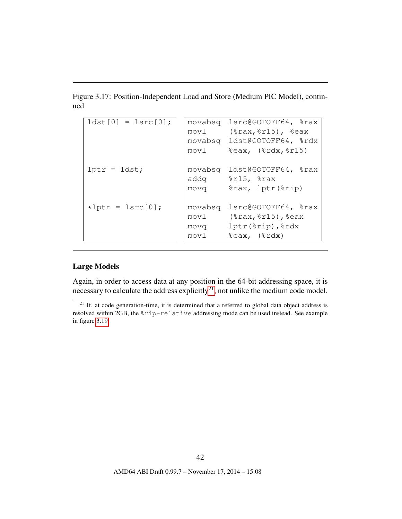Figure 3.17: Position-Independent Load and Store (Medium PIC Model), continued

| $ldst[0] = lsrc[0];$ | movabsq<br>mov1                 | lsrc@GOTOFF64, %rax<br>$mov1$ ( $8raw, 8r15$ ), $8eax$<br>movabsq ldst@GOTOFF64, %rdx<br>$\text{seax}, \text{ (}x, \text{str15})$ |
|----------------------|---------------------------------|-----------------------------------------------------------------------------------------------------------------------------------|
| $lptr = ldst;$       | movabsq<br>addq<br>movq         | ldst@GOTOFF64, %rax<br>$8r15$ , $8rax$<br>%rax, lptr(%rip)                                                                        |
| $*lptr = lsrc[0];$   | movabsq<br>mov1<br>movq<br>movl | lsrc@GOTOFF64, %rax<br>$(\text{grav}, \text{8r15})$ , $\text{seax}$<br>lptr(%rip), %rdx<br>%eax, (%rdx)                           |

#### Large Models

Again, in order to access data at any position in the 64-bit addressing space, it is necessary to calculate the address explicitly<sup>[21](#page-42-0)</sup>, not unlike the medium code model.

<span id="page-42-0"></span> $21$  If, at code generation-time, it is determined that a referred to global data object address is resolved within 2GB, the %rip-relative addressing mode can be used instead. See example in figure [3.19.](#page-43-0)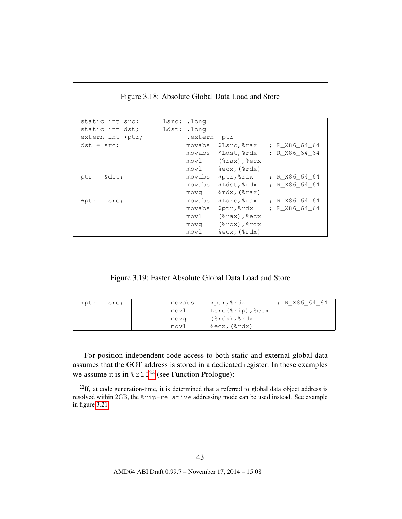| static int src;  | Lsrc: .long |         |                                 |               |
|------------------|-------------|---------|---------------------------------|---------------|
| static int dst;  | Ldst: .long |         |                                 |               |
| extern int *ptr; |             | .extern | ptr                             |               |
| $dst = src;$     |             | movabs  | \$Lsrc,%rax                     | ; R X86 64 64 |
|                  |             | movabs  | \$Ldst,%rdx                     | ; R X86 64 64 |
|                  |             | movl    | $(\text{grav})$ , $\text{sec}x$ |               |
|                  |             | movl    | %ecx, (%rdx)                    |               |
| $ptr = \&dst$    |             | movabs  | \$ptr,%rax                      | ; R X86 64 64 |
|                  |             | movabs  | \$Ldst,%rdx                     | ; R X86 64 64 |
|                  |             | movq    | $\text{grad}$ , $(\text{grad})$ |               |
| $*ptr = src;$    |             | movabs  | \$Lsrc,%rax                     | ; R X86 64 64 |
|                  |             | movabs  | \$ptr,%rdx                      | ; R X86 64 64 |
|                  |             | movl    | $(\text{grav})$ , $\text{sec}$  |               |
|                  |             | movq    | (%rdx),%rdx                     |               |
|                  |             | movl    | %ecx, (%rdx)                    |               |

Figure 3.18: Absolute Global Data Load and Store

<span id="page-43-0"></span>

| $*ptr = src;$ | movabs           | Sptr, &rdx                     | ; R X86 64 64 |
|---------------|------------------|--------------------------------|---------------|
|               | mov <sub>l</sub> | Lsrc(%rip), %ecx               |               |
|               | mova             | $(\text{grad } , \text{grad }$ |               |
|               | movl             | %ecx, (%rdx)                   |               |

For position-independent code access to both static and external global data assumes that the GOT address is stored in a dedicated register. In these examples we assume it is in  $z15^{22}$  $z15^{22}$  $z15^{22}$  (see Function Prologue):

<span id="page-43-1"></span> $^{22}$ If, at code generation-time, it is determined that a referred to global data object address is resolved within 2GB, the %rip-relative addressing mode can be used instead. See example in figure [3.21.](#page-44-0)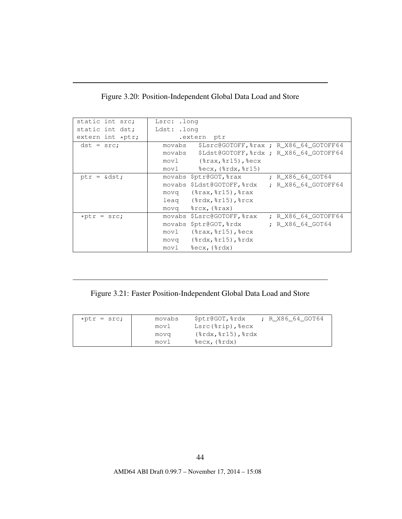| static int src;  | Lsrc: .long                                          |  |  |  |  |
|------------------|------------------------------------------------------|--|--|--|--|
| static int dst;  | Ldst: .long                                          |  |  |  |  |
| extern int *ptr; | .extern ptr                                          |  |  |  |  |
| $dst = src;$     | \$Lsrc@GOTOFF, %rax ; R X86 64 GOTOFF64<br>movabs    |  |  |  |  |
|                  | \$Ldst@GOTOFF, &rdx ; R X86 64 GOTOFF64<br>movabs    |  |  |  |  |
|                  | $mov1$ ( $\text{grav}, \text{8r15}$ ), $\text{secx}$ |  |  |  |  |
|                  | movl %ecx, (%rdx, %r15)                              |  |  |  |  |
| $ptr = \&dst$    | movabs \$ptr@GOT, \$rax ; R X86 64 GOT64             |  |  |  |  |
|                  | movabs \$Ldst@GOTOFF, *rdx ; R_X86_64_GOTOFF64       |  |  |  |  |
|                  | $movq$ $(*rax, *r15)$ , $*rxx$                       |  |  |  |  |
|                  | $leaq$ $(8rdx, 8r15)$ , $8rcx$                       |  |  |  |  |
|                  | movq %rcx, (%rax)                                    |  |  |  |  |
| $*ptr = src;$    | ; R X86 64 GOTOFF64<br>movabs \$Lsrc@GOTOFF, \$rax   |  |  |  |  |
|                  | movabs \$ptr@GOT, \$rdx ; R X86 64 GOT64             |  |  |  |  |
|                  | $(\text{grav}, \text{8r15})$ , $\text{sec}x$<br>movl |  |  |  |  |
|                  | $movq$ $(*rdx, *r15)$ , $rdx$                        |  |  |  |  |
|                  | movl %ecx, (%rdx)                                    |  |  |  |  |

Figure 3.20: Position-Independent Global Data Load and Store

<span id="page-44-0"></span>Figure 3.21: Faster Position-Independent Global Data Load and Store

| $*ptr = src;$ | movabs           | \$ptr@GOT,%rdx                                     | ; R X86 64 GOT64 |
|---------------|------------------|----------------------------------------------------|------------------|
|               | movl             | Lsrc(%rip), %ecx                                   |                  |
|               | mova             | $(\text{grad} x, \text{grad} 5)$ , $\text{grad} x$ |                  |
|               | mov <sub>1</sub> | %ecx, (%rdx)                                       |                  |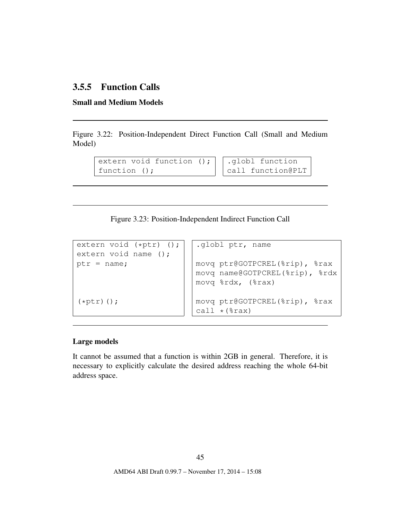## 3.5.5 Function Calls

### Small and Medium Models

Figure 3.22: Position-Independent Direct Function Call (Small and Medium Model)

```
extern void function (); \sqrt{\cdot} .globl function
function (); \vert call function@PLT
```
Figure 3.23: Position-Independent Indirect Function Call

```
extern void (*ptr) (); . .globl ptr, name
extern void name ();
ptr = name; \vert \vert movq ptr@GOTPCREL(%rip), %rax
                       movq name@GOTPCREL(%rip), %rdx
                       movq %rdx, (%rax)
(*ptr)(); movq ptr@GOTPCREL(%rip), %rax
                        call *(*rax)
```
### Large models

It cannot be assumed that a function is within 2GB in general. Therefore, it is necessary to explicitly calculate the desired address reaching the whole 64-bit address space.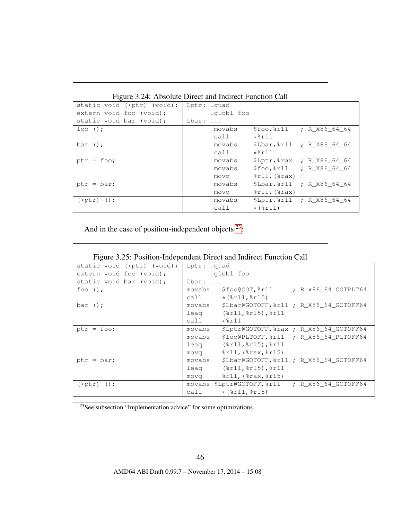| static void (*ptr) (void); | Lptr: | .quad      |                                     |  |
|----------------------------|-------|------------|-------------------------------------|--|
| extern void foo (void);    |       | .globl foo |                                     |  |
| static void bar (void);    | Lbar: | $\cdots$   |                                     |  |
| foo $()$ ;                 |       | movabs     | \$foo, %r11 ; R X86 64 64           |  |
|                            |       | call       | $*8r11$                             |  |
| $bar($ );                  |       | movabs     | \$Lbar, %r11 ; R_X86_64_64          |  |
|                            |       | call       | $*8r11$                             |  |
| $ptr = foo;$               |       | movabs     | \$Lptr, %rax ; R X86 64 64          |  |
|                            |       | movabs     | \$foo, %r11 ; R X86 64 64           |  |
|                            |       | movq       | $\text{str11}$ , ( $\text{strax}$ ) |  |
| $ptr = bar:$               |       | movabs     | \$Lbar, %r11 ; R X86 64 64          |  |
|                            |       | movq       | $\text{str11, (grav)}$              |  |
| $(*ptr)$ ();               |       | movabs     | \$Lptr, %r11 ; R_X86_64_64          |  |
|                            |       | call       | $\star$ (%r11)                      |  |

Figure 3.24: Absolute Direct and Indirect Function Call

And in the case of position-independent objects <sup>[23](#page-46-0)</sup>:

| Figure 3.25: Position-Independent Direct and Indirect Function Call |  |  |
|---------------------------------------------------------------------|--|--|
|                                                                     |  |  |

| static void $(*ptr)$ (void); | Lptr: .quad |                                                       |  |                                         |  |
|------------------------------|-------------|-------------------------------------------------------|--|-----------------------------------------|--|
| extern void foo (void);      | .globl foo  |                                                       |  |                                         |  |
| static void bar (void);      | Lbar:       |                                                       |  |                                         |  |
| foo $()$ ;                   | movabs      | \$foo@GOT,%r11                                        |  | ; R x86 64 GOTPLT64                     |  |
|                              | call        | $\star$ (%r11,%r15)                                   |  |                                         |  |
| $bar($ );                    | movabs      |                                                       |  | \$Lbar@GOTOFF, %r11 ; R X86 64 GOTOFF64 |  |
|                              | leag        | $(\frac{1}{2}r11, \frac{1}{2}r15)$ , $\frac{1}{2}r11$ |  |                                         |  |
|                              | call        | $*8r11$                                               |  |                                         |  |
| $ptr = foo;$                 | movabs      |                                                       |  | \$Lptr@GOTOFF, %rax ; R X86 64 GOTOFF64 |  |
|                              | movabs      |                                                       |  | \$foo@PLTOFF,%r11 ; R_X86_64_PLTOFF64   |  |
|                              | leag        | (%r11,%r15),%r11                                      |  |                                         |  |
|                              | movq        | $\frac{1}{2}$ (%rax, %r15)                            |  |                                         |  |
| ptr = $bar:$                 | movabs      |                                                       |  | \$Lbar@GOTOFF, %r11 ; R X86 64 GOTOFF64 |  |
|                              | leag        | (%r11,%r15),%r11                                      |  |                                         |  |
|                              | movq        | $\frac{1}{2}$ (%rax, %r15)                            |  |                                         |  |
| $(\star$ ptr) ();            |             | movabs \$Lptr@GOTOFF, %r11                            |  | ; R X86 64 GOTOFF64                     |  |
|                              | call        | $\star$ (%r11, %r15)                                  |  |                                         |  |

<span id="page-46-0"></span><sup>23</sup>See subsection "Implementation advice" for some optimizations.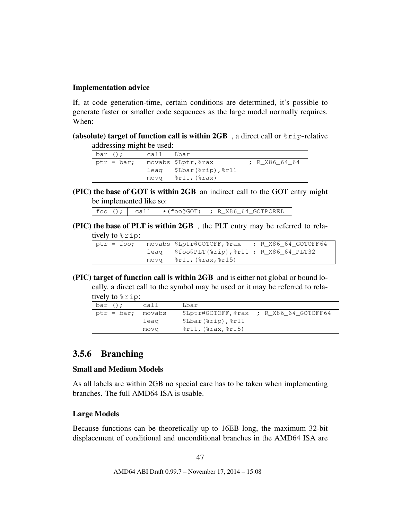#### Implementation advice

If, at code generation-time, certain conditions are determined, it's possible to generate faster or smaller code sequences as the large model normally requires. When:

(absolute) target of function call is within  $2GB$ , a direct call or  $\epsilon$  rip-relative addressing might be used:

| bar ();      | call | Lbar                            |               |
|--------------|------|---------------------------------|---------------|
| $ptr = bar;$ |      | movabs \$Lptr, %rax             | ; R X86 64 64 |
|              | leag | \$Lbar(%rip),%r11               |               |
|              | movq | $\text{F11}$ , ( $\text{Fax}$ ) |               |

(PIC) the base of GOT is within 2GB an indirect call to the GOT entry might be implemented like so:

 $\begin{array}{|c|c|c|c|c|c|}\n\hline \text{foo ()}; & \text{call} & \star(\text{foo}\text{GOT}) & \text{;} R_X86\_64\_GOTPCREL}\end{array}$ 

(PIC) the base of PLT is within 2GB , the PLT entry may be referred to relatively to %rip:

|  | ptr = foo;   movabs \$Lptr@GOTOFF, $\text{max}$ ; R_X86_64_GOTOFF64 |  |
|--|---------------------------------------------------------------------|--|
|  | leaq $$foo@PLT(\$rip)$ , $$r11$ ; R_X86_64_PLT32                    |  |
|  | $movq$ $\frac{11}{6}$ ( $\frac{2}{3}$ rax, $\frac{2}{3}$ r15)       |  |

(PIC) target of function call is within 2GB and is either not global or bound locally, a direct call to the symbol may be used or it may be referred to relatively to %rip:

| bar ();               | call | Lbar                                                   |                                          |
|-----------------------|------|--------------------------------------------------------|------------------------------------------|
| ptr = $bar;  $ movabs |      |                                                        | \$Lptr@GOTOFF, & rax ; R X86 64 GOTOFF64 |
|                       | leag | $$Lbar ($rip)$ , $$r11$                                |                                          |
|                       | mova | $\frac{11}{6}$ ( $\frac{2}{3}$ rax, $\frac{2}{3}$ r15) |                                          |

### 3.5.6 Branching

### Small and Medium Models

As all labels are within 2GB no special care has to be taken when implementing branches. The full AMD64 ISA is usable.

### Large Models

Because functions can be theoretically up to 16EB long, the maximum 32-bit displacement of conditional and unconditional branches in the AMD64 ISA are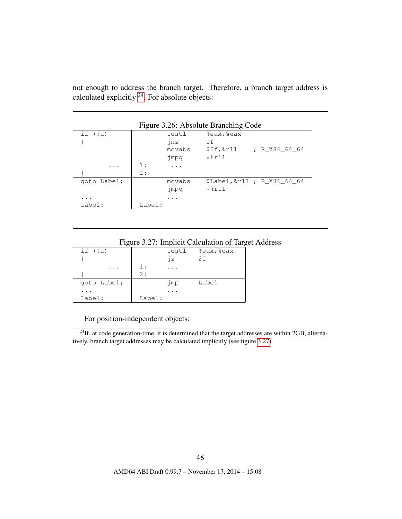not enough to address the branch target. Therefore, a branch target address is calculated explicitly [24](#page-48-0). For absolute objects:

|                         |        |        | $\frac{1}{2}$ igure 5.20. Trosofulte Diamenting Couc |                             |
|-------------------------|--------|--------|------------------------------------------------------|-----------------------------|
| if $(!a)$               |        | testl  | eax, seax                                            |                             |
|                         |        | jnz    | 1f                                                   |                             |
|                         |        | movabs | $$2f,$ $$r11$                                        | ; R X86 64 64               |
|                         |        | jmpq   | $*8r11$                                              |                             |
| $\cdot$ $\cdot$ $\cdot$ | 1:     | .      |                                                      |                             |
|                         | 2:     |        |                                                      |                             |
| qoto Label;             |        | movabs |                                                      | \$Label, %r11 ; R X86 64 64 |
|                         |        | jmpq   | $*8r11$                                              |                             |
| $\cdots$                |        | .      |                                                      |                             |
| Label:                  | Label: |        |                                                      |                             |

Figure 3.26: Absolute Branching Code

<span id="page-48-1"></span>

|  | Figure 3.27: Implicit Calculation of Target Address |
|--|-----------------------------------------------------|
|  |                                                     |

| if $(!a)$   |        | testl | eax, seax |
|-------------|--------|-------|-----------|
|             |        | ήz    | 2f        |
|             | 1:     |       |           |
|             | 2:     |       |           |
| goto Label; |        | jmp   | Label     |
|             |        |       |           |
| Label:      | Label: |       |           |

For position-independent objects:

<span id="page-48-0"></span> $^{24}$ If, at code generation-time, it is determined that the target addresses are within 2GB, alternatively, branch target addresses may be calculated implicitly (see figure [3.27\)](#page-48-1)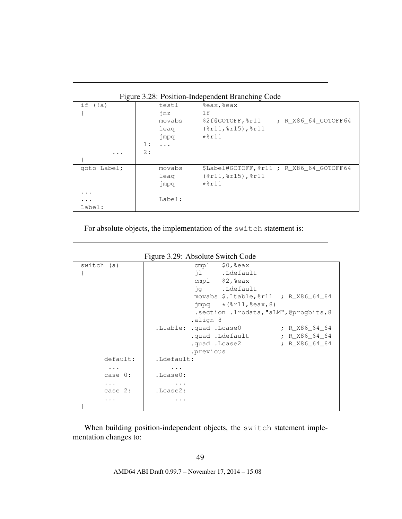|             |                | Tigure 3.20. I USHIDII-HIGCPCHOCHE DIAIRHING COOC     |
|-------------|----------------|-------------------------------------------------------|
| if $(!a)$   | testl          | &eax, &eax                                            |
|             | jnz            | 1f                                                    |
|             | movabs         | \$2f@GOTOFF, %r11 ; R X86 64 GOTOFF64                 |
|             | leag           | $(\frac{1}{2}r11, \frac{1}{2}r15)$ , $\frac{1}{2}r11$ |
|             | jmpq           | $*8r11$                                               |
|             | 1:<br>$\cdots$ |                                                       |
| $\cdot$     | 2:             |                                                       |
|             |                |                                                       |
| goto Label; | movabs         | \$Label@GOTOFF, %r11 ; R X86 64 GOTOFF64              |
|             | leag           | $(\frac{2}{2}r11, \frac{2}{2}r15)$ , $\frac{2}{2}r11$ |
|             | jmpq           | $*8r11$                                               |
| .           |                |                                                       |
| $\cdots$    | Label:         |                                                       |
| Label:      |                |                                                       |

Figure 3.28: Position-Independent Branching Code

For absolute objects, the implementation of the switch statement is:

| switch (a) | $cmpl$ \$0, $secx$                                         |
|------------|------------------------------------------------------------|
|            | il .Ldefault                                               |
|            | $cmpl$ \$2, %eax                                           |
|            | jq .Ldefault                                               |
|            | movabs \$.Ltable, $r11$ ; R X86 64 64                      |
|            | $\text{impq}$ $\star$ ( $\text{sr11}$ , $\text{seax}$ , 8) |
|            | .section .lrodata, "aLM", @progbits, 8                     |
|            | .align 8                                                   |
|            | Ltable: .quad .Lcase0.<br>; R X86 64 64                    |
|            | ; $R_X86_64_64$<br>quad .Ldefault.                         |
|            | ; $R_X86_64_64$<br>quad .Lcase2.                           |
|            | .previous                                                  |
| default:   | .Ldefault:                                                 |
| $\cdots$   |                                                            |
| case 0:    | .Lcase0:                                                   |
| .          |                                                            |
| case $2:$  | .Lcase2:                                                   |
| .          |                                                            |
|            |                                                            |

Figure 3.29: Absolute Switch Code

When building position-independent objects, the switch statement implementation changes to: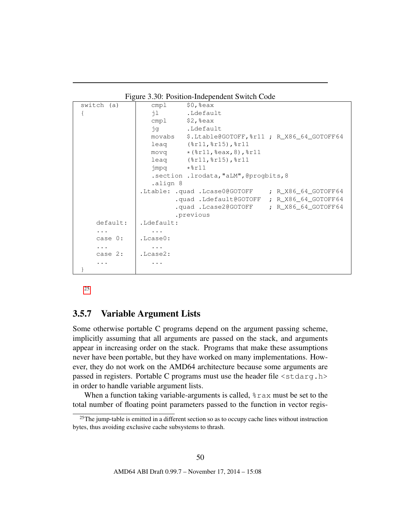| switch (a) | cmp1                                | $$0, $e$ ax                                                                 |
|------------|-------------------------------------|-----------------------------------------------------------------------------|
| $\{$       | il.                                 | .Ldefault                                                                   |
|            |                                     | cmpl $$2,$ keax                                                             |
|            |                                     | jg .Ldefault                                                                |
|            |                                     | movabs \$.Ltable@GOTOFF, & r11; R X86 64 GOTOFF64                           |
|            |                                     | leag (%r11,%r15),%r11                                                       |
|            |                                     | $movq$ * ( $r11, r2eax, 8$ ), $r11$                                         |
|            |                                     | leag (%r11,%r15),%r11                                                       |
|            | $\text{impq}$ $\star$ $\text{*f11}$ |                                                                             |
|            |                                     | . section . lrodata, "aLM", @progbits, 8                                    |
|            | .align 8                            |                                                                             |
|            |                                     | $\texttt{.Ltable: } .quad \texttt{quad .Lcase0@GOTOFF}$ ; R_X86_64_GOTOFF64 |
|            |                                     | .quad .Ldefault@GOTOFF ; R X86 64 GOTOFF64                                  |
|            |                                     | quad .Lcase2@GOTOFF ; R X86 64 GOTOFF64                                     |
|            |                                     | .previous                                                                   |
| default:   | .Ldefault:                          |                                                                             |
| $\cdots$   |                                     |                                                                             |
| case $0:$  | .Lcase0:                            |                                                                             |
| $\cdots$   |                                     |                                                                             |
| case 2:    | .Lcase2:                            |                                                                             |
|            |                                     |                                                                             |
|            |                                     |                                                                             |

Figure 3.30: Position-Independent Switch Code

[25](#page-50-0)

### 3.5.7 Variable Argument Lists

Some otherwise portable C programs depend on the argument passing scheme, implicitly assuming that all arguments are passed on the stack, and arguments appear in increasing order on the stack. Programs that make these assumptions never have been portable, but they have worked on many implementations. However, they do not work on the AMD64 architecture because some arguments are passed in registers. Portable C programs must use the header file  $\langle$ stdarg.h> in order to handle variable argument lists.

When a function taking variable-arguments is called,  $\epsilon$  rax must be set to the total number of floating point parameters passed to the function in vector regis-

<span id="page-50-0"></span><sup>&</sup>lt;sup>25</sup>The jump-table is emitted in a different section so as to occupy cache lines without instruction bytes, thus avoiding exclusive cache subsystems to thrash.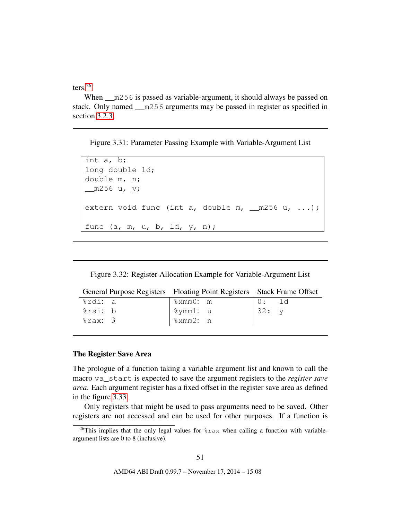ters.[26](#page-51-0)

When  $\text{M256}$  is passed as variable-argument, it should always be passed on stack. Only named \_\_m256 arguments may be passed in register as specified in section [3.2.3.](#page-17-0)

Figure 3.31: Parameter Passing Example with Variable-Argument List

```
int a, b;
long double ld;
double m, n;
__m256 u, y;
extern void func (int a, double m, m256 u, ...);
func (a, m, u, b, ld, y, n);
```
Figure 3.32: Register Allocation Example for Variable-Argument List

| <b>General Purpose Registers</b> | Floating Point Registers Stack Frame Offset |  |
|----------------------------------|---------------------------------------------|--|
|----------------------------------|---------------------------------------------|--|

| %rdi: a          | %xmm0: m                | 0: 1d |  |
|------------------|-------------------------|-------|--|
| %rsi: b          | %ymm1: u                | 32: y |  |
| $\text{grav:}$ 3 | $\frac{1}{2}$ % xmm2: n |       |  |
|                  |                         |       |  |

#### The Register Save Area

The prologue of a function taking a variable argument list and known to call the macro va\_start is expected to save the argument registers to the *register save area*. Each argument register has a fixed offset in the register save area as defined in the figure [3.33.](#page-52-0)

Only registers that might be used to pass arguments need to be saved. Other registers are not accessed and can be used for other purposes. If a function is

<span id="page-51-0"></span><sup>&</sup>lt;sup>26</sup>This implies that the only legal values for  $\frac{26}{x}$  when calling a function with variableargument lists are 0 to 8 (inclusive).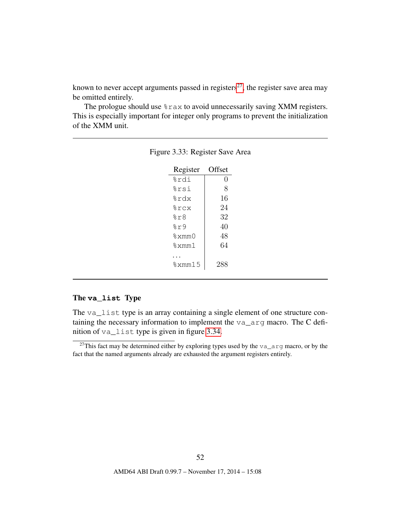known to never accept arguments passed in registers<sup>[27](#page-52-1)</sup>, the register save area may be omitted entirely.

The prologue should use %rax to avoid unnecessarily saving XMM registers. This is especially important for integer only programs to prevent the initialization of the XMM unit.

<span id="page-52-0"></span>

| Register          | Offset |
|-------------------|--------|
| %rdi              | 0      |
| %rsi              | 8      |
| %rdx              | 16     |
| grcx              | 24     |
| %r8               | 32     |
| 2r9               | 40     |
| %xmmΩ             | 48     |
| $% \times$ mm $1$ | 64     |
|                   |        |
| %xmm15            | 288    |

Figure 3.33: Register Save Area

#### The **va\_list** Type

The va\_list type is an array containing a single element of one structure containing the necessary information to implement the va\_arg macro. The C definition of va\_list type is given in figure [3.34.](#page-53-0)

<span id="page-52-1"></span><sup>&</sup>lt;sup>27</sup>This fact may be determined either by exploring types used by the  $va$ <sub> $ax$ </sub>  $a$ <sub> $x$ </sub> $g$  macro, or by the fact that the named arguments already are exhausted the argument registers entirely.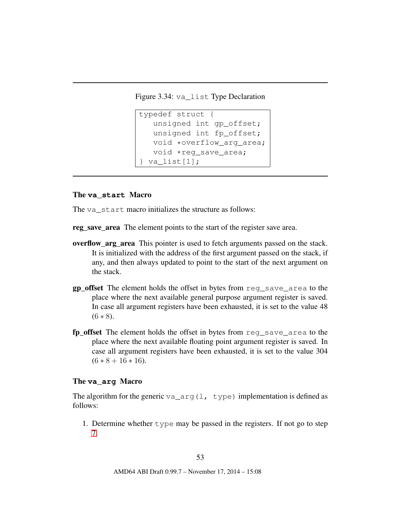<span id="page-53-0"></span>Figure 3.34: va\_list Type Declaration

```
typedef struct {
  unsigned int gp_offset;
   unsigned int fp_offset;
   void *overflow_arg_area;
   void *req save area;
} va_list[1];
```
### The **va\_start** Macro

The vastart macro initializes the structure as follows:

reg\_save\_area The element points to the start of the register save area.

- overflow\_arg\_area This pointer is used to fetch arguments passed on the stack. It is initialized with the address of the first argument passed on the stack, if any, and then always updated to point to the start of the next argument on the stack.
- gp\_offset The element holds the offset in bytes from reg\_save\_area to the place where the next available general purpose argument register is saved. In case all argument registers have been exhausted, it is set to the value 48  $(6 * 8)$ .
- fp\_offset The element holds the offset in bytes from reg\_save\_area to the place where the next available floating point argument register is saved. In case all argument registers have been exhausted, it is set to the value 304  $(6 * 8 + 16 * 16).$

#### The **va\_arg** Macro

The algorithm for the generic va\_arg(l, type) implementation is defined as follows:

1. Determine whether type may be passed in the registers. If not go to step [7.](#page-54-0)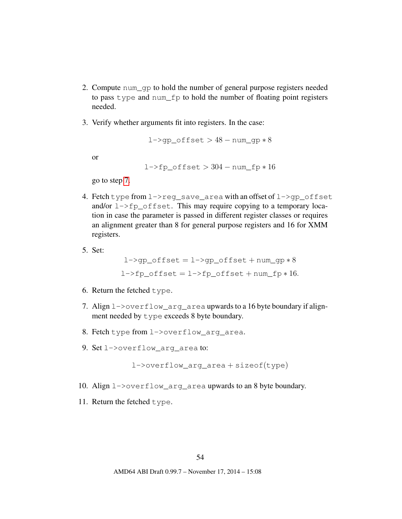- 2. Compute num\_gp to hold the number of general purpose registers needed to pass type and num\_fp to hold the number of floating point registers needed.
- 3. Verify whether arguments fit into registers. In the case:

l->qp offset  $> 48 - \text{num\_qp} * 8$ 

or

l->fp offset  $> 304 -$  num fp  $* 16$ 

go to step [7.](#page-54-0)

- 4. Fetch type from  $1$ ->reg\_save\_area with an offset of  $1$ ->qp\_offset and/or l->fp\_offset. This may require copying to a temporary location in case the parameter is passed in different register classes or requires an alignment greater than 8 for general purpose registers and 16 for XMM registers.
- 5. Set:

 $l$ ->qp\_offset =  $l$ ->qp\_offset + num\_qp  $*8$  $l$ ->fp\_offset =  $l$ ->fp\_offset + num\_fp  $*16$ .

- 6. Return the fetched  $type.$
- <span id="page-54-0"></span>7. Align l->overflow\_arg\_area upwards to a 16 byte boundary if alignment needed by type exceeds 8 byte boundary.
- 8. Fetch type from l->overflow\_arg\_area.
- 9. Set l->overflow arg area to:

l->overflow arg area + sizeof(type)

- 10. Align l->overflow\_arg\_area upwards to an 8 byte boundary.
- 11. Return the fetched type.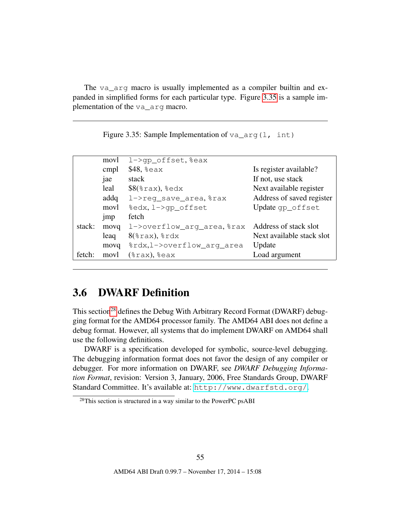The va\_arg macro is usually implemented as a compiler builtin and expanded in simplified forms for each particular type. Figure [3.35](#page-55-0) is a sample implementation of the va\_arg macro.

|        | movl | l->qp_offset, %eax                   |                           |
|--------|------|--------------------------------------|---------------------------|
|        | cmpl | $$48, $e$ ax                         | Is register available?    |
|        | jae  | stack                                | If not, use stack         |
|        | leal | $$8$ $(*$ rax), $*$ edx              | Next available register   |
|        | addq | l->req_save_area, %rax               | Address of saved register |
|        | movl | %edx, 1->qp_offset                   | Update qp_offset          |
|        | jmp  | fetch                                |                           |
| stack: | movq | 1->overflow_arg_area, \$rax          | Address of stack slot     |
|        | leaq | $8$ ( $\text{grav}$ ), $\text{grad}$ | Next available stack slot |
|        | movq | %rdx,1->overflow_arg_area            | Update                    |
| fetch: | movl | $(*rax), *eax$                       | Load argument             |

<span id="page-55-0"></span>Figure 3.35: Sample Implementation of  $va_{\text{arg}}(l, \text{int})$ 

# 3.6 DWARF Definition

This section<sup>[28](#page-55-1)</sup> defines the Debug With Arbitrary Record Format (DWARF) debugging format for the AMD64 processor family. The AMD64 ABI does not define a debug format. However, all systems that do implement DWARF on AMD64 shall use the following definitions.

DWARF is a specification developed for symbolic, source-level debugging. The debugging information format does not favor the design of any compiler or debugger. For more information on DWARF, see *DWARF Debugging Information Format*, revision: Version 3, January, 2006, Free Standards Group, DWARF Standard Committee. It's available at: <http://www.dwarfstd.org/>.

<span id="page-55-1"></span><sup>28</sup>This section is structured in a way similar to the PowerPC psABI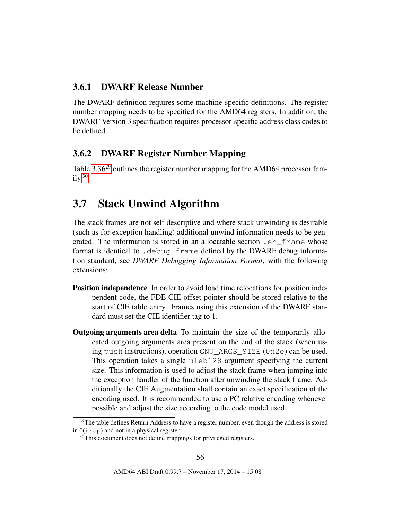### 3.6.1 DWARF Release Number

The DWARF definition requires some machine-specific definitions. The register number mapping needs to be specified for the AMD64 registers. In addition, the DWARF Version 3 specification requires processor-specific address class codes to be defined.

## 3.6.2 DWARF Register Number Mapping

Table  $3.36^{29}$  $3.36^{29}$  $3.36^{29}$  outlines the register number mapping for the AMD64 processor fam- $ily.<sup>30</sup>$  $ily.<sup>30</sup>$  $ily.<sup>30</sup>$ 

# 3.7 Stack Unwind Algorithm

The stack frames are not self descriptive and where stack unwinding is desirable (such as for exception handling) additional unwind information needs to be generated. The information is stored in an allocatable section .eh\_frame whose format is identical to .debug\_frame defined by the DWARF debug information standard, see *DWARF Debugging Information Format*, with the following extensions:

- Position independence In order to avoid load time relocations for position independent code, the FDE CIE offset pointer should be stored relative to the start of CIE table entry. Frames using this extension of the DWARF standard must set the CIE identifier tag to 1.
- Outgoing arguments area delta To maintain the size of the temporarily allocated outgoing arguments area present on the end of the stack (when using push instructions), operation GNU\_ARGS\_SIZE (0x2e) can be used. This operation takes a single uleb128 argument specifying the current size. This information is used to adjust the stack frame when jumping into the exception handler of the function after unwinding the stack frame. Additionally the CIE Augmentation shall contain an exact specification of the encoding used. It is recommended to use a PC relative encoding whenever possible and adjust the size according to the code model used.

<span id="page-56-0"></span> $29$ The table defines Return Address to have a register number, even though the address is stored in  $0$ ( $\epsilon$ rsp) and not in a physical register.

<span id="page-56-1"></span><sup>&</sup>lt;sup>30</sup>This document does not define mappings for privileged registers.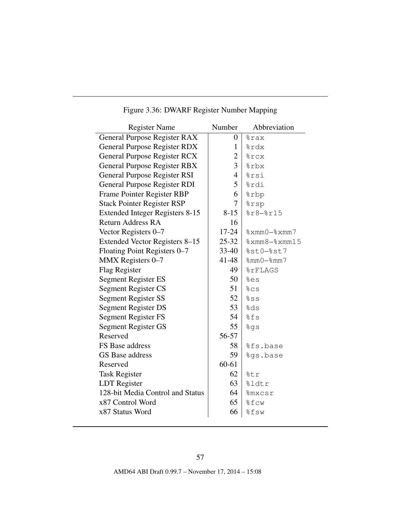| <b>Register Name</b>                   | Number           | Abbreviation                |
|----------------------------------------|------------------|-----------------------------|
| General Purpose Register RAX           | $\boldsymbol{0}$ | %rax                        |
| General Purpose Register RDX           | $\mathbf{1}$     | %rdx                        |
| General Purpose Register RCX           | $\overline{2}$   | %rcx                        |
| General Purpose Register RBX           | 3                | %rbx                        |
| General Purpose Register RSI           | $\overline{4}$   | %rsi                        |
| General Purpose Register RDI           | 5                | %rdi                        |
| Frame Pointer Register RBP             | 6                | %rbp                        |
| <b>Stack Pointer Register RSP</b>      | $\overline{7}$   | %rsp                        |
| <b>Extended Integer Registers 8-15</b> | $8 - 15$         | $8r8 - 8r15$                |
| <b>Return Address RA</b>               | 16               |                             |
| Vector Registers 0-7                   | $17 - 24$        | $% xmm0 - % xmm7$           |
| Extended Vector Registers 8-15         | $25 - 32$        | $%xmm8-%xmm15$              |
| Floating Point Registers 0-7           | $33 - 40$        | $%st0-%st7$                 |
| MMX Registers 0-7                      | 41-48            | $\text{\%mm0-}\text{\%mm7}$ |
| Flag Register                          | 49               | <b>&amp;rFLAGS</b>          |
| <b>Segment Register ES</b>             | 50               | %es                         |
| <b>Segment Register CS</b>             | 51               | 8 <sub>CS</sub>             |
| Segment Register SS                    | 52               | 8SS                         |
| <b>Segment Register DS</b>             | 53               | %ds                         |
| <b>Segment Register FS</b>             | 54               | %fs                         |
| Segment Register GS                    | 55               | %gs                         |
| Reserved                               | 56-57            |                             |
| FS Base address                        | 58               | %fs.base                    |
| GS Base address                        | 59               | %gs.base                    |
| Reserved                               | $60 - 61$        |                             |
| <b>Task Register</b>                   | 62               | %tr                         |
| <b>LDT</b> Register                    | 63               | %ldtr                       |
| 128-bit Media Control and Status       | 64               | <i><b>%mxcsr</b></i>        |
| x87 Control Word                       | 65               | %fcw                        |
| x87 Status Word                        | 66               | %fsw                        |

<span id="page-57-0"></span>Figure 3.36: DWARF Register Number Mapping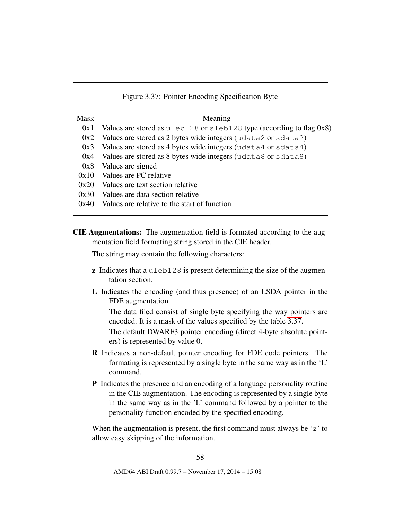<span id="page-58-0"></span>

| Figure 3.37: Pointer Encoding Specification Byte |  |  |  |  |  |
|--------------------------------------------------|--|--|--|--|--|
|--------------------------------------------------|--|--|--|--|--|

| <b>Mask</b> | Meaning                                                                        |
|-------------|--------------------------------------------------------------------------------|
| 0x1         | Values are stored as $u \le b128$ or $s \le b128$ type (according to flag 0x8) |
| 0x2         | Values are stored as 2 bytes wide integers (udata2 or sdata2)                  |
| 0x3         | Values are stored as 4 bytes wide integers (udata4 or sdata4)                  |
| 0x4         | Values are stored as 8 bytes wide integers (udata8 or sdata8)                  |
| 0x8         | Values are signed                                                              |
| 0x10        | Values are PC relative                                                         |
| 0x20        | Values are text section relative                                               |
| 0x30        | Values are data section relative                                               |
| 0x40        | Values are relative to the start of function                                   |

CIE Augmentations: The augmentation field is formated according to the augmentation field formating string stored in the CIE header.

The string may contain the following characters:

- z Indicates that a uleb128 is present determining the size of the augmentation section.
- L Indicates the encoding (and thus presence) of an LSDA pointer in the FDE augmentation.

The data filed consist of single byte specifying the way pointers are encoded. It is a mask of the values specified by the table [3.37.](#page-58-0)

The default DWARF3 pointer encoding (direct 4-byte absolute pointers) is represented by value 0.

- R Indicates a non-default pointer encoding for FDE code pointers. The formating is represented by a single byte in the same way as in the 'L' command.
- P Indicates the presence and an encoding of a language personality routine in the CIE augmentation. The encoding is represented by a single byte in the same way as in the 'L' command followed by a pointer to the personality function encoded by the specified encoding.

When the augmentation is present, the first command must always be 'z' to allow easy skipping of the information.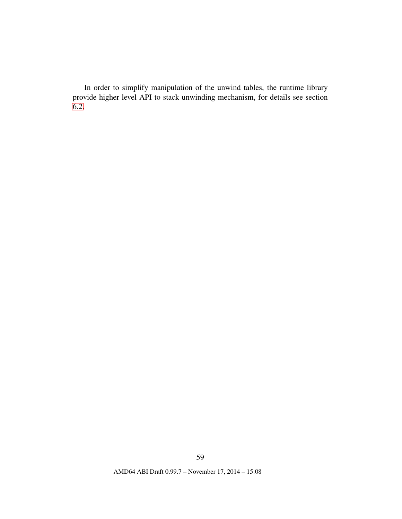In order to simplify manipulation of the unwind tables, the runtime library provide higher level API to stack unwinding mechanism, for details see section [6.2.](#page-85-0)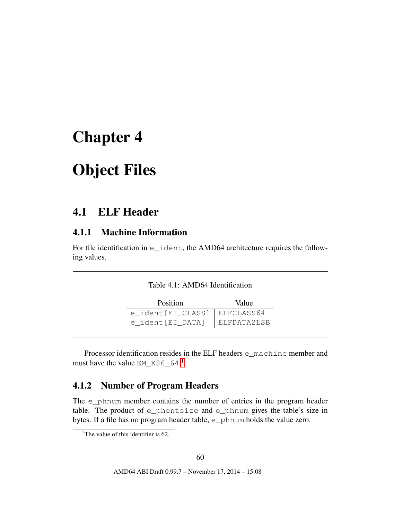# Chapter 4

# Object Files

# 4.1 ELF Header

### 4.1.1 Machine Information

For file identification in  $e$ \_ident, the AMD64 architecture requires the following values.

### Table 4.1: AMD64 Identification

| <b>Position</b>                                    | Value |
|----------------------------------------------------|-------|
| $e$ <i>_ident</i> [EI <i>_CLASS</i> ]   ELFCLASS64 |       |
| $e$ <i>_ident</i> [EI <i>_DATA</i> ]   ELFDATA2LSB |       |

Processor identification resides in the ELF headers e\_machine member and must have the value  $EM_X86_64$ .<sup>[1](#page-60-0)</sup>

### 4.1.2 Number of Program Headers

The e\_phnum member contains the number of entries in the program header table. The product of e\_phentsize and e\_phnum gives the table's size in bytes. If a file has no program header table, e\_phnum holds the value zero.

<span id="page-60-0"></span><sup>&</sup>lt;sup>1</sup>The value of this identifier is 62.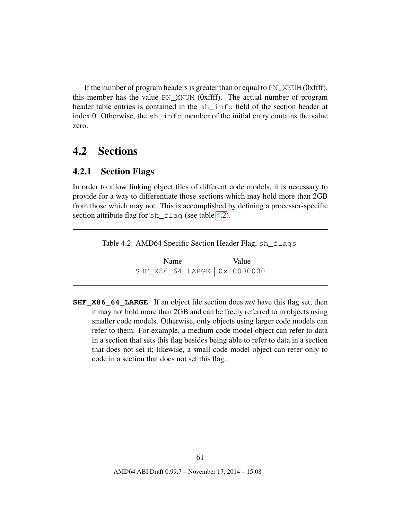If the number of program headers is greater than or equal to PN\_XNUM (0xffff), this member has the value PN\_XNUM (0xffff). The actual number of program header table entries is contained in the sh\_info field of the section header at index 0. Otherwise, the sh\_info member of the initial entry contains the value zero.

# 4.2 Sections

### 4.2.1 Section Flags

In order to allow linking object files of different code models, it is necessary to provide for a way to differentiate those sections which may hold more than 2GB from those which may not. This is accomplished by defining a processor-specific section attribute flag for sh\_flag (see table [4.2\)](#page-61-0).

| Table 4.2: AMD64 Specific Section Header Flag, sh_flags |  |  |  |
|---------------------------------------------------------|--|--|--|
|---------------------------------------------------------|--|--|--|

<span id="page-61-0"></span>

| SHF_X86_64_LARGE   0x10000000 |  | Name | Value |
|-------------------------------|--|------|-------|
|                               |  |      |       |

**SHF\_X86\_64\_LARGE** If an object file section does *not* have this flag set, then it may not hold more than 2GB and can be freely referred to in objects using smaller code models. Otherwise, only objects using larger code models can refer to them. For example, a medium code model object can refer to data in a section that sets this flag besides being able to refer to data in a section that does not set it; likewise, a small code model object can refer only to code in a section that does not set this flag.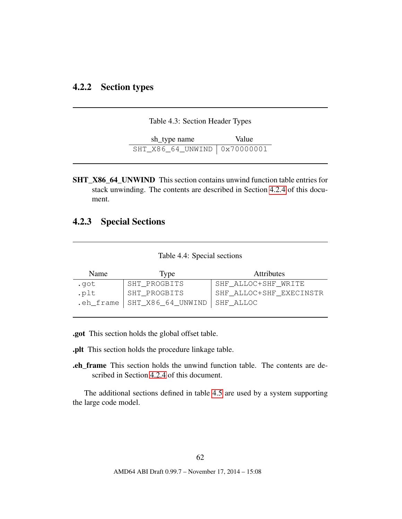### 4.2.2 Section types

Table 4.3: Section Header Types

| sh_type name                   | Value |
|--------------------------------|-------|
| SHT X86 64 UNWIND   0x70000001 |       |

SHT\_X86\_64\_UNWIND This section contains unwind function table entries for stack unwinding. The contents are described in Section [4.2.4](#page-63-0) of this document.

### 4.2.3 Special Sections

Table 4.4: Special sections

| <b>Name</b> | Type                                      | Attributes              |
|-------------|-------------------------------------------|-------------------------|
| .qot        | SHT PROGBITS                              | SHF ALLOC+SHF WRITE     |
| .plt        | SHT PROGBITS                              | SHF_ALLOC+SHF_EXECINSTR |
|             | .eh_frame   SHT_X86_64_UNWIND   SHF_ALLOC |                         |

.got This section holds the global offset table.

.plt This section holds the procedure linkage table.

.eh\_frame This section holds the unwind function table. The contents are described in Section [4.2.4](#page-63-0) of this document.

The additional sections defined in table [4.5](#page-63-1) are used by a system supporting the large code model.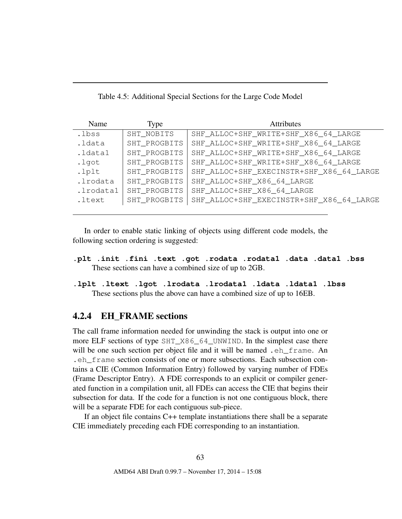<span id="page-63-1"></span>

| Name      | Type         | Attributes                               |
|-----------|--------------|------------------------------------------|
| .lbss     | SHT_NOBITS   | SHF_ALLOC+SHF_WRITE+SHF_X86_64_LARGE     |
| .ldata    | SHT PROGBITS | SHF_ALLOC+SHF_WRITE+SHF_X86_64_LARGE     |
| .ldata1   | SHT PROGBITS | SHF_ALLOC+SHF_WRITE+SHF_X86_64_LARGE     |
| .lgot     | SHT PROGBITS | SHF_ALLOC+SHF_WRITE+SHF_X86_64_LARGE     |
| .lplt     | SHT PROGBITS | SHF_ALLOC+SHF_EXECINSTR+SHF_X86_64_LARGE |
| .lrodata  | SHT PROGBITS | SHF_ALLOC+SHF_X86_64_LARGE               |
| .lrodata1 | SHT_PROGBITS | SHF_ALLOC+SHF_X86_64_LARGE               |
| .ltext    | SHT PROGBITS | SHF_ALLOC+SHF_EXECINSTR+SHF_X86_64_LARGE |
|           |              |                                          |

In order to enable static linking of objects using different code models, the following section ordering is suggested:

- **.plt .init .fini .text .got .rodata .rodata1 .data .data1 .bss** These sections can have a combined size of up to 2GB.
- **.lplt .ltext .lgot .lrodata .lrodata1 .ldata .ldata1 .lbss** These sections plus the above can have a combined size of up to 16EB.

### <span id="page-63-0"></span>4.2.4 EH\_FRAME sections

The call frame information needed for unwinding the stack is output into one or more ELF sections of type SHT\_X86\_64\_UNWIND. In the simplest case there will be one such section per object file and it will be named .eh frame. An .eh\_frame section consists of one or more subsections. Each subsection contains a CIE (Common Information Entry) followed by varying number of FDEs (Frame Descriptor Entry). A FDE corresponds to an explicit or compiler generated function in a compilation unit, all FDEs can access the CIE that begins their subsection for data. If the code for a function is not one contiguous block, there will be a separate FDE for each contiguous sub-piece.

If an object file contains C++ template instantiations there shall be a separate CIE immediately preceding each FDE corresponding to an instantiation.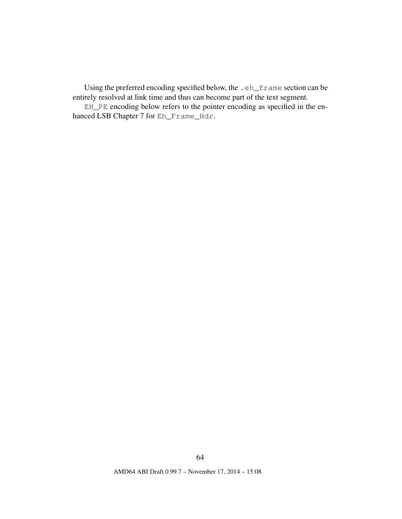Using the preferred encoding specified below, the .eh\_frame section can be entirely resolved at link time and thus can become part of the text segment.

EH\_PE encoding below refers to the pointer encoding as specified in the enhanced LSB Chapter 7 for Eh\_Frame\_Hdr.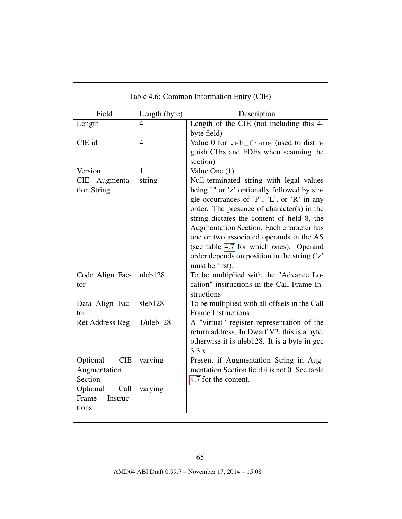| Field                  | Length (byte)   | Description                                   |
|------------------------|-----------------|-----------------------------------------------|
| Length                 | $\overline{4}$  | Length of the CIE (not including this 4-      |
|                        |                 | byte field)                                   |
| CIE id                 | $\overline{4}$  | Value 0 for .eh_frame (used to distin-        |
|                        |                 | guish CIEs and FDEs when scanning the         |
|                        |                 | section)                                      |
| Version                | 1               | Value One (1)                                 |
| CIE Augmenta-          | string          | Null-terminated string with legal values      |
| tion String            |                 | being "" or 'z' optionally followed by sin-   |
|                        |                 | gle occurrances of 'P', 'L', or 'R' in any    |
|                        |                 | order. The presence of character(s) in the    |
|                        |                 | string dictates the content of field 8, the   |
|                        |                 | Augmentation Section. Each character has      |
|                        |                 | one or two associated operands in the AS      |
|                        |                 | (see table 4.7 for which ones). Operand       |
|                        |                 | order depends on position in the string ('z'  |
|                        |                 | must be first).                               |
| Code Align Fac-        | uleb128         | To be multiplied with the "Advance Lo-        |
| tor                    |                 | cation" instructions in the Call Frame In-    |
|                        |                 | structions                                    |
| Data Align Fac-        | sleb128         | To be multiplied with all offsets in the Call |
| tor                    |                 | <b>Frame Instructions</b>                     |
| Ret Address Reg        | $1$ /uleb $128$ | A "virtual" register representation of the    |
|                        |                 | return address. In Dwarf V2, this is a byte,  |
|                        |                 | otherwise it is uleb128. It is a byte in gcc  |
|                        |                 | 3.3.x                                         |
| Optional<br><b>CIE</b> | varying         | Present if Augmentation String in Aug-        |
| Augmentation           |                 | mentation Section field 4 is not 0. See table |
| Section                |                 | 4.7 for the content.                          |
| Optional<br>Call       | varying         |                                               |
| Frame<br>Instruc-      |                 |                                               |
| tions                  |                 |                                               |
|                        |                 |                                               |

# Table 4.6: Common Information Entry (CIE)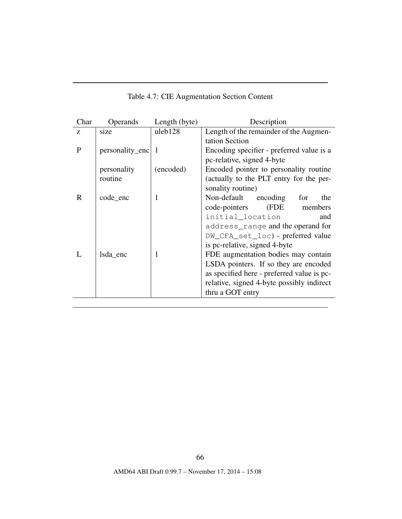| Char | Operands        | Length (byte) | Description                                |  |
|------|-----------------|---------------|--------------------------------------------|--|
| Z.   | size            | uleb128       | Length of the remainder of the Augmen-     |  |
|      |                 |               | tation Section                             |  |
| P    | personality_enc | -1            | Encoding specifier - preferred value is a  |  |
|      |                 |               | pc-relative, signed 4-byte                 |  |
|      | personality     | (encoded)     | Encoded pointer to personality routine     |  |
|      | routine         |               | (actually to the PLT entry for the per-    |  |
|      |                 |               | sonality routine)                          |  |
| R    | code enc        | 1             | Non-default encoding<br>for<br>the         |  |
|      |                 |               | (FDE<br>code-pointers<br>members           |  |
|      |                 |               | initial_location<br>and                    |  |
|      |                 |               | address_range and the operand for          |  |
|      |                 |               | DW_CFA_set_loc) - preferred value          |  |
|      |                 |               | is pc-relative, signed 4-byte              |  |
|      | Isda enc        | 1             | FDE augmentation bodies may contain        |  |
|      |                 |               | LSDA pointers. If so they are encoded      |  |
|      |                 |               | as specified here - preferred value is pc- |  |
|      |                 |               | relative, signed 4-byte possibly indirect  |  |
|      |                 |               | thru a GOT entry                           |  |

<span id="page-66-0"></span>Table 4.7: CIE Augmentation Section Content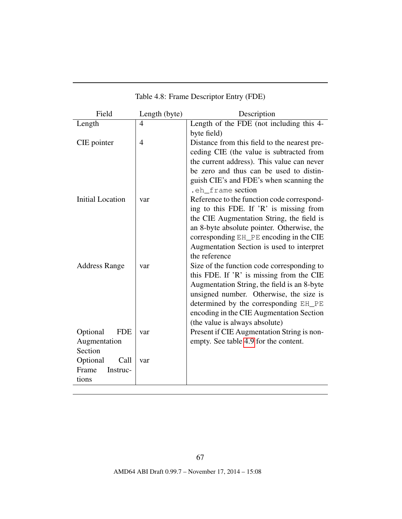| Field                   | Length (byte) | Description                                                |
|-------------------------|---------------|------------------------------------------------------------|
| Length                  | 4             | Length of the FDE (not including this 4-                   |
|                         |               | byte field)                                                |
| CIE pointer             | 4             | Distance from this field to the nearest pre-               |
|                         |               | ceding CIE (the value is subtracted from                   |
|                         |               | the current address). This value can never                 |
|                         |               | be zero and thus can be used to distin-                    |
|                         |               | guish CIE's and FDE's when scanning the                    |
|                         |               | .eh frame section                                          |
| <b>Initial Location</b> | var           | Reference to the function code correspond-                 |
|                         |               | ing to this FDE. If 'R' is missing from                    |
|                         |               | the CIE Augmentation String, the field is                  |
|                         |               | an 8-byte absolute pointer. Otherwise, the                 |
|                         |               | corresponding EH_PE encoding in the CIE                    |
|                         |               | Augmentation Section is used to interpret<br>the reference |
| <b>Address Range</b>    | var           | Size of the function code corresponding to                 |
|                         |               | this FDE. If 'R' is missing from the CIE                   |
|                         |               | Augmentation String, the field is an 8-byte                |
|                         |               | unsigned number. Otherwise, the size is                    |
|                         |               | determined by the corresponding EH_PE                      |
|                         |               | encoding in the CIE Augmentation Section                   |
|                         |               | (the value is always absolute)                             |
| Optional<br><b>FDE</b>  | var           | Present if CIE Augmentation String is non-                 |
| Augmentation            |               | empty. See table 4.9 for the content.                      |
| Section                 |               |                                                            |
| Optional<br>Call        | var           |                                                            |
| Frame<br>Instruc-       |               |                                                            |
| tions                   |               |                                                            |

# Table 4.8: Frame Descriptor Entry (FDE)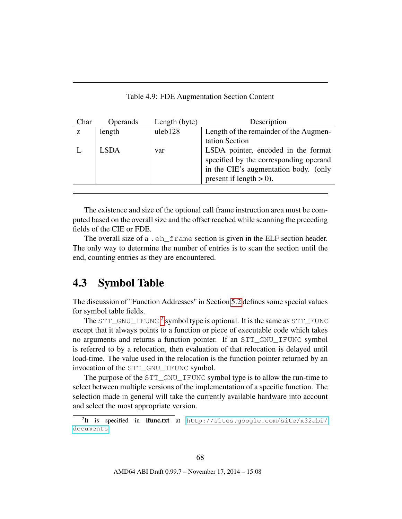<span id="page-68-0"></span>

| Table 4.9: FDE Augmentation Section Content |  |  |  |
|---------------------------------------------|--|--|--|
|---------------------------------------------|--|--|--|

| Char | Operands    | Length (byte) | Description                            |
|------|-------------|---------------|----------------------------------------|
| Z    | length      | uleb128       | Length of the remainder of the Augmen- |
|      |             |               | tation Section                         |
|      | <b>LSDA</b> | var           | LSDA pointer, encoded in the format    |
|      |             |               | specified by the corresponding operand |
|      |             |               | in the CIE's augmentation body. (only  |
|      |             |               | present if length $> 0$ ).             |
|      |             |               |                                        |

The existence and size of the optional call frame instruction area must be computed based on the overall size and the offset reached while scanning the preceding fields of the CIE or FDE.

The overall size of a .eh\_frame section is given in the ELF section header. The only way to determine the number of entries is to scan the section until the end, counting entries as they are encountered.

# 4.3 Symbol Table

The discussion of "Function Addresses" in Section [5.2](#page-77-0) defines some special values for symbol table fields.

The STT\_GNU\_IFUNC <sup>[2](#page-68-1)</sup> symbol type is optional. It is the same as STT\_FUNC except that it always points to a function or piece of executable code which takes no arguments and returns a function pointer. If an STT\_GNU\_IFUNC symbol is referred to by a relocation, then evaluation of that relocation is delayed until load-time. The value used in the relocation is the function pointer returned by an invocation of the STT\_GNU\_IFUNC symbol.

The purpose of the STT\_GNU\_IFUNC symbol type is to allow the run-time to select between multiple versions of the implementation of a specific function. The selection made in general will take the currently available hardware into account and select the most appropriate version.

<span id="page-68-1"></span> $^2$ It is specified in ifunc.txt at [http://sites.google.com/site/x32abi/](http://sites.google.com/site/x32abi/documents) [documents](http://sites.google.com/site/x32abi/documents)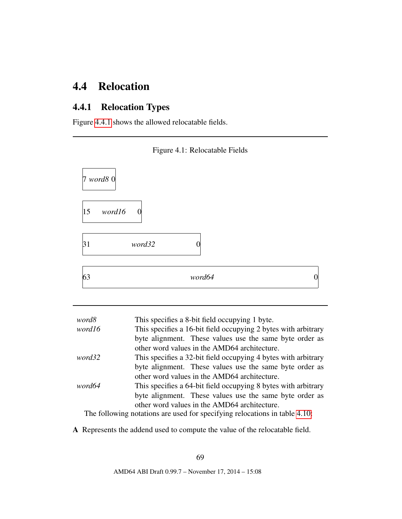# 4.4 Relocation

# <span id="page-69-0"></span>4.4.1 Relocation Types

Figure [4.4.1](#page-69-0) shows the allowed relocatable fields.



| word8                                                                      | This specifies a 8-bit field occupying 1 byte.                 |  |  |  |  |  |
|----------------------------------------------------------------------------|----------------------------------------------------------------|--|--|--|--|--|
| word16                                                                     | This specifies a 16-bit field occupying 2 bytes with arbitrary |  |  |  |  |  |
|                                                                            | byte alignment. These values use the same byte order as        |  |  |  |  |  |
|                                                                            | other word values in the AMD64 architecture.                   |  |  |  |  |  |
| word32                                                                     | This specifies a 32-bit field occupying 4 bytes with arbitrary |  |  |  |  |  |
|                                                                            | byte alignment. These values use the same byte order as        |  |  |  |  |  |
|                                                                            | other word values in the AMD64 architecture.                   |  |  |  |  |  |
| word64                                                                     | This specifies a 64-bit field occupying 8 bytes with arbitrary |  |  |  |  |  |
|                                                                            | byte alignment. These values use the same byte order as        |  |  |  |  |  |
| other word values in the AMD64 architecture.                               |                                                                |  |  |  |  |  |
| The following notations are used for specifying relocations in table 4.10: |                                                                |  |  |  |  |  |

A Represents the addend used to compute the value of the relocatable field.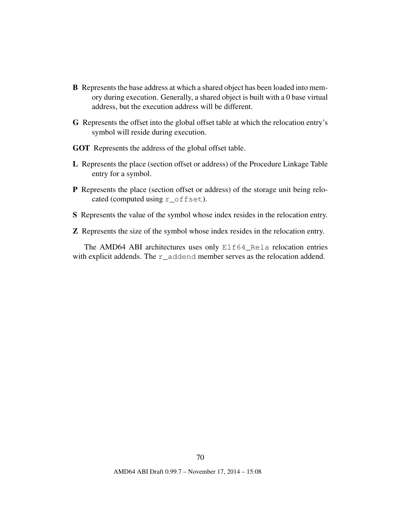- B Represents the base address at which a shared object has been loaded into memory during execution. Generally, a shared object is built with a 0 base virtual address, but the execution address will be different.
- G Represents the offset into the global offset table at which the relocation entry's symbol will reside during execution.
- GOT Represents the address of the global offset table.
- L Represents the place (section offset or address) of the Procedure Linkage Table entry for a symbol.
- P Represents the place (section offset or address) of the storage unit being relocated (computed using r\_offset).
- S Represents the value of the symbol whose index resides in the relocation entry.
- Z Represents the size of the symbol whose index resides in the relocation entry.

The AMD64 ABI architectures uses only Elf64\_Rela relocation entries with explicit addends. The  $r$  addend member serves as the relocation addend.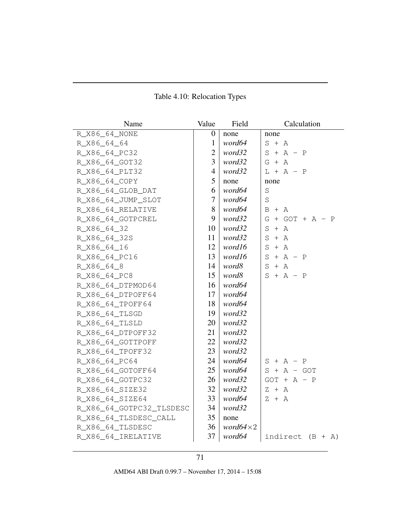| Name                     | Value            | Field             | Calculation                            |
|--------------------------|------------------|-------------------|----------------------------------------|
| R_X86_64_NONE            | $\boldsymbol{0}$ | none              | none                                   |
| R_X86_64_64              | $\mathbf{1}$     | word64            | $S + A$                                |
| R_X86_64_PC32            | $\overline{2}$   | word32            | $S + A - P$                            |
| R_X86_64_GOT32           | 3                | word32            | $G + A$                                |
| R_X86_64_PLT32           | $\overline{4}$   | word32            | $L + A - P$                            |
| R_X86_64_COPY            | 5                | none              | none                                   |
| R_X86_64_GLOB_DAT        | 6                | word64            | $\mathbf S$                            |
| R_X86_64_JUMP_SLOT       | $\tau$           | word64            | S                                      |
| R_X86_64_RELATIVE        | 8                | word64            | $\mathbf B$<br>$+$ A                   |
| R_X86_64_GOTPCREL        | 9                | word32            | G<br>$+$ GOT $+$ A $-$<br>$\mathbf{P}$ |
| R_X86_64_32              | 10               | word32            | $S + A$                                |
| R_X86_64_32S             | 11               | word32            | $S + A$                                |
| R_X86_64_16              | 12               | word16            | $S + A$                                |
| R_X86_64_PC16            | 13               | word16            | $S + A - P$                            |
| R_X86_64_8               | 14               | word8             | S<br>$+$ A                             |
| R_X86_64_PC8             | 15               | word8             | $+ A - P$<br>S.                        |
| R_X86_64_DTPMOD64        | 16               | word64            |                                        |
| R_X86_64_DTPOFF64        | 17               | word64            |                                        |
| R_X86_64_TPOFF64         | 18               | word64            |                                        |
| R_X86_64_TLSGD           | 19               | word32            |                                        |
| R_X86_64_TLSLD           | 20               | word32            |                                        |
| R_X86_64_DTPOFF32        | 21               | word32            |                                        |
| R_X86_64_GOTTPOFF        | 22               | word32            |                                        |
| R_X86_64_TPOFF32         | 23               | word32            |                                        |
| R_X86_64_PC64            | 24               | word64            | $S + A - P$                            |
| R_X86_64_GOTOFF64        | 25               | word64            | $S + A - GOT$                          |
| R_X86_64_GOTPC32         | 26               | word32            | $GOT + A - P$                          |
| R_X86_64_SIZE32          | 32               | word32            | $Z + A$                                |
| R_X86_64_SIZE64          | 33               | word64            | $Z + A$                                |
| R_X86_64_GOTPC32_TLSDESC | 34               | word32            |                                        |
| R_X86_64_TLSDESC_CALL    | 35               | none              |                                        |
| R_X86_64_TLSDESC         | 36               | $word64 \times 2$ |                                        |
| R_X86_64_IRELATIVE       | 37               | word64            | indirect $(B + A)$                     |

# <span id="page-71-0"></span>Table 4.10: Relocation Types

71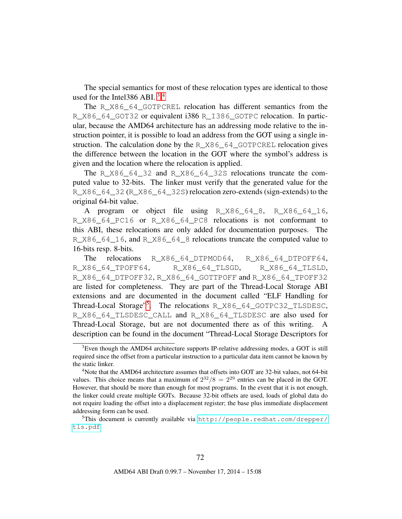The special semantics for most of these relocation types are identical to those used for the Intel386 ABI. [3](#page-72-0) [4](#page-72-1)

The R X86 64 GOTPCREL relocation has different semantics from the R\_X86\_64\_GOT32 or equivalent i386 R\_I386\_GOTPC relocation. In particular, because the AMD64 architecture has an addressing mode relative to the instruction pointer, it is possible to load an address from the GOT using a single instruction. The calculation done by the R  $X86$  64 GOTPCREL relocation gives the difference between the location in the GOT where the symbol's address is given and the location where the relocation is applied.

The R\_X86\_64\_32 and R\_X86\_64\_32S relocations truncate the computed value to 32-bits. The linker must verify that the generated value for the R\_X86\_64\_32 (R\_X86\_64\_32S) relocation zero-extends (sign-extends) to the original 64-bit value.

A program or object file using R\_X86\_64\_8, R\_X86\_64\_16, R X86 64 PC16 or R X86 64 PC8 relocations is not conformant to this ABI, these relocations are only added for documentation purposes. The R\_X86\_64\_16, and R\_X86\_64\_8 relocations truncate the computed value to 16-bits resp. 8-bits.

The relocations R\_X86\_64\_DTPMOD64, R\_X86\_64\_DTPOFF64, R\_X86\_64\_TPOFF64, R\_X86\_64\_TLSGD, R\_X86\_64\_TLSLD, R\_X86\_64\_DTPOFF32, R\_X86\_64\_GOTTPOFF and R\_X86\_64\_TPOFF32 are listed for completeness. They are part of the Thread-Local Storage ABI extensions and are documented in the document called "ELF Handling for Thread-Local Storage"[5](#page-72-2) . The relocations R\_X86\_64\_GOTPC32\_TLSDESC, R\_X86\_64\_TLSDESC\_CALL and R\_X86\_64\_TLSDESC are also used for Thread-Local Storage, but are not documented there as of this writing. A description can be found in the document "Thread-Local Storage Descriptors for

<span id="page-72-0"></span><sup>&</sup>lt;sup>3</sup>Even though the AMD64 architecture supports IP-relative addressing modes, a GOT is still required since the offset from a particular instruction to a particular data item cannot be known by the static linker.

<span id="page-72-1"></span><sup>4</sup>Note that the AMD64 architecture assumes that offsets into GOT are 32-bit values, not 64-bit values. This choice means that a maximum of  $2^{32}/8 = 2^{29}$  entries can be placed in the GOT. However, that should be more than enough for most programs. In the event that it is not enough, the linker could create multiple GOTs. Because 32-bit offsets are used, loads of global data do not require loading the offset into a displacement register; the base plus immediate displacement addressing form can be used.

<span id="page-72-2"></span><sup>5</sup>This document is currently available via [http://people.redhat.com/drepper/](http://people.redhat.com/drepper/tls.pdf) [tls.pdf](http://people.redhat.com/drepper/tls.pdf)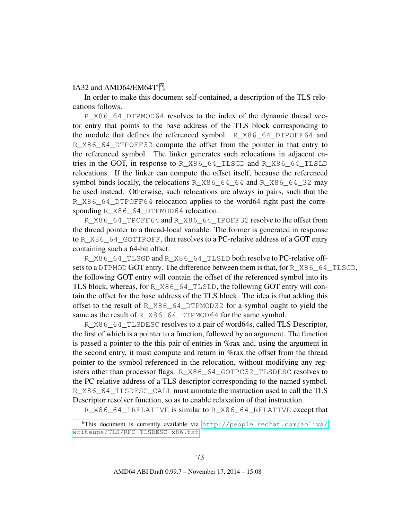### IA32 and AMD[6](#page-73-0)4/EM64T"<sup>6</sup>.

In order to make this document self-contained, a description of the TLS relocations follows.

R X86 64 DTPMOD64 resolves to the index of the dynamic thread vector entry that points to the base address of the TLS block corresponding to the module that defines the referenced symbol. R\_X86\_64\_DTPOFF64 and R X86 64 DTPOFF32 compute the offset from the pointer in that entry to the referenced symbol. The linker generates such relocations in adjacent entries in the GOT, in response to R\_X86\_64\_TLSGD and R\_X86\_64\_TLSLD relocations. If the linker can compute the offset itself, because the referenced symbol binds locally, the relocations R\_X86\_64  $\frac{4}{64}$  and R\_X86  $\frac{64}{32}$  may be used instead. Otherwise, such relocations are always in pairs, such that the R\_X86\_64\_DTPOFF64 relocation applies to the word64 right past the corresponding R\_X86\_64\_DTPMOD64 relocation.

R\_X86\_64\_TPOFF64 and R\_X86\_64\_TPOFF32 resolve to the offset from the thread pointer to a thread-local variable. The former is generated in response to R\_X86\_64\_GOTTPOFF, that resolves to a PC-relative address of a GOT entry containing such a 64-bit offset.

R\_X86\_64\_TLSGD and R\_X86\_64\_TLSLD both resolve to PC-relative offsets to a DTPMOD GOT entry. The difference between them is that, for R\_X86\_64\_TLSGD, the following GOT entry will contain the offset of the referenced symbol into its TLS block, whereas, for R\_X86\_64\_TLSLD, the following GOT entry will contain the offset for the base address of the TLS block. The idea is that adding this offset to the result of  $R_X86_64_DTPMOD32$  for a symbol ought to yield the same as the result of R\_X86\_64\_DTPMOD64 for the same symbol.

R\_X86\_64\_TLSDESC resolves to a pair of word64s, called TLS Descriptor, the first of which is a pointer to a function, followed by an argument. The function is passed a pointer to the this pair of entries in %rax and, using the argument in the second entry, it must compute and return in %rax the offset from the thread pointer to the symbol referenced in the relocation, without modifying any registers other than processor flags. R\_X86\_64\_GOTPC32\_TLSDESC resolves to the PC-relative address of a TLS descriptor corresponding to the named symbol. R\_X86\_64\_TLSDESC\_CALL must annotate the instruction used to call the TLS Descriptor resolver function, so as to enable relaxation of that instruction.

<span id="page-73-0"></span>R\_X86\_64\_IRELATIVE is similar to R\_X86\_64\_RELATIVE except that

<sup>6</sup>This document is currently available via [http://people.redhat.com/aoliva/](http://people.redhat.com/aoliva/writeups/TLS/RFC-TLSDESC-x86.txt) [writeups/TLS/RFC-TLSDESC-x86.txt](http://people.redhat.com/aoliva/writeups/TLS/RFC-TLSDESC-x86.txt)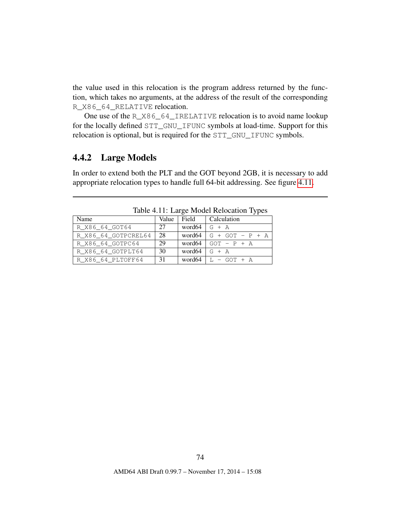the value used in this relocation is the program address returned by the function, which takes no arguments, at the address of the result of the corresponding R\_X86\_64\_RELATIVE relocation.

One use of the R\_X86\_64\_IRELATIVE relocation is to avoid name lookup for the locally defined STT\_GNU\_IFUNC symbols at load-time. Support for this relocation is optional, but is required for the STT\_GNU\_IFUNC symbols.

## 4.4.2 Large Models

In order to extend both the PLT and the GOT beyond 2GB, it is necessary to add appropriate relocation types to handle full 64-bit addressing. See figure [4.11.](#page-74-0)

| $1000$ $$ $11.$ $2000$ $$ $200$ $1000$ $$ $1000$ |       |           |                               |  |  |
|--------------------------------------------------|-------|-----------|-------------------------------|--|--|
| Name                                             | Value |           | Field   Calculation           |  |  |
| R X86 64 GOT64                                   | 27    |           | word64 $\mid$ G + A           |  |  |
| R_X86_64_GOTPCREL64                              | 28    |           | word64 $\mid G + GOT - P + A$ |  |  |
| R X86 64 GOTPC64                                 | 29    |           | word64 $\vert$ GOT - P + A    |  |  |
| R_X86_64_GOTPLT64                                | 30    | word $64$ | $G + A$                       |  |  |
| R X86 64 PLTOFF64                                | 31    |           | word64 $L - GOT + A$          |  |  |

<span id="page-74-0"></span>Table 4.11: Large Model Relocation Types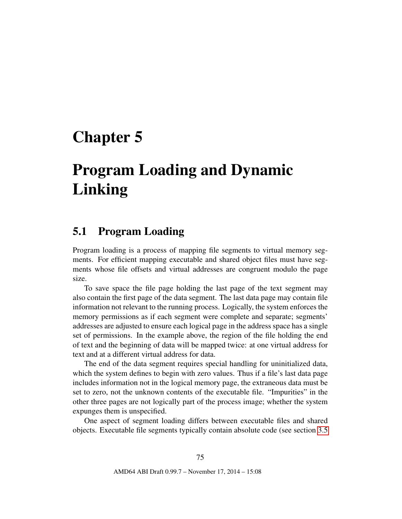# Program Loading and Dynamic Linking

# 5.1 Program Loading

Program loading is a process of mapping file segments to virtual memory segments. For efficient mapping executable and shared object files must have segments whose file offsets and virtual addresses are congruent modulo the page size.

To save space the file page holding the last page of the text segment may also contain the first page of the data segment. The last data page may contain file information not relevant to the running process. Logically, the system enforces the memory permissions as if each segment were complete and separate; segments' addresses are adjusted to ensure each logical page in the address space has a single set of permissions. In the example above, the region of the file holding the end of text and the beginning of data will be mapped twice: at one virtual address for text and at a different virtual address for data.

The end of the data segment requires special handling for uninitialized data, which the system defines to begin with zero values. Thus if a file's last data page includes information not in the logical memory page, the extraneous data must be set to zero, not the unknown contents of the executable file. "Impurities" in the other three pages are not logically part of the process image; whether the system expunges them is unspecified.

One aspect of segment loading differs between executable files and shared objects. Executable file segments typically contain absolute code (see section [3.5](#page-32-0)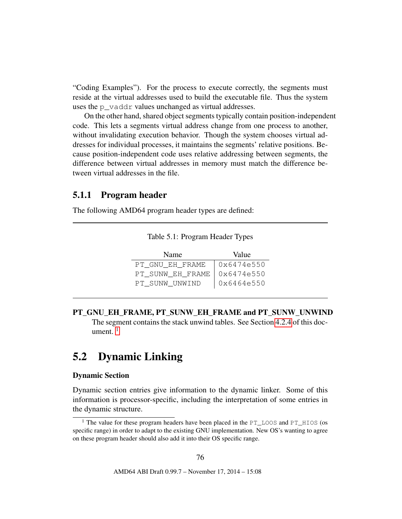"Coding Examples"). For the process to execute correctly, the segments must reside at the virtual addresses used to build the executable file. Thus the system uses the p\_vaddr values unchanged as virtual addresses.

On the other hand, shared object segments typically contain position-independent code. This lets a segments virtual address change from one process to another, without invalidating execution behavior. Though the system chooses virtual addresses for individual processes, it maintains the segments' relative positions. Because position-independent code uses relative addressing between segments, the difference between virtual addresses in memory must match the difference between virtual addresses in the file.

### 5.1.1 Program header

The following AMD64 program header types are defined:

Table 5.1: Program Header Types

| Name             | Value      |
|------------------|------------|
| PT GNU EH FRAME  | 0x6474e550 |
| PT SUNW_EH_FRAME | 0x6474e550 |
| PT_SUNW_UNWIND   | 0x6464e550 |

PT\_GNU\_EH\_FRAME, PT\_SUNW\_EH\_FRAME and PT\_SUNW\_UNWIND The segment contains the stack unwind tables. See Section [4.2.4](#page-63-0) of this document.  $1$ 

# 5.2 Dynamic Linking

#### Dynamic Section

Dynamic section entries give information to the dynamic linker. Some of this information is processor-specific, including the interpretation of some entries in the dynamic structure.

<span id="page-76-0"></span><sup>&</sup>lt;sup>1</sup> The value for these program headers have been placed in the PT\_LOOS and PT\_HIOS (os specific range) in order to adapt to the existing GNU implementation. New OS's wanting to agree on these program header should also add it into their OS specific range.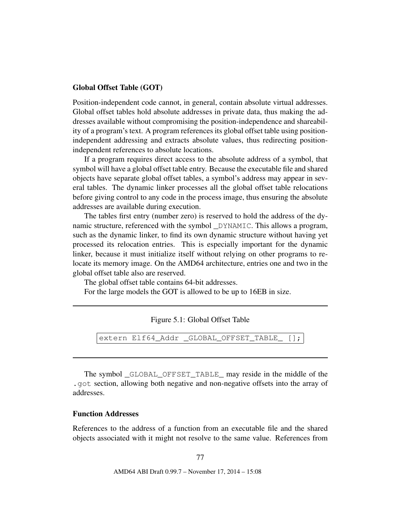#### Global Offset Table (GOT)

Position-independent code cannot, in general, contain absolute virtual addresses. Global offset tables hold absolute addresses in private data, thus making the addresses available without compromising the position-independence and shareability of a program's text. A program references its global offset table using positionindependent addressing and extracts absolute values, thus redirecting positionindependent references to absolute locations.

If a program requires direct access to the absolute address of a symbol, that symbol will have a global offset table entry. Because the executable file and shared objects have separate global offset tables, a symbol's address may appear in several tables. The dynamic linker processes all the global offset table relocations before giving control to any code in the process image, thus ensuring the absolute addresses are available during execution.

The tables first entry (number zero) is reserved to hold the address of the dynamic structure, referenced with the symbol \_DYNAMIC. This allows a program, such as the dynamic linker, to find its own dynamic structure without having yet processed its relocation entries. This is especially important for the dynamic linker, because it must initialize itself without relying on other programs to relocate its memory image. On the AMD64 architecture, entries one and two in the global offset table also are reserved.

The global offset table contains 64-bit addresses.

For the large models the GOT is allowed to be up to 16EB in size.

#### Figure 5.1: Global Offset Table

```
extern Elf64_Addr _GLOBAL_OFFSET_TABLE_ [];
```
The symbol \_GLOBAL\_OFFSET\_TABLE\_ may reside in the middle of the .got section, allowing both negative and non-negative offsets into the array of addresses.

#### Function Addresses

References to the address of a function from an executable file and the shared objects associated with it might not resolve to the same value. References from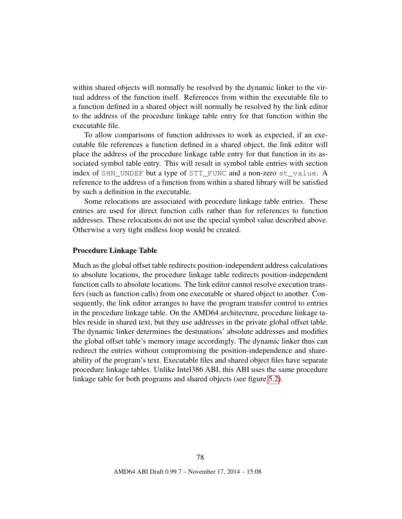within shared objects will normally be resolved by the dynamic linker to the virtual address of the function itself. References from within the executable file to a function defined in a shared object will normally be resolved by the link editor to the address of the procedure linkage table entry for that function within the executable file.

To allow comparisons of function addresses to work as expected, if an executable file references a function defined in a shared object, the link editor will place the address of the procedure linkage table entry for that function in its associated symbol table entry. This will result in symbol table entries with section index of SHN\_UNDEF but a type of STT\_FUNC and a non-zero st\_value. A reference to the address of a function from within a shared library will be satisfied by such a definition in the executable.

Some relocations are associated with procedure linkage table entries. These entries are used for direct function calls rather than for references to function addresses. These relocations do not use the special symbol value described above. Otherwise a very tight endless loop would be created.

#### Procedure Linkage Table

Much as the global offset table redirects position-independent address calculations to absolute locations, the procedure linkage table redirects position-independent function calls to absolute locations. The link editor cannot resolve execution transfers (such as function calls) from one executable or shared object to another. Consequently, the link editor arranges to have the program transfer control to entries in the procedure linkage table. On the AMD64 architecture, procedure linkage tables reside in shared text, but they use addresses in the private global offset table. The dynamic linker determines the destinations' absolute addresses and modifies the global offset table's memory image accordingly. The dynamic linker thus can redirect the entries without compromising the position-independence and shareability of the program's text. Executable files and shared object files have separate procedure linkage tables. Unlike Intel386 ABI, this ABI uses the same procedure linkage table for both programs and shared objects (see figure [5.2\)](#page-79-0).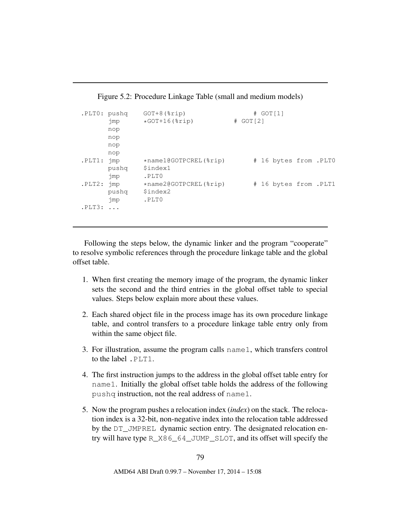<span id="page-79-0"></span>Figure 5.2: Procedure Linkage Table (small and medium models)

```
.PLT0: pushq GOT+8(%rip) # GOT[1]
     jmp *GOT+16(%rip) # GOT[2]
     nop
     nop
     nop
     nop
.PLT1: imp *name1@GOTPCREL(%rip) # 16 bytes from .PLT0
     pushq $index1
     jmp .PLT0
.PLT2: jmp *name2@GOTPCREL(%rip) # 16 bytes from .PLT1
     pushq $index2
     jmp .PLT0
.PLT3: ...
```
Following the steps below, the dynamic linker and the program "cooperate" to resolve symbolic references through the procedure linkage table and the global offset table.

- 1. When first creating the memory image of the program, the dynamic linker sets the second and the third entries in the global offset table to special values. Steps below explain more about these values.
- 2. Each shared object file in the process image has its own procedure linkage table, and control transfers to a procedure linkage table entry only from within the same object file.
- 3. For illustration, assume the program calls name1, which transfers control to the label .PLT1.
- 4. The first instruction jumps to the address in the global offset table entry for name1. Initially the global offset table holds the address of the following pushq instruction, not the real address of name1.
- 5. Now the program pushes a relocation index (*index*) on the stack. The relocation index is a 32-bit, non-negative index into the relocation table addressed by the DT\_JMPREL dynamic section entry. The designated relocation entry will have type R\_X86\_64\_JUMP\_SLOT, and its offset will specify the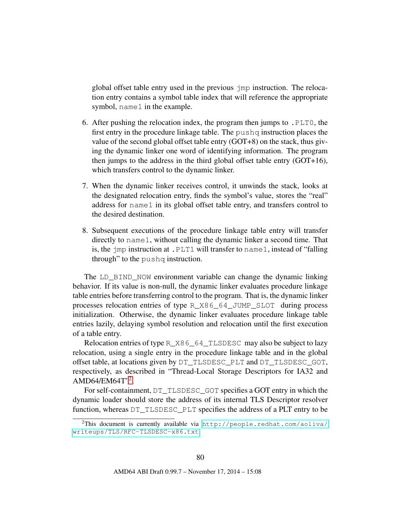global offset table entry used in the previous jmp instruction. The relocation entry contains a symbol table index that will reference the appropriate symbol, name1 in the example.

- 6. After pushing the relocation index, the program then jumps to .PLT0, the first entry in the procedure linkage table. The pushq instruction places the value of the second global offset table entry (GOT+8) on the stack, thus giving the dynamic linker one word of identifying information. The program then jumps to the address in the third global offset table entry (GOT+16), which transfers control to the dynamic linker.
- 7. When the dynamic linker receives control, it unwinds the stack, looks at the designated relocation entry, finds the symbol's value, stores the "real" address for name1 in its global offset table entry, and transfers control to the desired destination.
- 8. Subsequent executions of the procedure linkage table entry will transfer directly to name1, without calling the dynamic linker a second time. That is, the jmp instruction at .PLT1 will transfer to name1, instead of "falling through" to the pushq instruction.

The LD\_BIND\_NOW environment variable can change the dynamic linking behavior. If its value is non-null, the dynamic linker evaluates procedure linkage table entries before transferring control to the program. That is, the dynamic linker processes relocation entries of type R\_X86\_64\_JUMP\_SLOT during process initialization. Otherwise, the dynamic linker evaluates procedure linkage table entries lazily, delaying symbol resolution and relocation until the first execution of a table entry.

Relocation entries of type R\_X86\_64\_TLSDESC may also be subject to lazy relocation, using a single entry in the procedure linkage table and in the global offset table, at locations given by DT\_TLSDESC\_PLT and DT\_TLSDESC\_GOT, respectively, as described in "Thread-Local Storage Descriptors for IA32 and AMD64/EM64T"[2](#page-80-0) .

For self-containment, DT\_TLSDESC\_GOT specifies a GOT entry in which the dynamic loader should store the address of its internal TLS Descriptor resolver function, whereas DT\_TLSDESC\_PLT specifies the address of a PLT entry to be

<span id="page-80-0"></span><sup>&</sup>lt;sup>2</sup>This document is currently available via [http://people.redhat.com/aoliva/](http://people.redhat.com/aoliva/writeups/TLS/RFC-TLSDESC-x86.txt) [writeups/TLS/RFC-TLSDESC-x86.txt](http://people.redhat.com/aoliva/writeups/TLS/RFC-TLSDESC-x86.txt)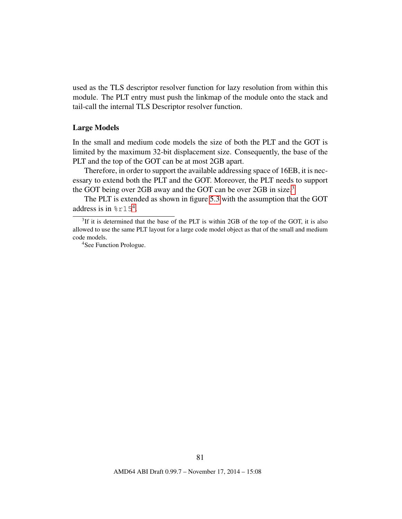used as the TLS descriptor resolver function for lazy resolution from within this module. The PLT entry must push the linkmap of the module onto the stack and tail-call the internal TLS Descriptor resolver function.

#### Large Models

In the small and medium code models the size of both the PLT and the GOT is limited by the maximum 32-bit displacement size. Consequently, the base of the PLT and the top of the GOT can be at most 2GB apart.

Therefore, in order to support the available addressing space of 16EB, it is necessary to extend both the PLT and the GOT. Moreover, the PLT needs to support the GOT being over 2GB away and the GOT can be over 2GB in size.<sup>[3](#page-81-0)</sup>

The PLT is extended as shown in figure [5.3](#page-82-0) with the assumption that the GOT address is in  $\textdegree$ r15<sup>[4](#page-81-1)</sup>.

<span id="page-81-1"></span><sup>4</sup>See Function Prologue.

<span id="page-81-0"></span> $3$ If it is determined that the base of the PLT is within 2GB of the top of the GOT, it is also allowed to use the same PLT layout for a large code model object as that of the small and medium code models.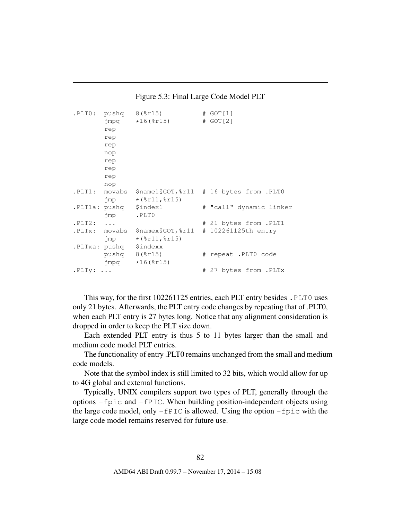<span id="page-82-0"></span>Figure 5.3: Final Large Code Model PLT

|                    |                        | PLT0: pushq 8(%r15).                                | $#$ GOT $[1]$                                          |
|--------------------|------------------------|-----------------------------------------------------|--------------------------------------------------------|
|                    |                        | $jmpq$ $*16$ ( $*15$ )                              | $#$ GOT [2]                                            |
|                    | rep                    |                                                     |                                                        |
|                    | rep                    |                                                     |                                                        |
|                    | rep                    |                                                     |                                                        |
|                    | nop                    |                                                     |                                                        |
|                    | rep                    |                                                     |                                                        |
|                    | rep                    |                                                     |                                                        |
|                    | rep                    |                                                     |                                                        |
|                    | nop                    |                                                     |                                                        |
|                    |                        |                                                     | .PLT1: movabs \$name1@GOT, \$r11 # 16 bytes from .PLT0 |
|                    |                        | $\text{imp}$ $\star$ ( $\text{er}11, \text{er}15$ ) |                                                        |
|                    | PLTla: pushq \$index1. |                                                     | # "call" dynamic linker                                |
|                    | jmp                    | $.$ $PLT0$                                          |                                                        |
| .PLT2:             | $\ddots$               |                                                     | # 21 bytes from .PLT1                                  |
|                    |                        |                                                     | .PLTx: movabs $$namex@GOT,$ $$r11$ # 102261125th entry |
|                    |                        | $\text{imp}$ $\star$ ( $\text{er}11, \text{er}15$ ) |                                                        |
|                    | .PLTxa: pushq \$indexx |                                                     |                                                        |
|                    |                        | pushq 8(%r15)                                       | # repeat .PLTO code                                    |
|                    |                        | $jmpq$ $*16$ ( $*15$ )                              |                                                        |
| $.$ PLTy: $\ldots$ |                        |                                                     | # 27 bytes from .PLTx                                  |

This way, for the first 102261125 entries, each PLT entry besides .PLT0 uses only 21 bytes. Afterwards, the PLT entry code changes by repeating that of .PLT0, when each PLT entry is 27 bytes long. Notice that any alignment consideration is dropped in order to keep the PLT size down.

Each extended PLT entry is thus 5 to 11 bytes larger than the small and medium code model PLT entries.

The functionality of entry .PLT0 remains unchanged from the small and medium code models.

Note that the symbol index is still limited to 32 bits, which would allow for up to 4G global and external functions.

Typically, UNIX compilers support two types of PLT, generally through the options -fpic and -fPIC. When building position-independent objects using the large code model, only  $-FPIC$  is allowed. Using the option  $-Fpic$  with the large code model remains reserved for future use.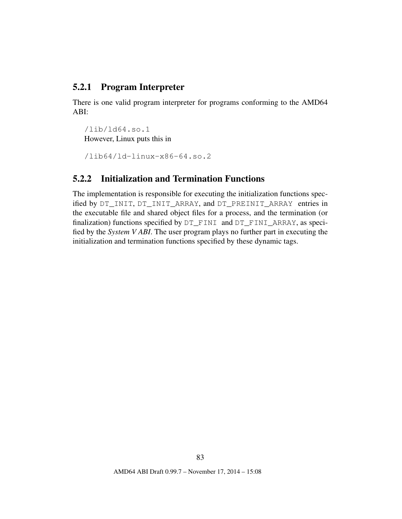## 5.2.1 Program Interpreter

There is one valid program interpreter for programs conforming to the AMD64 ABI:

/lib/ld64.so.1 However, Linux puts this in

/lib64/ld-linux-x86-64.so.2

## 5.2.2 Initialization and Termination Functions

The implementation is responsible for executing the initialization functions specified by DT\_INIT, DT\_INIT\_ARRAY, and DT\_PREINIT\_ARRAY entries in the executable file and shared object files for a process, and the termination (or finalization) functions specified by DT\_FINI and DT\_FINI\_ARRAY, as specified by the *System V ABI*. The user program plays no further part in executing the initialization and termination functions specified by these dynamic tags.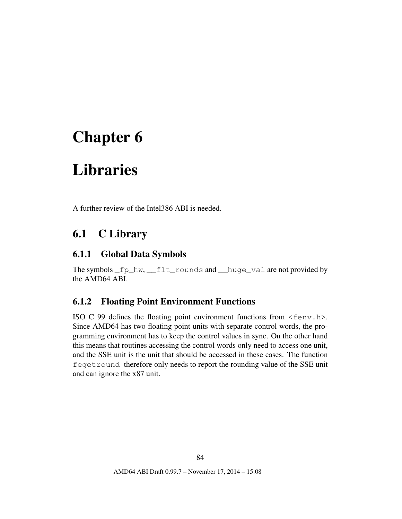# Libraries

A further review of the Intel386 ABI is needed.

# 6.1 C Library

# 6.1.1 Global Data Symbols

The symbols \_fp\_hw, \_\_flt\_rounds and \_\_huge\_val are not provided by the AMD64 ABI.

### 6.1.2 Floating Point Environment Functions

ISO C 99 defines the floating point environment functions from  $\leq$  fenv.h>. Since AMD64 has two floating point units with separate control words, the programming environment has to keep the control values in sync. On the other hand this means that routines accessing the control words only need to access one unit, and the SSE unit is the unit that should be accessed in these cases. The function fegetround therefore only needs to report the rounding value of the SSE unit and can ignore the x87 unit.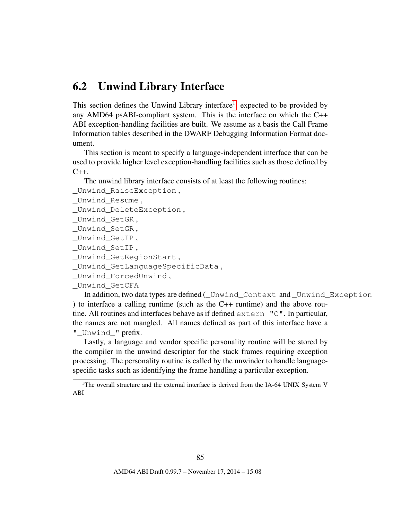# 6.2 Unwind Library Interface

This section defines the Unwind Library interface<sup>[1](#page-85-0)</sup>, expected to be provided by any AMD64 psABI-compliant system. This is the interface on which the C++ ABI exception-handling facilities are built. We assume as a basis the Call Frame Information tables described in the DWARF Debugging Information Format document.

This section is meant to specify a language-independent interface that can be used to provide higher level exception-handling facilities such as those defined by  $C_{++}$ .

The unwind library interface consists of at least the following routines:

```
_Unwind_RaiseException ,
```

```
_Unwind_Resume ,
```

```
_Unwind_DeleteException ,
```

```
_Unwind_GetGR ,
```

```
_Unwind_SetGR ,
```

```
_Unwind_GetIP ,
```

```
_Unwind_SetIP ,
```
\_Unwind\_GetRegionStart ,

```
_Unwind_GetLanguageSpecificData ,
```

```
_Unwind_ForcedUnwind ,
```
### \_Unwind\_GetCFA

In addition, two data types are defined (\_Unwind\_Context and \_Unwind\_Exception ) to interface a calling runtime (such as the C++ runtime) and the above routine. All routines and interfaces behave as if defined extern "C". In particular, the names are not mangled. All names defined as part of this interface have a "\_Unwind\_" prefix.

Lastly, a language and vendor specific personality routine will be stored by the compiler in the unwind descriptor for the stack frames requiring exception processing. The personality routine is called by the unwinder to handle languagespecific tasks such as identifying the frame handling a particular exception.

<span id="page-85-0"></span><sup>&</sup>lt;sup>1</sup>The overall structure and the external interface is derived from the IA-64 UNIX System V ABI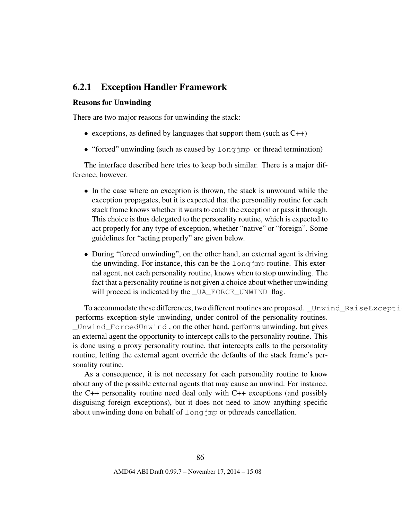## 6.2.1 Exception Handler Framework

#### Reasons for Unwinding

There are two major reasons for unwinding the stack:

- exceptions, as defined by languages that support them (such as  $C_{++}$ )
- "forced" unwinding (such as caused by long imp or thread termination)

The interface described here tries to keep both similar. There is a major difference, however.

- In the case where an exception is thrown, the stack is unwound while the exception propagates, but it is expected that the personality routine for each stack frame knows whether it wants to catch the exception or pass it through. This choice is thus delegated to the personality routine, which is expected to act properly for any type of exception, whether "native" or "foreign". Some guidelines for "acting properly" are given below.
- During "forced unwinding", on the other hand, an external agent is driving the unwinding. For instance, this can be the longjmp routine. This external agent, not each personality routine, knows when to stop unwinding. The fact that a personality routine is not given a choice about whether unwinding will proceed is indicated by the \_UA\_FORCE\_UNWIND flag.

To accommodate these differences, two different routines are proposed. \_Unwind\_RaiseExcepti performs exception-style unwinding, under control of the personality routines. \_Unwind\_ForcedUnwind , on the other hand, performs unwinding, but gives an external agent the opportunity to intercept calls to the personality routine. This is done using a proxy personality routine, that intercepts calls to the personality routine, letting the external agent override the defaults of the stack frame's personality routine.

As a consequence, it is not necessary for each personality routine to know about any of the possible external agents that may cause an unwind. For instance, the C++ personality routine need deal only with C++ exceptions (and possibly disguising foreign exceptions), but it does not need to know anything specific about unwinding done on behalf of long imp or pthreads cancellation.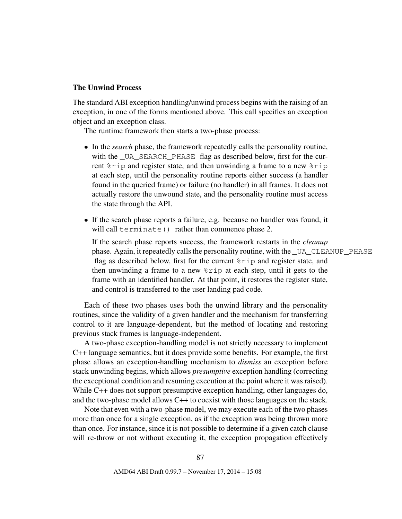#### The Unwind Process

The standard ABI exception handling/unwind process begins with the raising of an exception, in one of the forms mentioned above. This call specifies an exception object and an exception class.

The runtime framework then starts a two-phase process:

- In the *search* phase, the framework repeatedly calls the personality routine, with the \_UA\_SEARCH\_PHASE flag as described below, first for the current %rip and register state, and then unwinding a frame to a new %rip at each step, until the personality routine reports either success (a handler found in the queried frame) or failure (no handler) in all frames. It does not actually restore the unwound state, and the personality routine must access the state through the API.
- If the search phase reports a failure, e.g. because no handler was found, it will call terminate() rather than commence phase 2.

If the search phase reports success, the framework restarts in the *cleanup* phase. Again, it repeatedly calls the personality routine, with the \_UA\_CLEANUP\_PHASE flag as described below, first for the current %rip and register state, and then unwinding a frame to a new %rip at each step, until it gets to the frame with an identified handler. At that point, it restores the register state, and control is transferred to the user landing pad code.

Each of these two phases uses both the unwind library and the personality routines, since the validity of a given handler and the mechanism for transferring control to it are language-dependent, but the method of locating and restoring previous stack frames is language-independent.

A two-phase exception-handling model is not strictly necessary to implement C++ language semantics, but it does provide some benefits. For example, the first phase allows an exception-handling mechanism to *dismiss* an exception before stack unwinding begins, which allows *presumptive* exception handling (correcting the exceptional condition and resuming execution at the point where it was raised). While C++ does not support presumptive exception handling, other languages do, and the two-phase model allows C++ to coexist with those languages on the stack.

Note that even with a two-phase model, we may execute each of the two phases more than once for a single exception, as if the exception was being thrown more than once. For instance, since it is not possible to determine if a given catch clause will re-throw or not without executing it, the exception propagation effectively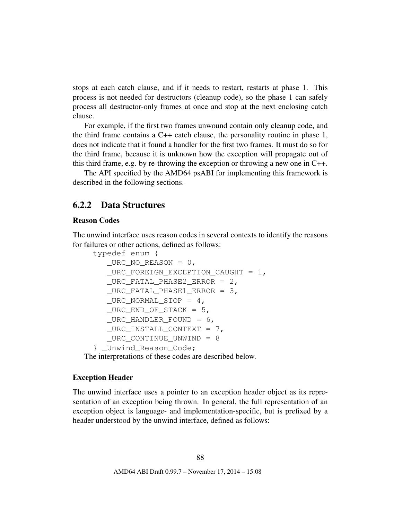stops at each catch clause, and if it needs to restart, restarts at phase 1. This process is not needed for destructors (cleanup code), so the phase 1 can safely process all destructor-only frames at once and stop at the next enclosing catch clause.

For example, if the first two frames unwound contain only cleanup code, and the third frame contains a  $C++$  catch clause, the personality routine in phase 1, does not indicate that it found a handler for the first two frames. It must do so for the third frame, because it is unknown how the exception will propagate out of this third frame, e.g. by re-throwing the exception or throwing a new one in  $C_{++}$ .

The API specified by the AMD64 psABI for implementing this framework is described in the following sections.

### 6.2.2 Data Structures

#### Reason Codes

The unwind interface uses reason codes in several contexts to identify the reasons for failures or other actions, defined as follows:

```
typedef enum {
  _URC_NO_REASON = 0,_URC_FOREIGN_EXCEPTION_CAUGHT = 1,
  _URC_FATAL_PHASE2_FRROR = 2,_URC_FATAL_PHASE1_ERROR = 3,_URC_NORMAL_STOP = 4,_URC\_END\_OF\_STACK = 5,_URC_HANDLER_FOUND = 6,_URC_INSTALL_CONTEXT = 7,_URC_CONTINUE_UNWIND = 8
} _Unwind_Reason_Code;
```
The interpretations of these codes are described below.

#### Exception Header

The unwind interface uses a pointer to an exception header object as its representation of an exception being thrown. In general, the full representation of an exception object is language- and implementation-specific, but is prefixed by a header understood by the unwind interface, defined as follows: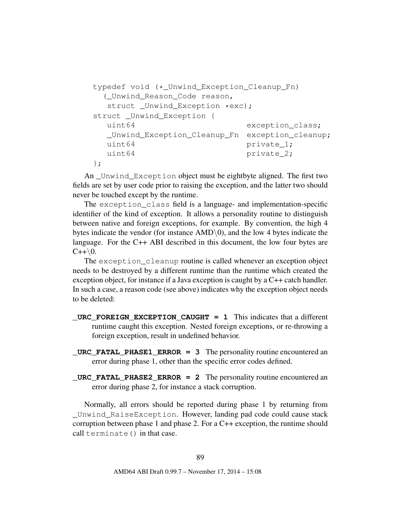```
typedef void (*_Unwind_Exception_Cleanup_Fn)
 (_Unwind_Reason_Code reason,
  struct _Unwind_Exception *exc);
struct _Unwind_Exception {
  uint64 exception_class;
  _Unwind_Exception_Cleanup_Fn exception_cleanup;
  uint64 private_1;
  uint64 private 2;
};
```
An \_Unwind\_Exception object must be eightbyte aligned. The first two fields are set by user code prior to raising the exception, and the latter two should never be touched except by the runtime.

The exception\_class field is a language- and implementation-specific identifier of the kind of exception. It allows a personality routine to distinguish between native and foreign exceptions, for example. By convention, the high 4 bytes indicate the vendor (for instance  $\text{AMD}\setminus 0$ ), and the low 4 bytes indicate the language. For the C++ ABI described in this document, the low four bytes are  $C++\backslash 0.$ 

The exception\_cleanup routine is called whenever an exception object needs to be destroyed by a different runtime than the runtime which created the exception object, for instance if a Java exception is caught by a C++ catch handler. In such a case, a reason code (see above) indicates why the exception object needs to be deleted:

**\_URC\_FOREIGN\_EXCEPTION\_CAUGHT = 1** This indicates that a different runtime caught this exception. Nested foreign exceptions, or re-throwing a foreign exception, result in undefined behavior.

**\_URC\_FATAL\_PHASE1\_ERROR = 3** The personality routine encountered an error during phase 1, other than the specific error codes defined.

**\_URC\_FATAL\_PHASE2\_ERROR = 2** The personality routine encountered an error during phase 2, for instance a stack corruption.

Normally, all errors should be reported during phase 1 by returning from \_Unwind\_RaiseException. However, landing pad code could cause stack corruption between phase 1 and phase 2. For a C++ exception, the runtime should call terminate() in that case.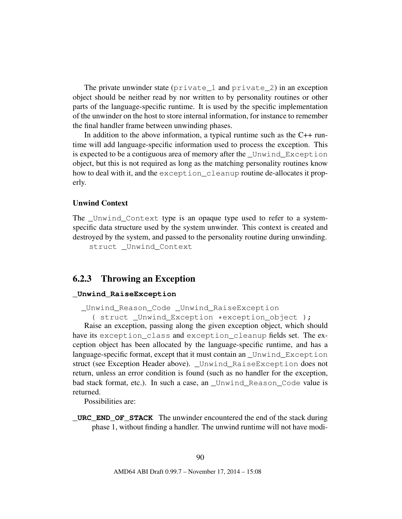The private unwinder state ( $\text{private}_1$  and  $\text{private}_2$ ) in an exception object should be neither read by nor written to by personality routines or other parts of the language-specific runtime. It is used by the specific implementation of the unwinder on the host to store internal information, for instance to remember the final handler frame between unwinding phases.

In addition to the above information, a typical runtime such as the C++ runtime will add language-specific information used to process the exception. This is expected to be a contiguous area of memory after the \_Unwind\_Exception object, but this is not required as long as the matching personality routines know how to deal with it, and the exception\_cleanup routine de-allocates it properly.

#### Unwind Context

The \_Unwind\_Context type is an opaque type used to refer to a systemspecific data structure used by the system unwinder. This context is created and destroyed by the system, and passed to the personality routine during unwinding.

struct \_Unwind\_Context

### 6.2.3 Throwing an Exception

#### **\_Unwind\_RaiseException**

\_Unwind\_Reason\_Code \_Unwind\_RaiseException

( struct \_Unwind\_Exception \*exception\_object );

Raise an exception, passing along the given exception object, which should have its exception\_class and exception\_cleanup fields set. The exception object has been allocated by the language-specific runtime, and has a language-specific format, except that it must contain an \_Unwind\_Exception struct (see Exception Header above). \_Unwind\_RaiseException does not return, unless an error condition is found (such as no handler for the exception, bad stack format, etc.). In such a case, an \_Unwind\_Reason\_Code value is returned.

Possibilities are:

**\_URC\_END\_OF\_STACK** The unwinder encountered the end of the stack during phase 1, without finding a handler. The unwind runtime will not have modi-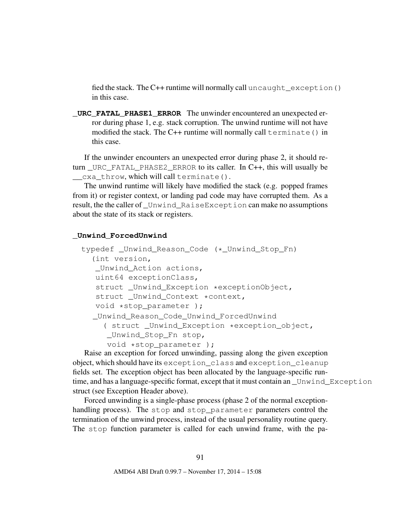fied the stack. The C++ runtime will normally call uncaught\_exception() in this case.

**\_URC\_FATAL\_PHASE1\_ERROR** The unwinder encountered an unexpected error during phase 1, e.g. stack corruption. The unwind runtime will not have modified the stack. The C++ runtime will normally call terminate() in this case.

If the unwinder encounters an unexpected error during phase 2, it should return URC FATAL PHASE2 ERROR to its caller. In  $C_{++}$ , this will usually be \_\_cxa\_throw, which will call terminate().

The unwind runtime will likely have modified the stack (e.g. popped frames from it) or register context, or landing pad code may have corrupted them. As a result, the the caller of \_Unwind\_RaiseException can make no assumptions about the state of its stack or registers.

#### **\_Unwind\_ForcedUnwind**

```
typedef _Unwind_Reason_Code (*_Unwind_Stop_Fn)
  (int version,
   Unwind Action actions,
   uint64 exceptionClass,
   struct _Unwind_Exception *exceptionObject,
   struct Unwind Context *context,
   void *stop_parameter );
  _Unwind_Reason_Code_Unwind_ForcedUnwind
    ( struct _Unwind_Exception *exception_object,
     _Unwind_Stop_Fn stop,
     void *stop_parameter );
```
Raise an exception for forced unwinding, passing along the given exception object, which should have its exception\_class and exception\_cleanup fields set. The exception object has been allocated by the language-specific runtime, and has a language-specific format, except that it must contain an Unwind Exception struct (see Exception Header above).

Forced unwinding is a single-phase process (phase 2 of the normal exceptionhandling process). The stop and stop\_parameter parameters control the termination of the unwind process, instead of the usual personality routine query. The stop function parameter is called for each unwind frame, with the pa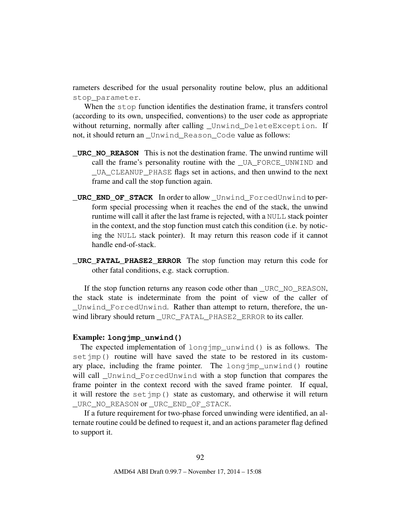rameters described for the usual personality routine below, plus an additional stop\_parameter.

When the stop function identifies the destination frame, it transfers control (according to its own, unspecified, conventions) to the user code as appropriate without returning, normally after calling \_Unwind\_DeleteException. If not, it should return an \_Unwind\_Reason\_Code value as follows:

- **\_URC\_NO\_REASON** This is not the destination frame. The unwind runtime will call the frame's personality routine with the UA FORCE UNWIND and \_UA\_CLEANUP\_PHASE flags set in actions, and then unwind to the next frame and call the stop function again.
- **\_URC\_END\_OF\_STACK** In order to allow \_Unwind\_ForcedUnwind to perform special processing when it reaches the end of the stack, the unwind runtime will call it after the last frame is rejected, with a NULL stack pointer in the context, and the stop function must catch this condition (i.e. by noticing the NULL stack pointer). It may return this reason code if it cannot handle end-of-stack.
- **\_URC\_FATAL\_PHASE2\_ERROR** The stop function may return this code for other fatal conditions, e.g. stack corruption.

If the stop function returns any reason code other than \_URC\_NO\_REASON, the stack state is indeterminate from the point of view of the caller of Unwind ForcedUnwind. Rather than attempt to return, therefore, the unwind library should return \_URC\_FATAL\_PHASE2\_ERROR to its caller.

#### Example: **longjmp\_unwind()**

The expected implementation of long impartumental () is as follows. The set jmp() routine will have saved the state to be restored in its customary place, including the frame pointer. The  $\text{longimp\_unwind}$  () routine will call Unwind ForcedUnwind with a stop function that compares the frame pointer in the context record with the saved frame pointer. If equal, it will restore the setjmp() state as customary, and otherwise it will return \_URC\_NO\_REASON or \_URC\_END\_OF\_STACK.

If a future requirement for two-phase forced unwinding were identified, an alternate routine could be defined to request it, and an actions parameter flag defined to support it.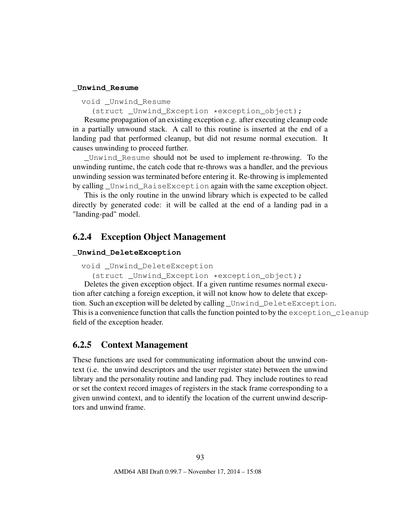#### **\_Unwind\_Resume**

void \_Unwind\_Resume

(struct \_Unwind\_Exception \*exception\_object);

Resume propagation of an existing exception e.g. after executing cleanup code in a partially unwound stack. A call to this routine is inserted at the end of a landing pad that performed cleanup, but did not resume normal execution. It causes unwinding to proceed further.

\_Unwind\_Resume should not be used to implement re-throwing. To the unwinding runtime, the catch code that re-throws was a handler, and the previous unwinding session was terminated before entering it. Re-throwing is implemented by calling \_Unwind\_RaiseException again with the same exception object.

This is the only routine in the unwind library which is expected to be called directly by generated code: it will be called at the end of a landing pad in a "landing-pad" model.

### 6.2.4 Exception Object Management

#### **\_Unwind\_DeleteException**

```
void _Unwind_DeleteException
```
(struct Unwind Exception \*exception object);

Deletes the given exception object. If a given runtime resumes normal execution after catching a foreign exception, it will not know how to delete that exception. Such an exception will be deleted by calling Unwind DeleteException. This is a convenience function that calls the function pointed to by the exception\_cleanup field of the exception header.

### 6.2.5 Context Management

These functions are used for communicating information about the unwind context (i.e. the unwind descriptors and the user register state) between the unwind library and the personality routine and landing pad. They include routines to read or set the context record images of registers in the stack frame corresponding to a given unwind context, and to identify the location of the current unwind descriptors and unwind frame.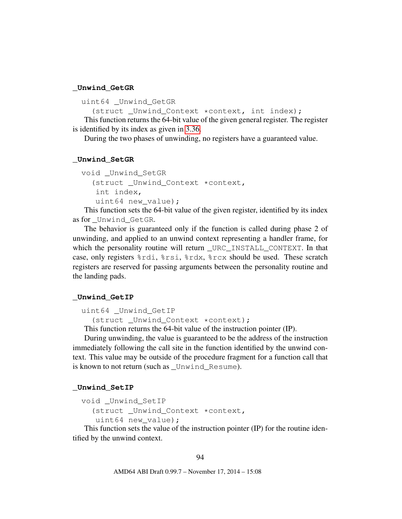#### **\_Unwind\_GetGR**

```
uint64 Unwind GetGR
```
(struct \_Unwind\_Context \*context, int index);

This function returns the 64-bit value of the given general register. The register is identified by its index as given in [3.36.](#page-57-0)

During the two phases of unwinding, no registers have a guaranteed value.

#### **\_Unwind\_SetGR**

```
void _Unwind_SetGR
  (struct _Unwind_Context *context,
   int index,
   uint64 new_value);
```
This function sets the 64-bit value of the given register, identified by its index as for \_Unwind\_GetGR.

The behavior is guaranteed only if the function is called during phase 2 of unwinding, and applied to an unwind context representing a handler frame, for which the personality routine will return \_URC\_INSTALL\_CONTEXT. In that case, only registers %rdi, %rsi, %rdx, %rcx should be used. These scratch registers are reserved for passing arguments between the personality routine and the landing pads.

#### **\_Unwind\_GetIP**

```
uint64 Unwind GetIP
```
(struct Unwind Context \*context);

This function returns the 64-bit value of the instruction pointer (IP).

During unwinding, the value is guaranteed to be the address of the instruction immediately following the call site in the function identified by the unwind context. This value may be outside of the procedure fragment for a function call that is known to not return (such as \_Unwind\_Resume).

#### **\_Unwind\_SetIP**

```
void _Unwind_SetIP
  (struct _Unwind_Context *context,
   uint64 new value);
```
This function sets the value of the instruction pointer (IP) for the routine identified by the unwind context.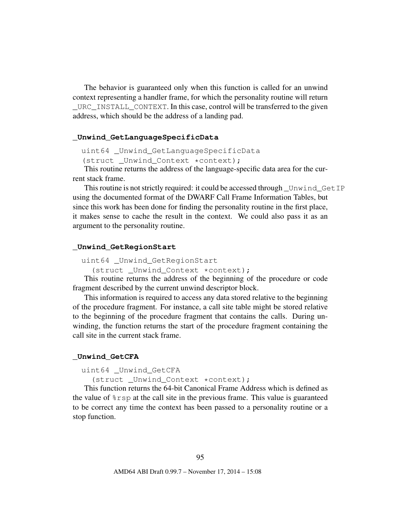The behavior is guaranteed only when this function is called for an unwind context representing a handler frame, for which the personality routine will return URC INSTALL CONTEXT. In this case, control will be transferred to the given address, which should be the address of a landing pad.

#### **\_Unwind\_GetLanguageSpecificData**

uint64 \_Unwind\_GetLanguageSpecificData

(struct Unwind Context \*context);

This routine returns the address of the language-specific data area for the current stack frame.

This routine is not strictly required: it could be accessed through \_Unwind\_GetIP using the documented format of the DWARF Call Frame Information Tables, but since this work has been done for finding the personality routine in the first place, it makes sense to cache the result in the context. We could also pass it as an argument to the personality routine.

#### **\_Unwind\_GetRegionStart**

```
uint64 Unwind GetRegionStart
```
(struct \_Unwind\_Context \*context);

This routine returns the address of the beginning of the procedure or code fragment described by the current unwind descriptor block.

This information is required to access any data stored relative to the beginning of the procedure fragment. For instance, a call site table might be stored relative to the beginning of the procedure fragment that contains the calls. During unwinding, the function returns the start of the procedure fragment containing the call site in the current stack frame.

#### **\_Unwind\_GetCFA**

```
uint64 _Unwind_GetCFA
```
(struct Unwind Context \*context);

This function returns the 64-bit Canonical Frame Address which is defined as the value of  $\Sigma$  at the call site in the previous frame. This value is guaranteed to be correct any time the context has been passed to a personality routine or a stop function.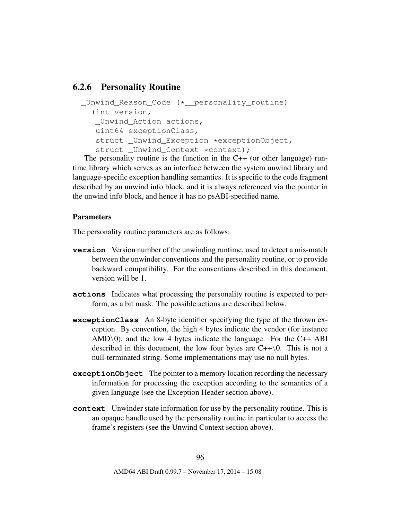## 6.2.6 Personality Routine

```
_Unwind_Reason_Code (*__personality_routine)
  (int version,
   _Unwind_Action actions,
   uint64 exceptionClass,
   struct _Unwind_Exception *exceptionObject,
   struct Unwind Context *context);
```
The personality routine is the function in the  $C++$  (or other language) runtime library which serves as an interface between the system unwind library and language-specific exception handling semantics. It is specific to the code fragment described by an unwind info block, and it is always referenced via the pointer in the unwind info block, and hence it has no psABI-specified name.

### **Parameters**

The personality routine parameters are as follows:

- **version** Version number of the unwinding runtime, used to detect a mis-match between the unwinder conventions and the personality routine, or to provide backward compatibility. For the conventions described in this document, version will be 1.
- **actions** Indicates what processing the personality routine is expected to perform, as a bit mask. The possible actions are described below.
- **exceptionClass** An 8-byte identifier specifying the type of the thrown exception. By convention, the high 4 bytes indicate the vendor (for instance  $\text{AMD}\langle 0 \rangle$ , and the low 4 bytes indicate the language. For the C++ ABI described in this document, the low four bytes are  $C++\setminus 0$ . This is not a null-terminated string. Some implementations may use no null bytes.
- **exceptionObject** The pointer to a memory location recording the necessary information for processing the exception according to the semantics of a given language (see the Exception Header section above).
- **context** Unwinder state information for use by the personality routine. This is an opaque handle used by the personality routine in particular to access the frame's registers (see the Unwind Context section above).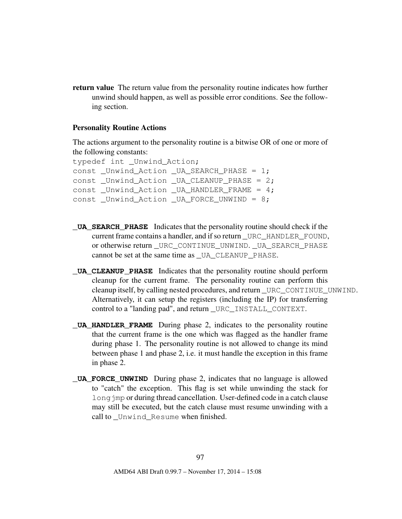return value The return value from the personality routine indicates how further unwind should happen, as well as possible error conditions. See the following section.

#### Personality Routine Actions

The actions argument to the personality routine is a bitwise OR of one or more of the following constants:

```
typedef int _Unwind_Action;
const _Unwind_Action _UA_SEARCH_PHASE = 1;const _Unwind_Action _UA_CLEANUP_PHASE = 2;
const _Unwind_Action _UA_HANDLER_FRAME = 4;const Unwind Action UA FORCE UNWIND = 8;
```
- **\_UA\_SEARCH\_PHASE** Indicates that the personality routine should check if the current frame contains a handler, and if so return URC\_HANDLER\_FOUND, or otherwise return \_URC\_CONTINUE\_UNWIND. \_UA\_SEARCH\_PHASE cannot be set at the same time as \_UA\_CLEANUP\_PHASE.
- **\_UA\_CLEANUP\_PHASE** Indicates that the personality routine should perform cleanup for the current frame. The personality routine can perform this cleanup itself, by calling nested procedures, and return \_URC\_CONTINUE\_UNWIND. Alternatively, it can setup the registers (including the IP) for transferring control to a "landing pad", and return \_URC\_INSTALL\_CONTEXT.
- **UA HANDLER FRAME** During phase 2, indicates to the personality routine that the current frame is the one which was flagged as the handler frame during phase 1. The personality routine is not allowed to change its mind between phase 1 and phase 2, i.e. it must handle the exception in this frame in phase 2.
- **\_UA\_FORCE\_UNWIND** During phase 2, indicates that no language is allowed to "catch" the exception. This flag is set while unwinding the stack for long imp or during thread cancellation. User-defined code in a catch clause may still be executed, but the catch clause must resume unwinding with a call to \_Unwind\_Resume when finished.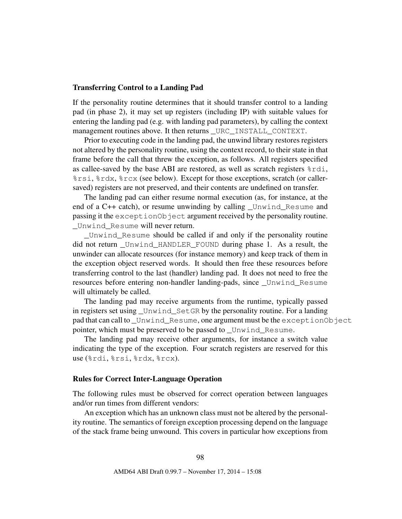#### Transferring Control to a Landing Pad

If the personality routine determines that it should transfer control to a landing pad (in phase 2), it may set up registers (including IP) with suitable values for entering the landing pad (e.g. with landing pad parameters), by calling the context management routines above. It then returns \_URC\_INSTALL\_CONTEXT.

Prior to executing code in the landing pad, the unwind library restores registers not altered by the personality routine, using the context record, to their state in that frame before the call that threw the exception, as follows. All registers specified as callee-saved by the base ABI are restored, as well as scratch registers  $\text{\textdegree{r}}$  di, %rsi, %rdx, %rcx (see below). Except for those exceptions, scratch (or callersaved) registers are not preserved, and their contents are undefined on transfer.

The landing pad can either resume normal execution (as, for instance, at the end of a C++ catch), or resume unwinding by calling \_Unwind\_Resume and passing it the exceptionObject argument received by the personality routine. Unwind Resume will never return.

\_Unwind\_Resume should be called if and only if the personality routine did not return \_Unwind\_HANDLER\_FOUND during phase 1. As a result, the unwinder can allocate resources (for instance memory) and keep track of them in the exception object reserved words. It should then free these resources before transferring control to the last (handler) landing pad. It does not need to free the resources before entering non-handler landing-pads, since \_Unwind\_Resume will ultimately be called.

The landing pad may receive arguments from the runtime, typically passed in registers set using \_Unwind\_SetGR by the personality routine. For a landing pad that can call to \_Unwind\_Resume, one argument must be the exceptionObject pointer, which must be preserved to be passed to Unwind Resume.

The landing pad may receive other arguments, for instance a switch value indicating the type of the exception. Four scratch registers are reserved for this use (%rdi, %rsi, %rdx, %rcx).

#### Rules for Correct Inter-Language Operation

The following rules must be observed for correct operation between languages and/or run times from different vendors:

An exception which has an unknown class must not be altered by the personality routine. The semantics of foreign exception processing depend on the language of the stack frame being unwound. This covers in particular how exceptions from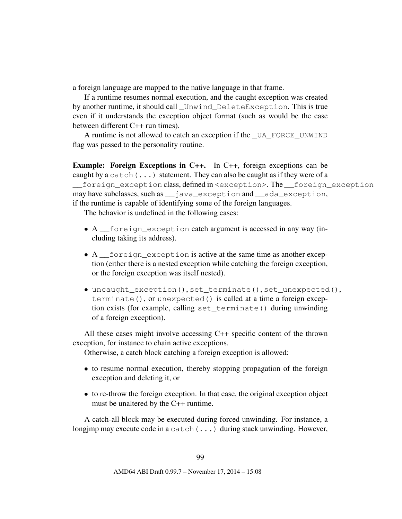a foreign language are mapped to the native language in that frame.

If a runtime resumes normal execution, and the caught exception was created by another runtime, it should call \_Unwind\_DeleteException. This is true even if it understands the exception object format (such as would be the case between different C++ run times).

A runtime is not allowed to catch an exception if the \_UA\_FORCE\_UNWIND flag was passed to the personality routine.

Example: Foreign Exceptions in C++. In C++, foreign exceptions can be caught by a catch  $(\ldots)$  statement. They can also be caught as if they were of a foreign exception class, defined in <exception>. The \_\_foreign\_exception may have subclasses, such as \_\_java\_exception and \_\_ada\_exception, if the runtime is capable of identifying some of the foreign languages.

The behavior is undefined in the following cases:

- A \_\_foreign\_exception catch argument is accessed in any way (including taking its address).
- A \_\_foreign\_exception is active at the same time as another exception (either there is a nested exception while catching the foreign exception, or the foreign exception was itself nested).
- uncaught\_exception(), set\_terminate(), set\_unexpected(), terminate(), or unexpected() is called at a time a foreign exception exists (for example, calling set\_terminate() during unwinding of a foreign exception).

All these cases might involve accessing C++ specific content of the thrown exception, for instance to chain active exceptions.

Otherwise, a catch block catching a foreign exception is allowed:

- to resume normal execution, thereby stopping propagation of the foreign exception and deleting it, or
- to re-throw the foreign exception. In that case, the original exception object must be unaltered by the C++ runtime.

A catch-all block may be executed during forced unwinding. For instance, a longjmp may execute code in a catch(...) during stack unwinding. However,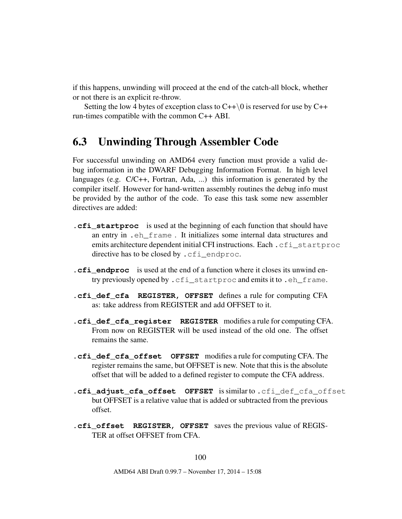if this happens, unwinding will proceed at the end of the catch-all block, whether or not there is an explicit re-throw.

Setting the low 4 bytes of exception class to  $C++\setminus 0$  is reserved for use by  $C++$ run-times compatible with the common C++ ABI.

# 6.3 Unwinding Through Assembler Code

For successful unwinding on AMD64 every function must provide a valid debug information in the DWARF Debugging Information Format. In high level languages (e.g. C/C++, Fortran, Ada, ...) this information is generated by the compiler itself. However for hand-written assembly routines the debug info must be provided by the author of the code. To ease this task some new assembler directives are added:

- **.cfi\_startproc** is used at the beginning of each function that should have an entry in .eh\_frame . It initializes some internal data structures and emits architecture dependent initial CFI instructions. Each .cfi\_startproc directive has to be closed by . cfi\_endproc.
- **.cfi\_endproc** is used at the end of a function where it closes its unwind entry previously opened by .cfi\_startproc and emits it to .eh\_frame.
- **.cfi\_def\_cfa REGISTER, OFFSET** defines a rule for computing CFA as: take address from REGISTER and add OFFSET to it.
- **.cfi\_def\_cfa\_register REGISTER** modifies a rule for computing CFA. From now on REGISTER will be used instead of the old one. The offset remains the same.
- **.cfi\_def\_cfa\_offset OFFSET** modifies a rule for computing CFA. The register remains the same, but OFFSET is new. Note that this is the absolute offset that will be added to a defined register to compute the CFA address.
- **.cfi\_adjust\_cfa\_offset OFFSET** is similar to .cfi\_def\_cfa\_offset but OFFSET is a relative value that is added or subtracted from the previous offset.
- **.cfi\_offset REGISTER, OFFSET** saves the previous value of REGIS-TER at offset OFFSET from CFA.

100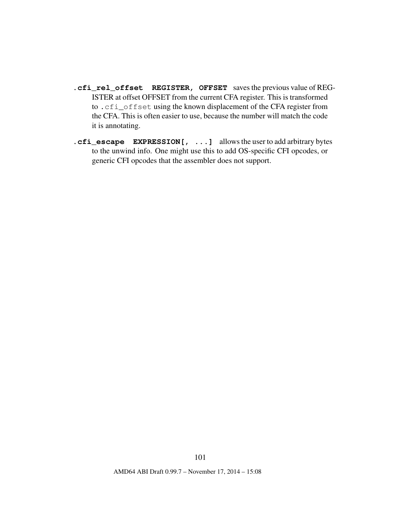- **.cfi\_rel\_offset REGISTER, OFFSET** saves the previous value of REG-ISTER at offset OFFSET from the current CFA register. This is transformed to .cfi\_offset using the known displacement of the CFA register from the CFA. This is often easier to use, because the number will match the code it is annotating.
- **.cfi\_escape EXPRESSION[, ...]** allows the user to add arbitrary bytes to the unwind info. One might use this to add OS-specific CFI opcodes, or generic CFI opcodes that the assembler does not support.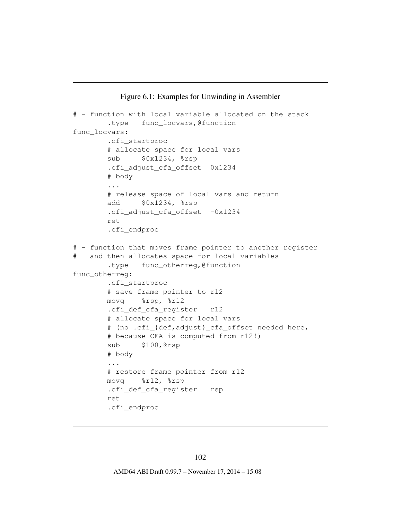```
# - function with local variable allocated on the stack
       .type func_locvars,@function
func_locvars:
       .cfi_startproc
       # allocate space for local vars
       sub $0x1234, %rsp
       .cfi_adjust_cfa_offset 0x1234
       # body
       ...
       # release space of local vars and return
       add $0x1234, %rsp
       .cfi_adjust_cfa_offset -0x1234
       ret
       .cfi_endproc
# - function that moves frame pointer to another register
# and then allocates space for local variables
        .type func_otherreg,@function
func_otherreg:
       .cfi_startproc
       # save frame pointer to r12
       movq %rsp, %r12
       .cfi_def_cfa_register r12
       # allocate space for local vars
       # (no .cfi_{def,adjust}_cfa_offset needed here,
       # because CFA is computed from r12!)
       sub $100, $rsp
       # body
       ...
       # restore frame pointer from r12
       movq %r12, %rsp
       .cfi_def_cfa_register rsp
       ret
       .cfi_endproc
```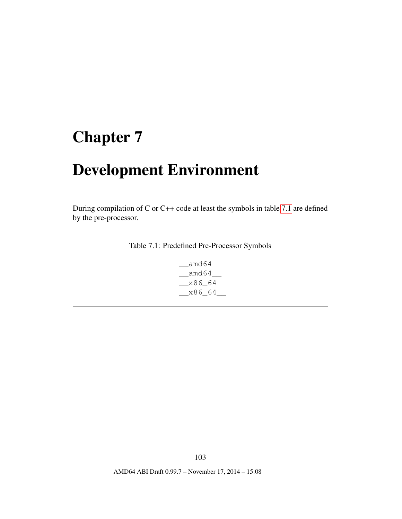# Development Environment

During compilation of C or C++ code at least the symbols in table [7.1](#page-103-0) are defined by the pre-processor.

Table 7.1: Predefined Pre-Processor Symbols

<span id="page-103-0"></span> $\_$ amd64  $\_$ amd64 $\_$ \_\_x86\_64  $\_x86\_64$ 

103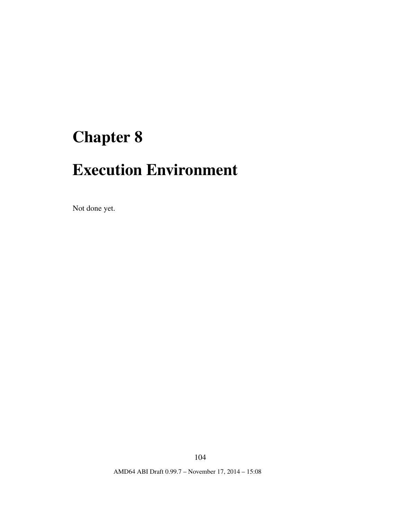# Execution Environment

Not done yet.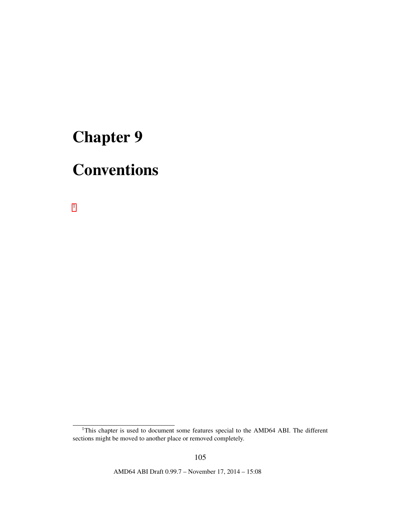[1](#page-105-0)

# **Conventions**

<span id="page-105-0"></span><sup>&</sup>lt;sup>1</sup>This chapter is used to document some features special to the AMD64 ABI. The different sections might be moved to another place or removed completely.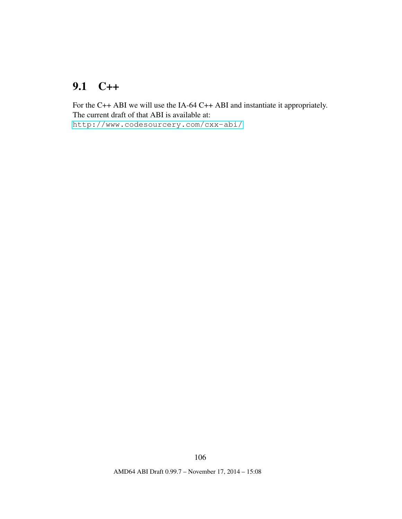# 9.1 C++

For the C++ ABI we will use the IA-64 C++ ABI and instantiate it appropriately. The current draft of that ABI is available at: <http://www.codesourcery.com/cxx-abi/>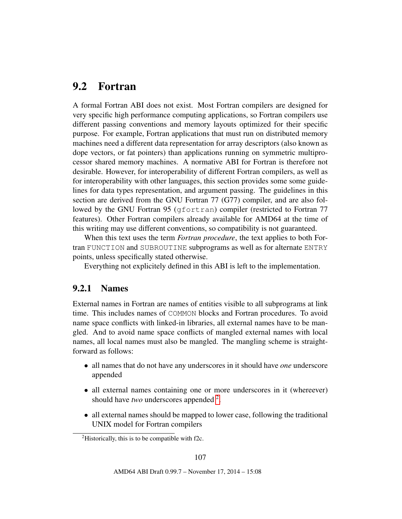# 9.2 Fortran

A formal Fortran ABI does not exist. Most Fortran compilers are designed for very specific high performance computing applications, so Fortran compilers use different passing conventions and memory layouts optimized for their specific purpose. For example, Fortran applications that must run on distributed memory machines need a different data representation for array descriptors (also known as dope vectors, or fat pointers) than applications running on symmetric multiprocessor shared memory machines. A normative ABI for Fortran is therefore not desirable. However, for interoperability of different Fortran compilers, as well as for interoperability with other languages, this section provides some some guidelines for data types representation, and argument passing. The guidelines in this section are derived from the GNU Fortran 77 (G77) compiler, and are also followed by the GNU Fortran 95 (gfortran) compiler (restricted to Fortran 77 features). Other Fortran compilers already available for AMD64 at the time of this writing may use different conventions, so compatibility is not guaranteed.

When this text uses the term *Fortran procedure*, the text applies to both Fortran FUNCTION and SUBROUTINE subprograms as well as for alternate ENTRY points, unless specifically stated otherwise.

Everything not explicitely defined in this ABI is left to the implementation.

### 9.2.1 Names

External names in Fortran are names of entities visible to all subprograms at link time. This includes names of COMMON blocks and Fortran procedures. To avoid name space conflicts with linked-in libraries, all external names have to be mangled. And to avoid name space conflicts of mangled external names with local names, all local names must also be mangled. The mangling scheme is straightforward as follows:

- all names that do not have any underscores in it should have *one* underscore appended
- all external names containing one or more underscores in it (whereever) should have *two* underscores appended <sup>[2](#page-107-0)</sup>.
- all external names should be mapped to lower case, following the traditional UNIX model for Fortran compilers

<span id="page-107-0"></span> $2$ Historically, this is to be compatible with f2c.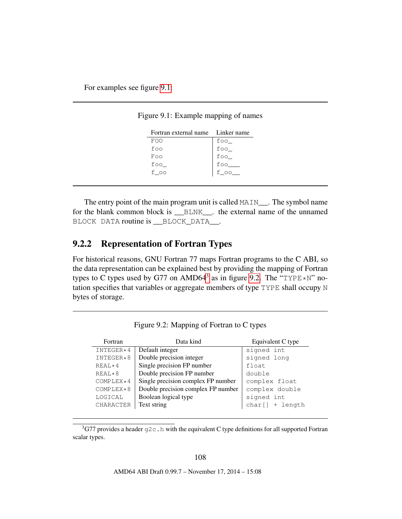<span id="page-108-0"></span>

| Fortran external name Linker name |                 |
|-----------------------------------|-----------------|
| FOO                               | foo             |
| foo                               | $\frac{1}{100}$ |
| Foo                               | $\frac{1}{100}$ |
| foo                               | ----<br>foo     |
| f oo                              |                 |

Figure 9.1: Example mapping of names

The entry point of the main program unit is called MAIN\_\_\_. The symbol name for the blank common block is \_\_BLNK\_\_. the external name of the unnamed BLOCK DATA routine is \_\_BLOCK\_DATA\_\_.

### <span id="page-108-3"></span>9.2.2 Representation of Fortran Types

For historical reasons, GNU Fortran 77 maps Fortran programs to the C ABI, so the data representation can be explained best by providing the mapping of Fortran types to C types used by G77 on AMD64<sup>[3](#page-108-1)</sup> as in figure [9.2.](#page-108-2) The "TYPE\*N" notation specifies that variables or aggregate members of type TYPE shall occupy N bytes of storage.

| Fortran     | Data kind                          | Equivalent C type |
|-------------|------------------------------------|-------------------|
| INTEGER*4   | Default integer                    | signed int        |
| INTEGER*8   | Double precision integer           | signed long       |
| $REAL*4$    | Single precision FP number         | float             |
| REAL*8      | Double precision FP number         | double            |
| $COMPLEX*4$ | Single precision complex FP number | complex float     |
| COMPLEX*8   | Double precision complex FP number | complex double    |
| LOGICAL     | Boolean logical type               | signed int        |
| CHARACTER   | Text string                        | char[] + length   |

<span id="page-108-2"></span>Figure 9.2: Mapping of Fortran to C types

<span id="page-108-1"></span> $3$ G77 provides a header  $92c$ . h with the equivalent C type definitions for all supported Fortran scalar types.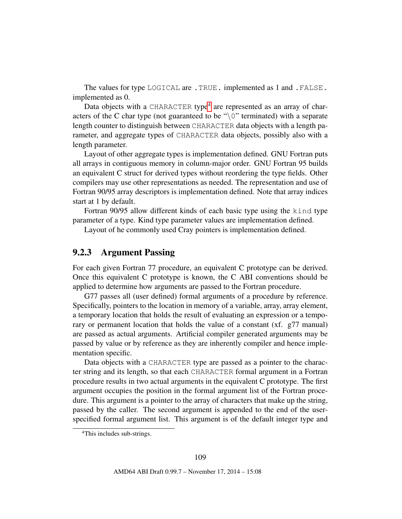The values for type LOGICAL are .TRUE. implemented as 1 and .FALSE. implemented as 0.

Data objects with a CHARACTER type<sup>[4](#page-109-0)</sup> are represented as an array of characters of the C char type (not guaranteed to be " $\setminus 0$ " terminated) with a separate length counter to distinguish between CHARACTER data objects with a length parameter, and aggregate types of CHARACTER data objects, possibly also with a length parameter.

Layout of other aggregate types is implementation defined. GNU Fortran puts all arrays in contiguous memory in column-major order. GNU Fortran 95 builds an equivalent C struct for derived types without reordering the type fields. Other compilers may use other representations as needed. The representation and use of Fortran 90/95 array descriptors is implementation defined. Note that array indices start at 1 by default.

Fortran 90/95 allow different kinds of each basic type using the kind type parameter of a type. Kind type parameter values are implementation defined.

Layout of he commonly used Cray pointers is implementation defined.

### 9.2.3 Argument Passing

For each given Fortran 77 procedure, an equivalent C prototype can be derived. Once this equivalent C prototype is known, the C ABI conventions should be applied to determine how arguments are passed to the Fortran procedure.

G77 passes all (user defined) formal arguments of a procedure by reference. Specifically, pointers to the location in memory of a variable, array, array element, a temporary location that holds the result of evaluating an expression or a temporary or permanent location that holds the value of a constant (xf. g77 manual) are passed as actual arguments. Artificial compiler generated arguments may be passed by value or by reference as they are inherently compiler and hence implementation specific.

Data objects with a CHARACTER type are passed as a pointer to the character string and its length, so that each CHARACTER formal argument in a Fortran procedure results in two actual arguments in the equivalent C prototype. The first argument occupies the position in the formal argument list of the Fortran procedure. This argument is a pointer to the array of characters that make up the string, passed by the caller. The second argument is appended to the end of the userspecified formal argument list. This argument is of the default integer type and

<span id="page-109-0"></span><sup>&</sup>lt;sup>4</sup>This includes sub-strings.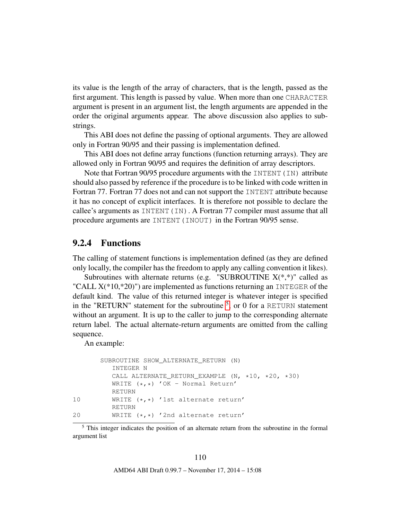its value is the length of the array of characters, that is the length, passed as the first argument. This length is passed by value. When more than one CHARACTER argument is present in an argument list, the length arguments are appended in the order the original arguments appear. The above discussion also applies to substrings.

This ABI does not define the passing of optional arguments. They are allowed only in Fortran 90/95 and their passing is implementation defined.

This ABI does not define array functions (function returning arrays). They are allowed only in Fortran 90/95 and requires the definition of array descriptors.

Note that Fortran 90/95 procedure arguments with the INTENT(IN) attribute should also passed by reference if the procedure is to be linked with code written in Fortran 77. Fortran 77 does not and can not support the INTENT attribute because it has no concept of explicit interfaces. It is therefore not possible to declare the callee's arguments as INTENT(IN). A Fortran 77 compiler must assume that all procedure arguments are INTENT (INOUT) in the Fortran 90/95 sense.

### 9.2.4 Functions

The calling of statement functions is implementation defined (as they are defined only locally, the compiler has the freedom to apply any calling convention it likes).

Subroutines with alternate returns (e.g. "SUBROUTINE  $X(*,*)$ " called as "CALL  $X(*10, *20)$ ") are implemented as functions returning an INTEGER of the default kind. The value of this returned integer is whatever integer is specified in the "RETURN" statement for the subroutine  $<sup>5</sup>$  $<sup>5</sup>$  $<sup>5</sup>$ , or 0 for a RETURN statement</sup> without an argument. It is up to the caller to jump to the corresponding alternate return label. The actual alternate-return arguments are omitted from the calling sequence.

An example:

```
SUBROUTINE SHOW ALTERNATE RETURN (N)
         INTEGER N
         CALL ALTERNATE RETURN EXAMPLE (N, *10, *20, *30)
         WRITE (*,*) 'OK - Normal Return'
         RETURN
10 WRITE (*,*) '1st alternate return'
         RETURN
20 WRITE (*,*) '2nd alternate return'
```
<span id="page-110-0"></span><sup>5</sup> This integer indicates the position of an alternate return from the subroutine in the formal argument list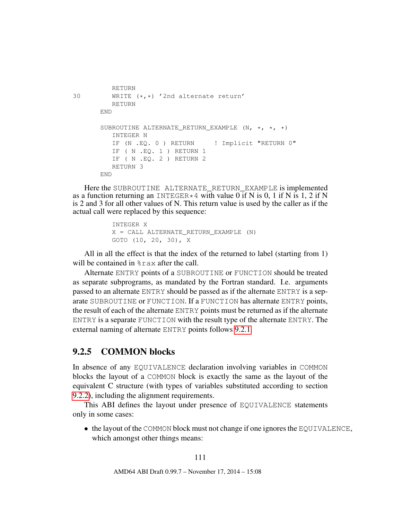```
RETURN
30 WRITE (*,*) '2nd alternate return'
         RETURN
      END
      SUBROUTINE ALTERNATE RETURN EXAMPLE (N, * , * , *)INTEGER N
         IF (N.EQ. 0) RETURN ! Implicit "RETURN 0"
         IF ( N .EQ. 1 ) RETURN 1
         IF ( N .EQ. 2 ) RETURN 2
         RETURN 3
      END
```
Here the SUBROUTINE ALTERNATE RETURN EXAMPLE is implemented as a function returning an INTEGER  $*$  4 with value 0 if N is 0, 1 if N is 1, 2 if N is 2 and 3 for all other values of N. This return value is used by the caller as if the actual call were replaced by this sequence:

```
INTEGER X
X = CALL ALTERNATE_RETURN_EXAMPLE (N)
GOTO (10, 20, 30), X
```
All in all the effect is that the index of the returned to label (starting from 1) will be contained in %rax after the call.

Alternate ENTRY points of a SUBROUTINE or FUNCTION should be treated as separate subprograms, as mandated by the Fortran standard. I.e. arguments passed to an alternate ENTRY should be passed as if the alternate ENTRY is a separate SUBROUTINE or FUNCTION. If a FUNCTION has alternate ENTRY points, the result of each of the alternate ENTRY points must be returned as if the alternate ENTRY is a separate FUNCTION with the result type of the alternate ENTRY. The external naming of alternate ENTRY points follows [9.2.1.](#page-107-0)

### 9.2.5 COMMON blocks

In absence of any EQUIVALENCE declaration involving variables in COMMON blocks the layout of a COMMON block is exactly the same as the layout of the equivalent C structure (with types of variables substituted according to section [9.2.2\)](#page-108-3), including the alignment requirements.

This ABI defines the layout under presence of EQUIVALENCE statements only in some cases:

• the layout of the COMMON block must not change if one ignores the EQUIVALENCE, which amongst other things means: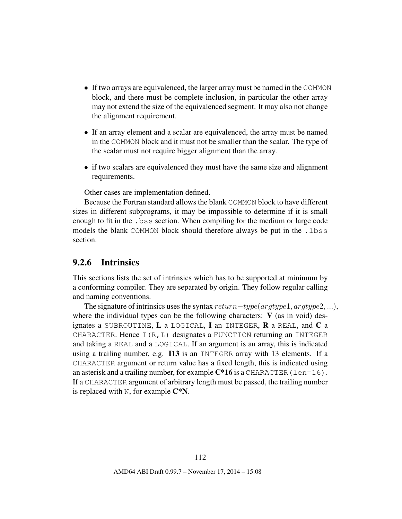- If two arrays are equivalenced, the larger array must be named in the COMMON block, and there must be complete inclusion, in particular the other array may not extend the size of the equivalenced segment. It may also not change the alignment requirement.
- If an array element and a scalar are equivalenced, the array must be named in the COMMON block and it must not be smaller than the scalar. The type of the scalar must not require bigger alignment than the array.
- if two scalars are equivalenced they must have the same size and alignment requirements.

Other cases are implementation defined.

Because the Fortran standard allows the blank COMMON block to have different sizes in different subprograms, it may be impossible to determine if it is small enough to fit in the .bss section. When compiling for the medium or large code models the blank COMMON block should therefore always be put in the . lbss section.

## 9.2.6 Intrinsics

This sections lists the set of intrinsics which has to be supported at minimum by a conforming compiler. They are separated by origin. They follow regular calling and naming conventions.

The signature of intrinsics uses the syntax  $return-type(argtype1, argtype2, ...)$ , where the individual types can be the following characters:  $\bf{V}$  (as in void) designates a SUBROUTINE,  $L$  a LOGICAL,  $I$  an INTEGER,  $R$  a REAL, and  $C$  a CHARACTER. Hence I(R,L) designates a FUNCTION returning an INTEGER and taking a REAL and a LOGICAL. If an argument is an array, this is indicated using a trailing number, e.g. I13 is an INTEGER array with 13 elements. If a CHARACTER argument or return value has a fixed length, this is indicated using an asterisk and a trailing number, for example  $C*16$  is a CHARACTER (len=16). If a CHARACTER argument of arbitrary length must be passed, the trailing number is replaced with  $N$ , for example  $C*N$ .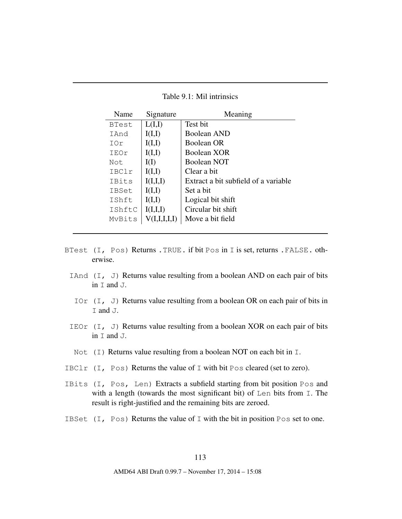| Name         | Signature | Meaning                              |
|--------------|-----------|--------------------------------------|
| <b>BTest</b> | L(I,I)    | Test bit                             |
| IAnd         | I(I,I)    | Boolean AND                          |
| IOr          | I(I,I)    | <b>Boolean OR</b>                    |
| IEOr         | I(I,I)    | Boolean XOR                          |
| Not.         | I(I)      | Boolean NOT                          |
| IBClr        | I(I,I)    | Clear a bit                          |
| IBits        | I(I,I,I)  | Extract a bit subfield of a variable |
| <b>IBSet</b> | I(I,I)    | Set a bit                            |
| IShft        | I(I,I)    | Logical bit shift                    |
| IShftC       | I(I,I,I)  | Circular bit shift                   |
| MvBits       |           | Move a bit field                     |

Table 9.1: Mil intrinsics

- BTest (I, Pos) Returns .TRUE. if bit Pos in I is set, returns .FALSE. otherwise.
	- IAnd  $(I, J)$  Returns value resulting from a boolean AND on each pair of bits in I and J.
	- IOr  $(I, J)$  Returns value resulting from a boolean OR on each pair of bits in I and J.
	- IEOr  $(I, J)$  Returns value resulting from a boolean XOR on each pair of bits in I and J.
	- Not  $(I)$  Returns value resulting from a boolean NOT on each bit in I.
- IBClr (I, Pos) Returns the value of I with bit Pos cleared (set to zero).
- IBits (I, Pos, Len) Extracts a subfield starting from bit position Pos and with a length (towards the most significant bit) of Len bits from I. The result is right-justified and the remaining bits are zeroed.
- IBSet (I, Pos) Returns the value of I with the bit in position Pos set to one.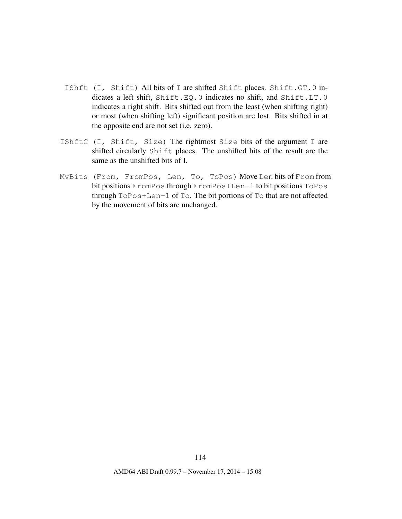- IShft (I, Shift) All bits of I are shifted Shift places. Shift.GT.0 indicates a left shift, Shift.EQ.0 indicates no shift, and Shift.LT.0 indicates a right shift. Bits shifted out from the least (when shifting right) or most (when shifting left) significant position are lost. Bits shifted in at the opposite end are not set (i.e. zero).
- IShftC (I, Shift, Size) The rightmost Size bits of the argument I are shifted circularly Shift places. The unshifted bits of the result are the same as the unshifted bits of I.
- MvBits (From, FromPos, Len, To, ToPos) Move Len bits of From from bit positions FromPos through FromPos+Len-1 to bit positions ToPos through ToPos+Len-1 of To. The bit portions of To that are not affected by the movement of bits are unchanged.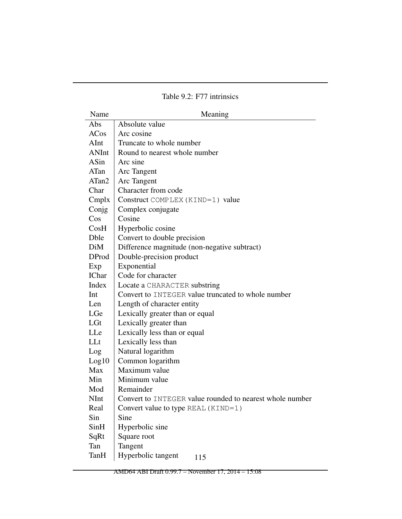<span id="page-115-0"></span>Table 9.2: F77 intrinsics

| Name         | Meaning                                                  |
|--------------|----------------------------------------------------------|
| Abs          | Absolute value                                           |
| <b>ACos</b>  | Arc cosine                                               |
| AInt         | Truncate to whole number                                 |
| <b>ANInt</b> | Round to nearest whole number                            |
| ASin         | Arc sine                                                 |
| ATan         | Arc Tangent                                              |
| ATan2        | Arc Tangent                                              |
| Char         | Character from code                                      |
| Cmplx        | Construct COMPLEX (KIND=1) value                         |
| Conjg        | Complex conjugate                                        |
| $\cos$       | Cosine                                                   |
| CosH         | Hyperbolic cosine                                        |
| Dble         | Convert to double precision                              |
| DiM          | Difference magnitude (non-negative subtract)             |
| <b>DProd</b> | Double-precision product                                 |
| Exp          | Exponential                                              |
| <b>IChar</b> | Code for character                                       |
| Index        | Locate a CHARACTER substring                             |
| Int          | Convert to INTEGER value truncated to whole number       |
| Len          | Length of character entity                               |
| LGe          | Lexically greater than or equal                          |
| LGt          | Lexically greater than                                   |
| LLe          | Lexically less than or equal                             |
| LLt          | Lexically less than                                      |
| Log          | Natural logarithm                                        |
| Log10        | Common logarithm                                         |
| Max          | Maximum value                                            |
| Min          | Minimum value                                            |
| Mod          | Remainder                                                |
| <b>NInt</b>  | Convert to INTEGER value rounded to nearest whole number |
| Real         | Convert value to type REAL (KIND=1)                      |
| Sin          | Sine                                                     |
| SinH         | Hyperbolic sine                                          |
| SqRt         | Square root                                              |
| Tan          | Tangent                                                  |
| TanH         | Hyperbolic tangent<br>115                                |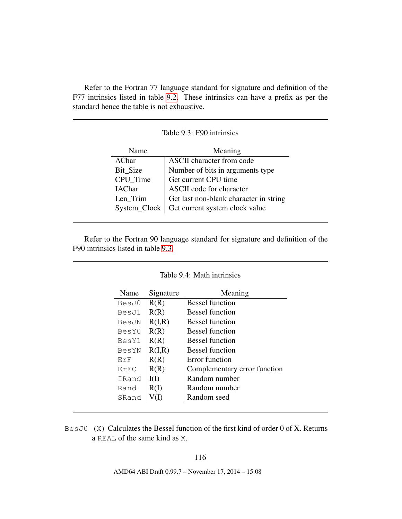Refer to the Fortran 77 language standard for signature and definition of the F77 intrinsics listed in table [9.2.](#page-115-0) These intrinsics can have a prefix as per the standard hence the table is not exhaustive.

| Name          | Meaning                                |
|---------------|----------------------------------------|
| AChar         | ASCII character from code              |
| Bit Size      | Number of bits in arguments type       |
| CPU Time      | Get current CPU time                   |
| <b>IAChar</b> | ASCII code for character               |
| Len_Trim      | Get last non-blank character in string |
| System_Clock  | Get current system clock value         |
|               |                                        |

<span id="page-116-0"></span>Table 9.3: F90 intrinsics

Refer to the Fortran 90 language standard for signature and definition of the F90 intrinsics listed in table [9.3.](#page-116-0)

| Name  | Signature | Meaning                      |
|-------|-----------|------------------------------|
| BesJ0 | R(R)      | <b>Bessel function</b>       |
| BesJ1 | R(R)      | <b>Bessel function</b>       |
| BesJN | R(I,R)    | <b>Bessel function</b>       |
| BesY0 | R(R)      | <b>Bessel function</b>       |
| BesY1 | R(R)      | <b>Bessel function</b>       |
| BesYN | R(I,R)    | <b>Bessel function</b>       |
| ErF   | R(R)      | Error function               |
| ErFC  | R(R)      | Complementary error function |
| TRand | I(I)      | Random number                |
| Rand  | R(I)      | Random number                |
| SRand |           | Random seed                  |

#### Table 9.4: Math intrinsics

BesJ0 (X) Calculates the Bessel function of the first kind of order 0 of X. Returns a REAL of the same kind as X.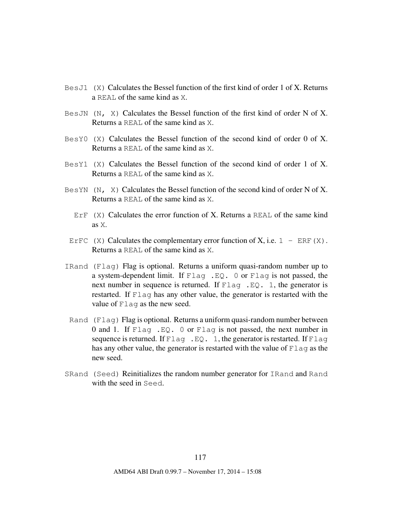- Bes J1 $(X)$  Calculates the Bessel function of the first kind of order 1 of X. Returns a REAL of the same kind as X.
- BesJN  $(N, X)$  Calculates the Bessel function of the first kind of order N of X. Returns a REAL of the same kind as X.
- $BessY0$  (X) Calculates the Bessel function of the second kind of order 0 of X. Returns a REAL of the same kind as X.
- BesY1  $(X)$  Calculates the Bessel function of the second kind of order 1 of X. Returns a REAL of the same kind as X.
- BesYN  $(N, X)$  Calculates the Bessel function of the second kind of order N of X. Returns a REAL of the same kind as X.
	- ErF  $(X)$  Calculates the error function of X. Returns a REAL of the same kind as X.
	- ErFC (X) Calculates the complementary error function of X, i.e.  $1 ERF(X)$ . Returns a REAL of the same kind as X.
- IRand (Flag) Flag is optional. Returns a uniform quasi-random number up to a system-dependent limit. If Flag .EQ. 0 or Flag is not passed, the next number in sequence is returned. If Flag .EQ. 1, the generator is restarted. If Flag has any other value, the generator is restarted with the value of Flag as the new seed.
- Rand (Flag) Flag is optional. Returns a uniform quasi-random number between 0 and 1. If Flag .EQ. 0 or Flag is not passed, the next number in sequence is returned. If  $F \perp aq$ . EQ. 1, the generator is restarted. If  $F \perp aq$ has any other value, the generator is restarted with the value of Flag as the new seed.
- SRand (Seed) Reinitializes the random number generator for IRand and Rand with the seed in Seed.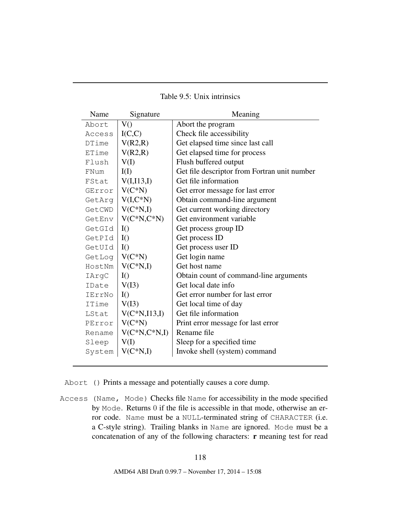| Name   | Signature        | Meaning                                      |
|--------|------------------|----------------------------------------------|
| Abort  | V()              | Abort the program                            |
| Access | I(C,C)           | Check file accessibility                     |
| DTime  | V(R2,R)          | Get elapsed time since last call             |
| ETime  | V(R2,R)          | Get elapsed time for process                 |
| Flush  | V(I)             | Flush buffered output                        |
| FNum   | I(I)             | Get file descriptor from Fortran unit number |
| FStat  | V(I,I13,I)       | Get file information                         |
| GError | $V(C*N)$         | Get error message for last error             |
| GetArq | $V(I,C*N)$       | Obtain command-line argument                 |
| GetCWD | $V(C*N,I)$       | Get current working directory                |
| GetEnv | $V(C*N,C*N)$     | Get environment variable                     |
| GetGId | I()              | Get process group ID                         |
| GetPId | I()              | Get process ID                               |
| GetUId | I()              | Get process user ID                          |
| GetLog | $V(C*N)$         | Get login name                               |
| HostNm | $V(C*N,I)$       | Get host name                                |
| IArgC  | I()              | Obtain count of command-line arguments       |
| IDate  | V(I3)            | Get local date info                          |
| IErrNo | I()              | Get error number for last error              |
| ITime  | V(I3)            | Get local time of day                        |
| LStat  | $V(C*N,I13,I)$   | Get file information                         |
| PError | $V(C*N)$         | Print error message for last error           |
| Rename | $V(C*N, C*N, I)$ | Rename file                                  |
| Sleep  | V(I)             | Sleep for a specified time.                  |
| System | $V(C*N,I)$       | Invoke shell (system) command                |

Table 9.5: Unix intrinsics

Abort () Prints a message and potentially causes a core dump.

Access (Name, Mode) Checks file Name for accessibility in the mode specified by Mode. Returns 0 if the file is accessible in that mode, otherwise an error code. Name must be a NULL-terminated string of CHARACTER (i.e. a C-style string). Trailing blanks in Name are ignored. Mode must be a concatenation of any of the following characters:  $\bf{r}$  meaning test for read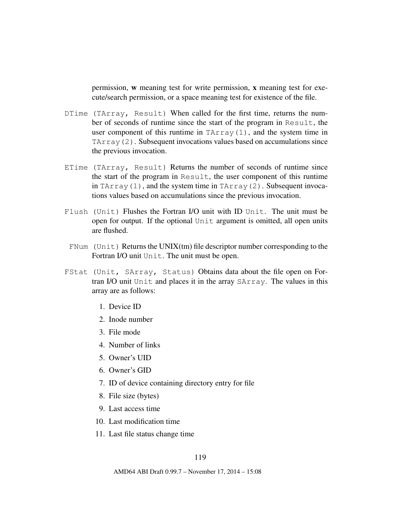permission, w meaning test for write permission, x meaning test for execute/search permission, or a space meaning test for existence of the file.

- DTime (TArray, Result) When called for the first time, returns the number of seconds of runtime since the start of the program in Result, the user component of this runtime in TArray(1), and the system time in TArray  $(2)$ . Subsequent invocations values based on accumulations since the previous invocation.
- ETime (TArray, Result) Returns the number of seconds of runtime since the start of the program in Result, the user component of this runtime in TArray(1), and the system time in TArray(2). Subsequent invocations values based on accumulations since the previous invocation.
- Flush (Unit) Flushes the Fortran I/O unit with ID Unit. The unit must be open for output. If the optional Unit argument is omitted, all open units are flushed.
	- FNum (Unit) Returns the UNIX(tm) file descriptor number corresponding to the Fortran I/O unit Unit. The unit must be open.
- FStat (Unit, SArray, Status) Obtains data about the file open on Fortran I/O unit Unit and places it in the array SArray. The values in this array are as follows:
	- 1. Device ID
	- 2. Inode number
	- 3. File mode
	- 4. Number of links
	- 5. Owner's UID
	- 6. Owner's GID
	- 7. ID of device containing directory entry for file
	- 8. File size (bytes)
	- 9. Last access time
	- 10. Last modification time
	- 11. Last file status change time

#### 119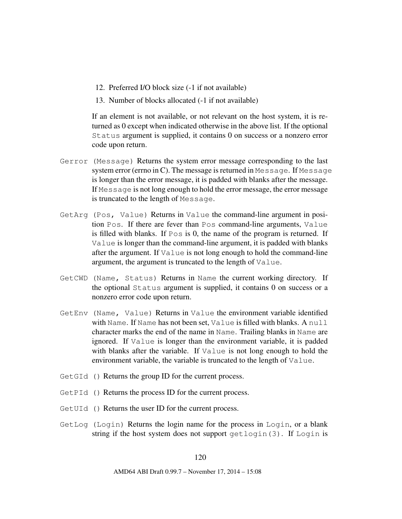- <span id="page-120-0"></span>12. Preferred I/O block size (-1 if not available)
- 13. Number of blocks allocated (-1 if not available)

If an element is not available, or not relevant on the host system, it is returned as 0 except when indicated otherwise in the above list. If the optional Status argument is supplied, it contains 0 on success or a nonzero error code upon return.

- Gerror (Message) Returns the system error message corresponding to the last system error (errno in C). The message is returned in Message. If Message is longer than the error message, it is padded with blanks after the message. If Message is not long enough to hold the error message, the error message is truncated to the length of Message.
- GetArg (Pos, Value) Returns in Value the command-line argument in position Pos. If there are fever than Pos command-line arguments, Value is filled with blanks. If Pos is 0, the name of the program is returned. If Value is longer than the command-line argument, it is padded with blanks after the argument. If Value is not long enough to hold the command-line argument, the argument is truncated to the length of Value.
- GetCWD (Name, Status) Returns in Name the current working directory. If the optional Status argument is supplied, it contains 0 on success or a nonzero error code upon return.
- GetEnv (Name, Value) Returns in Value the environment variable identified with Name. If Name has not been set, Value is filled with blanks. A null character marks the end of the name in Name. Trailing blanks in Name are ignored. If Value is longer than the environment variable, it is padded with blanks after the variable. If Value is not long enough to hold the environment variable, the variable is truncated to the length of Value.
- GetGId () Returns the group ID for the current process.
- GetPId () Returns the process ID for the current process.
- GetUId () Returns the user ID for the current process.
- GetLog (Login) Returns the login name for the process in Login, or a blank string if the host system does not support getlogin(3). If Login is

120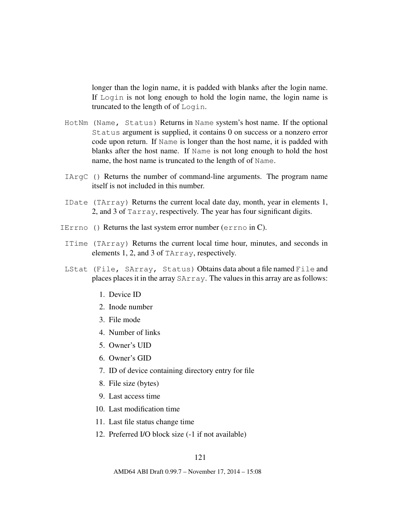longer than the login name, it is padded with blanks after the login name. If Login is not long enough to hold the login name, the login name is truncated to the length of of Login.

- HotNm (Name, Status) Returns in Name system's host name. If the optional Status argument is supplied, it contains 0 on success or a nonzero error code upon return. If Name is longer than the host name, it is padded with blanks after the host name. If Name is not long enough to hold the host name, the host name is truncated to the length of of Name.
- IArgC () Returns the number of command-line arguments. The program name itself is not included in this number.
- IDate (TArray) Returns the current local date day, month, year in elements 1, 2, and 3 of Tarray, respectively. The year has four significant digits.
- IErrno () Returns the last system error number (errno in C).
- ITime (TArray) Returns the current local time hour, minutes, and seconds in elements 1, 2, and 3 of TArray, respectively.
- LStat (File, SArray, Status) Obtains data about a file named File and places places it in the array SArray. The values in this array are as follows:
	- 1. Device ID
	- 2. Inode number
	- 3. File mode
	- 4. Number of links
	- 5. Owner's UID
	- 6. Owner's GID
	- 7. ID of device containing directory entry for file
	- 8. File size (bytes)
	- 9. Last access time
	- 10. Last modification time
	- 11. Last file status change time
	- 12. Preferred I/O block size (-1 if not available)

#### 121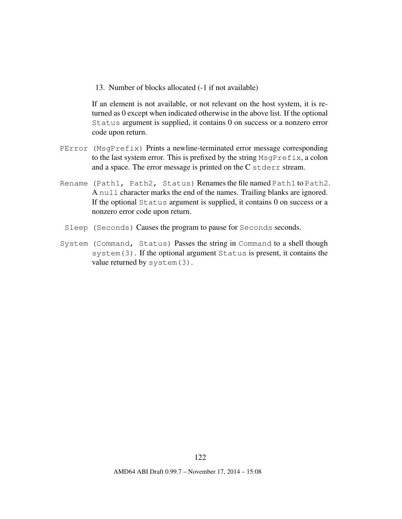13. Number of blocks allocated (-1 if not available)

If an element is not available, or not relevant on the host system, it is returned as 0 except when indicated otherwise in the above list. If the optional Status argument is supplied, it contains 0 on success or a nonzero error code upon return.

- PError (MsgPrefix) Prints a newline-terminated error message corresponding to the last system error. This is prefixed by the string MsgPrefix, a colon and a space. The error message is printed on the C stderr stream.
- Rename (Path1, Path2, Status) Renames the file named Path1 to Path2. A null character marks the end of the names. Trailing blanks are ignored. If the optional Status argument is supplied, it contains 0 on success or a nonzero error code upon return.
- Sleep (Seconds) Causes the program to pause for Seconds seconds.
- System (Command, Status) Passes the string in Command to a shell though system(3). If the optional argument Status is present, it contains the value returned by system(3).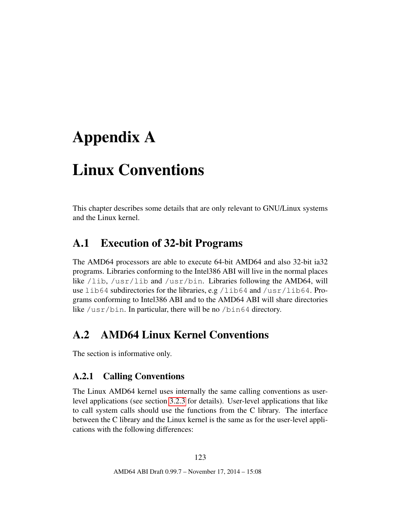# Appendix A

# Linux Conventions

This chapter describes some details that are only relevant to GNU/Linux systems and the Linux kernel.

# A.1 Execution of 32-bit Programs

The AMD64 processors are able to execute 64-bit AMD64 and also 32-bit ia32 programs. Libraries conforming to the Intel386 ABI will live in the normal places like /lib, /usr/lib and /usr/bin. Libraries following the AMD64, will use lib64 subdirectories for the libraries, e.g /lib64 and /usr/lib64. Programs conforming to Intel386 ABI and to the AMD64 ABI will share directories like /usr/bin. In particular, there will be no /bin64 directory.

# A.2 AMD64 Linux Kernel Conventions

The section is informative only.

# A.2.1 Calling Conventions

The Linux AMD64 kernel uses internally the same calling conventions as userlevel applications (see section [3.2.3](#page-17-0) for details). User-level applications that like to call system calls should use the functions from the C library. The interface between the C library and the Linux kernel is the same as for the user-level applications with the following differences: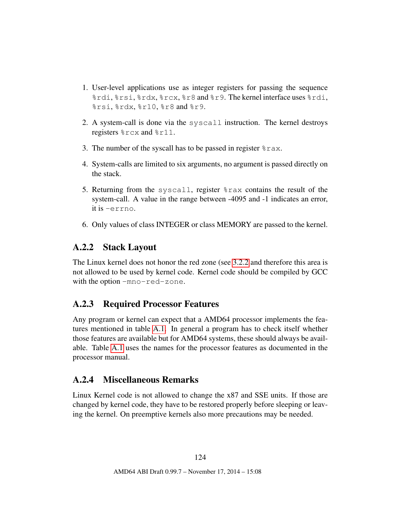- 1. User-level applications use as integer registers for passing the sequence %rdi, %rsi, %rdx, %rcx, %r8 and %r9. The kernel interface uses %rdi, %rsi, %rdx, %r10, %r8 and %r9.
- 2. A system-call is done via the syscall instruction. The kernel destroys registers %rcx and %r11.
- 3. The number of the syscall has to be passed in register  $\epsilon$  rax.
- 4. System-calls are limited to six arguments, no argument is passed directly on the stack.
- 5. Returning from the syscall, register %rax contains the result of the system-call. A value in the range between -4095 and -1 indicates an error, it is -errno.
- 6. Only values of class INTEGER or class MEMORY are passed to the kernel.

# A.2.2 Stack Layout

The Linux kernel does not honor the red zone (see [3.2.2](#page-16-0) and therefore this area is not allowed to be used by kernel code. Kernel code should be compiled by GCC with the option -mno-red-zone.

# A.2.3 Required Processor Features

Any program or kernel can expect that a AMD64 processor implements the features mentioned in table [A.1.](#page-125-0) In general a program has to check itself whether those features are available but for AMD64 systems, these should always be available. Table [A.1](#page-125-0) uses the names for the processor features as documented in the processor manual.

# A.2.4 Miscellaneous Remarks

Linux Kernel code is not allowed to change the x87 and SSE units. If those are changed by kernel code, they have to be restored properly before sleeping or leaving the kernel. On preemptive kernels also more precautions may be needed.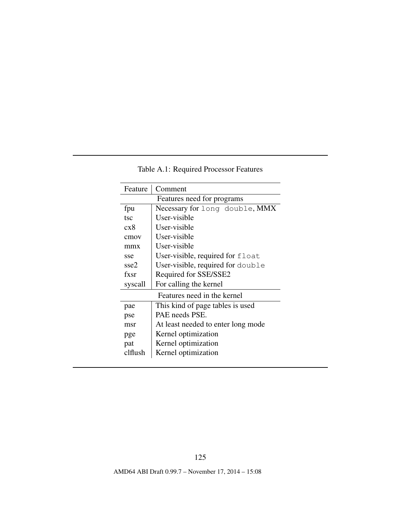<span id="page-125-0"></span>

|  |  | Table A.1: Required Processor Features |  |
|--|--|----------------------------------------|--|
|  |  |                                        |  |

| Feature | Comment                            |  |  |
|---------|------------------------------------|--|--|
|         | Features need for programs         |  |  |
| fpu     | Necessary for long double, MMX     |  |  |
| tsc     | User-visible                       |  |  |
| cx8     | User-visible                       |  |  |
| cmov    | User-visible                       |  |  |
| mmx     | User-visible                       |  |  |
| sse     | User-visible, required for float   |  |  |
| sse2    | User-visible, required for double  |  |  |
| fxsr    | Required for SSE/SSE2              |  |  |
| syscall | For calling the kernel             |  |  |
|         | Features need in the kernel        |  |  |
| pae     | This kind of page tables is used   |  |  |
| pse     | PAE needs PSE.                     |  |  |
| msr     | At least needed to enter long mode |  |  |
| pge     | Kernel optimization                |  |  |
| pat     | Kernel optimization                |  |  |
| clflush | Kernel optimization                |  |  |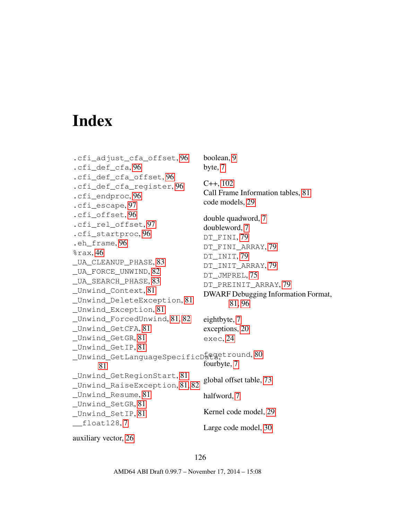# Index

.cfi\_adjust\_cfa\_offset, [96](#page-96-0) .cfi\_def\_cfa, [96](#page-96-0) .cfi def cfa offset, [96](#page-96-0) .cfi\_def\_cfa\_register, [96](#page-96-0) .cfi\_endproc, [96](#page-96-0) .cfi\_escape, [97](#page-97-0) .cfi\_offset, [96](#page-96-0) .cfi rel offset, [97](#page-97-0) .cfi\_startproc, [96](#page-96-0) .eh\_frame, [96](#page-96-0)  $\text{\$rax,46}$ \_UA\_CLEANUP\_PHASE, [83](#page-83-0) \_UA\_FORCE\_UNWIND, [82](#page-82-0) \_UA\_SEARCH\_PHASE, [83](#page-83-0) \_Unwind\_Context, [81](#page-81-0) \_Unwind\_DeleteException, [81](#page-81-0) \_Unwind\_Exception, [81](#page-81-0) \_Unwind\_ForcedUnwind, [81,](#page-81-0) [82](#page-82-0) \_Unwind\_GetCFA, [81](#page-81-0) \_Unwind\_GetGR, [81](#page-81-0) \_Unwind\_GetIP, [81](#page-81-0) \_<br>\_Unwind\_GetLanguageSpecificDategetround, [80](#page-80-0) [81](#page-81-0) \_Unwind\_GetRegionStart, [81](#page-81-0) \_Unwind\_RaiseException, [81,](#page-81-0) [82](#page-82-0) \_Unwind\_Resume, [81](#page-81-0) \_Unwind\_SetGR, [81](#page-81-0) \_Unwind\_SetIP, [81](#page-81-0) \_\_float128, [7](#page-7-0) boolean, [9](#page-9-0) byte, [7](#page-7-0) C++, [102](#page-102-0) Call Frame Information tables, [81](#page-81-0) code models, [29](#page-29-0) double quadword, [7](#page-7-0) doubleword, [7](#page-7-0) DT\_FINI, [79](#page-79-0) DT\_FINI\_ARRAY, [79](#page-79-0) DT\_INIT, [79](#page-79-0) DT\_INIT\_ARRAY, [79](#page-79-0) DT\_JMPREL, [75](#page-75-0) DT\_PREINIT\_ARRAY, [79](#page-79-0) DWARF Debugging Information Format, [81,](#page-81-0) [96](#page-96-0) eightbyte, [7](#page-7-0) exceptions, [20](#page-20-0) exec, [24](#page-24-0) fourbyte, [7](#page-7-0) global offset table, [73](#page-73-0) halfword, [7](#page-7-0) Kernel code model, [29](#page-29-0) Large code model, [30](#page-30-0)

auxiliary vector, [26](#page-26-0)

# 126